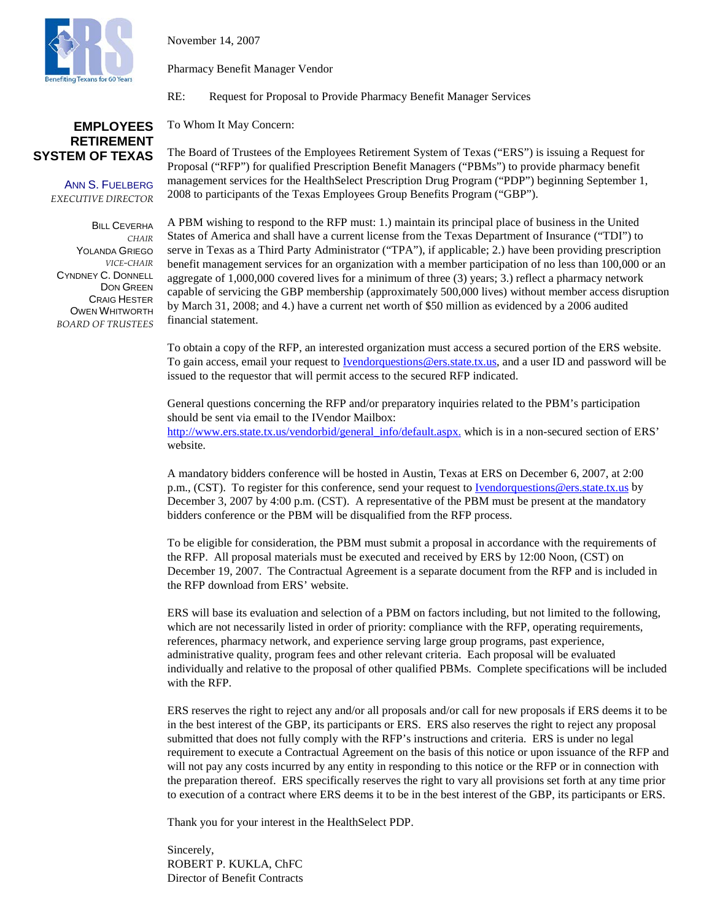

November 14, 2007

Pharmacy Benefit Manager Vendor

RE: Request for Proposal to Provide Pharmacy Benefit Manager Services

#### To Whom It May Concern: **EMPLOYEES**

The Board of Trustees of the Employees Retirement System of Texas ("ERS") is issuing a Request for Proposal ("RFP") for qualified Prescription Benefit Managers ("PBMs") to provide pharmacy benefit management services for the HealthSelect Prescription Drug Program ("PDP") beginning September 1, 2008 to participants of the Texas Employees Group Benefits Program ("GBP").

**BILL CEVERHA** *CHAIR* YOLANDA GRIEGO *VICE-CHAIR* CYNDNEY C. DONNELL DON GREEN CRAIG HESTER OWEN WHITWORTH *BOARD OF TRUSTEES*

**RETIREMENT SYSTEM OF TEXAS**

> ANN S. FUELBERG *EXECUTIVE DIRECTOR*

> > A PBM wishing to respond to the RFP must: 1.) maintain its principal place of business in the United States of America and shall have a current license from the Texas Department of Insurance ("TDI") to serve in Texas as a Third Party Administrator ("TPA"), if applicable; 2.) have been providing prescription benefit management services for an organization with a member participation of no less than 100,000 or an aggregate of 1,000,000 covered lives for a minimum of three (3) years; 3.) reflect a pharmacy network capable of servicing the GBP membership (approximately 500,000 lives) without member access disruption by March 31, 2008; and 4.) have a current net worth of \$50 million as evidenced by a 2006 audited financial statement.

> > To obtain a copy of the RFP, an interested organization must access a secured portion of the ERS website. To gain access, email your request to [Ivendorquestions@ers.state.tx.us,](mailto:Ivendorquestions@ers.state.tx.us) and a user ID and password will be issued to the requestor that will permit access to the secured RFP indicated.

General questions concerning the RFP and/or preparatory inquiries related to the PBM's participation should be sent via email to the IVendor Mailbox: [http://www.ers.state.tx.us/vendorbid/](http://www.ers.state.tx.us/vendorbid)general\_info/default.aspx. which is in a non-secured section of ERS' website.

A mandatory bidders conference will be hosted in Austin, Texas at ERS on December 6, 2007, at 2:00 p.m., (CST). To register for this conference, send your request t[o Ivendorquestions@ers.state.tx.us](mailto:Ivendorquestions@ers.state.tx.us) by December 3, 2007 by 4:00 p.m. (CST). A representative of the PBM must be present at the mandatory bidders conference or the PBM will be disqualified from the RFP process.

To be eligible for consideration, the PBM must submit a proposal in accordance with the requirements of the RFP. All proposal materials must be executed and received by ERS by 12:00 Noon, (CST) on December 19, 2007. The Contractual Agreement is a separate document from the RFP and is included in the RFP download from ERS' website.

ERS will base its evaluation and selection of a PBM on factors including, but not limited to the following, which are not necessarily listed in order of priority: compliance with the RFP, operating requirements, references, pharmacy network, and experience serving large group programs, past experience, administrative quality, program fees and other relevant criteria. Each proposal will be evaluated individually and relative to the proposal of other qualified PBMs. Complete specifications will be included with the RFP.

ERS reserves the right to reject any and/or all proposals and/or call for new proposals if ERS deems it to be in the best interest of the GBP, its participants or ERS. ERS also reserves the right to reject any proposal submitted that does not fully comply with the RFP's instructions and criteria. ERS is under no legal requirement to execute a Contractual Agreement on the basis of this notice or upon issuance of the RFP and will not pay any costs incurred by any entity in responding to this notice or the RFP or in connection with the preparation thereof. ERS specifically reserves the right to vary all provisions set forth at any time prior to execution of a contract where ERS deems it to be in the best interest of the GBP, its participants or ERS.

Thank you for your interest in the HealthSelect PDP.

Sincerely, ROBERT P. KUKLA, ChFC Director of Benefit Contracts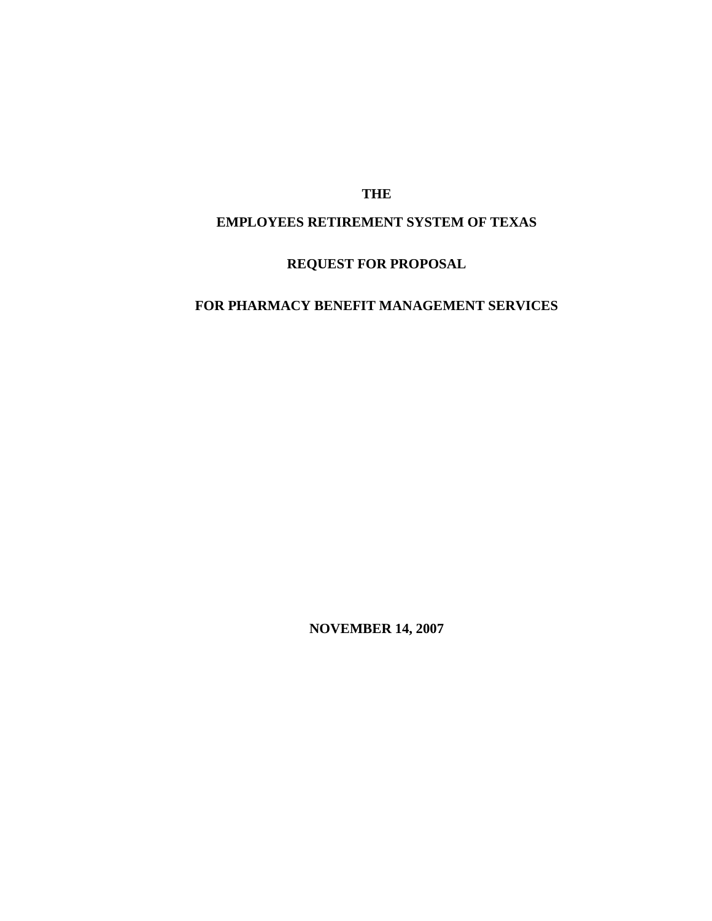# **THE**

# **EMPLOYEES RETIREMENT SYSTEM OF TEXAS**

# **REQUEST FOR PROPOSAL**

# **FOR PHARMACY BENEFIT MANAGEMENT SERVICES**

**NOVEMBER 14, 2007**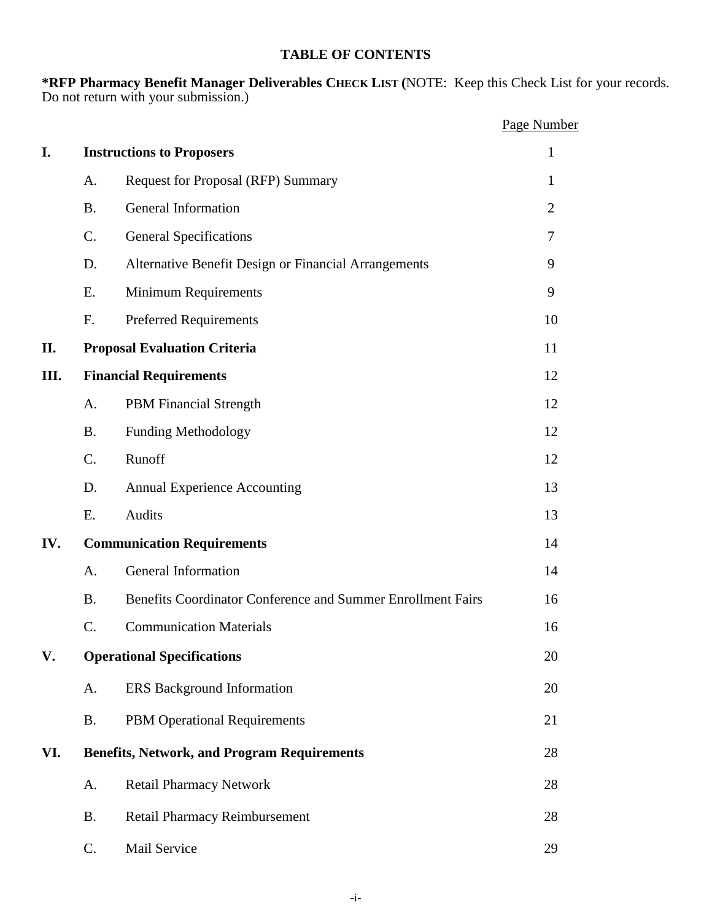# **TABLE OF CONTENTS**

**\*RFP Pharmacy Benefit Manager Deliverables CHECK LIST (**NOTE: Keep this Check List for your records. Do not return with your submission.)

|      |                 |                                                             | Page Number    |
|------|-----------------|-------------------------------------------------------------|----------------|
| I.   |                 | <b>Instructions to Proposers</b>                            | $\mathbf{1}$   |
|      | A.              | <b>Request for Proposal (RFP) Summary</b>                   | 1              |
|      | <b>B.</b>       | <b>General Information</b>                                  | $\overline{2}$ |
|      | $\mathcal{C}$ . | <b>General Specifications</b>                               | $\tau$         |
|      | D.              | Alternative Benefit Design or Financial Arrangements        | 9              |
|      | E.              | <b>Minimum Requirements</b>                                 | 9              |
|      | F.              | <b>Preferred Requirements</b>                               | 10             |
| П.   |                 | <b>Proposal Evaluation Criteria</b>                         | 11             |
| III. |                 | <b>Financial Requirements</b>                               | 12             |
|      | A.              | <b>PBM</b> Financial Strength                               | 12             |
|      | <b>B.</b>       | <b>Funding Methodology</b>                                  | 12             |
|      | $C$ .           | Runoff                                                      | 12             |
|      | D.              | <b>Annual Experience Accounting</b>                         | 13             |
|      | E.              | Audits                                                      | 13             |
| IV.  |                 | <b>Communication Requirements</b>                           | 14             |
|      | A.              | General Information                                         | 14             |
|      | <b>B.</b>       | Benefits Coordinator Conference and Summer Enrollment Fairs | 16             |
|      | C.              | <b>Communication Materials</b>                              | 16             |
| V.   |                 | <b>Operational Specifications</b>                           | 20             |
|      | A.              | <b>ERS</b> Background Information                           | 20             |
|      | <b>B.</b>       | PBM Operational Requirements                                | 21             |
| VI.  |                 | <b>Benefits, Network, and Program Requirements</b>          | 28             |
|      | A.              | <b>Retail Pharmacy Network</b>                              | 28             |
|      | <b>B.</b>       | Retail Pharmacy Reimbursement                               | 28             |
|      | C.              | Mail Service                                                | 29             |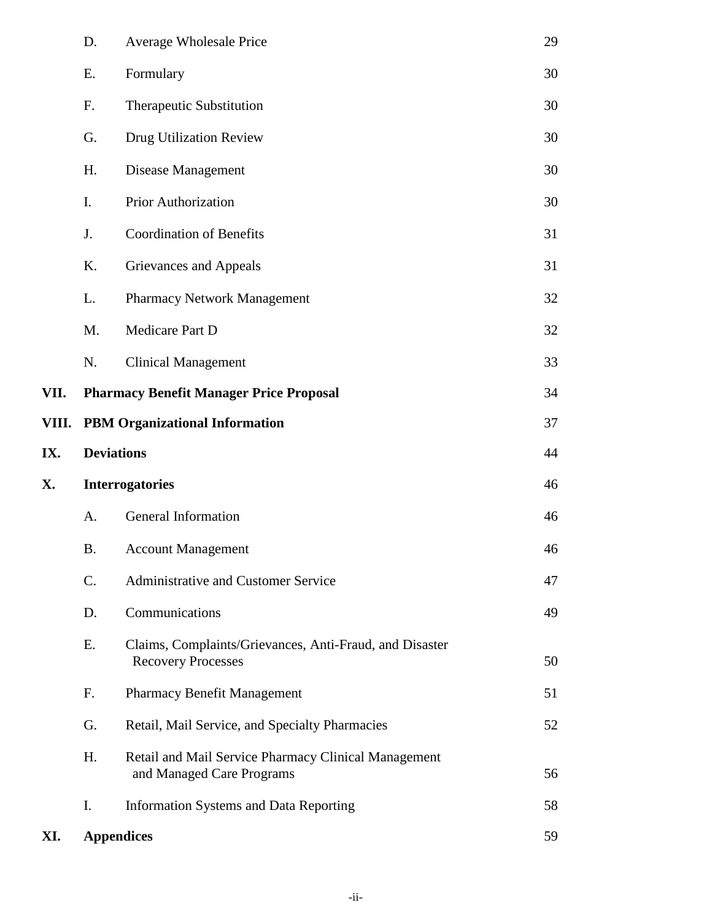|       | D.                | <b>Average Wholesale Price</b>                                                       | 29 |
|-------|-------------------|--------------------------------------------------------------------------------------|----|
|       | Ε.                | Formulary                                                                            | 30 |
|       | F.                | <b>Therapeutic Substitution</b>                                                      | 30 |
|       | G.                | Drug Utilization Review                                                              | 30 |
|       | H.                | Disease Management                                                                   | 30 |
|       | I.                | <b>Prior Authorization</b>                                                           | 30 |
|       | J.                | <b>Coordination of Benefits</b>                                                      | 31 |
|       | K.                | Grievances and Appeals                                                               | 31 |
|       | L.                | Pharmacy Network Management                                                          | 32 |
|       | M.                | Medicare Part D                                                                      | 32 |
|       | N.                | <b>Clinical Management</b>                                                           | 33 |
| VII.  |                   | <b>Pharmacy Benefit Manager Price Proposal</b>                                       | 34 |
| VIII. |                   | <b>PBM Organizational Information</b>                                                | 37 |
| IX.   | <b>Deviations</b> |                                                                                      | 44 |
| X.    |                   | <b>Interrogatories</b>                                                               | 46 |
|       | A.                | <b>General Information</b>                                                           | 46 |
|       | <b>B.</b>         | <b>Account Management</b>                                                            | 46 |
|       |                   |                                                                                      |    |
|       | C.                | Administrative and Customer Service                                                  | 47 |
|       | D.                | Communications                                                                       | 49 |
|       | Ε.                | Claims, Complaints/Grievances, Anti-Fraud, and Disaster<br><b>Recovery Processes</b> | 50 |
|       | F.                | Pharmacy Benefit Management                                                          | 51 |
|       | G.                | Retail, Mail Service, and Specialty Pharmacies                                       | 52 |
|       | H.                | Retail and Mail Service Pharmacy Clinical Management<br>and Managed Care Programs    | 56 |
|       | I.                | <b>Information Systems and Data Reporting</b>                                        | 58 |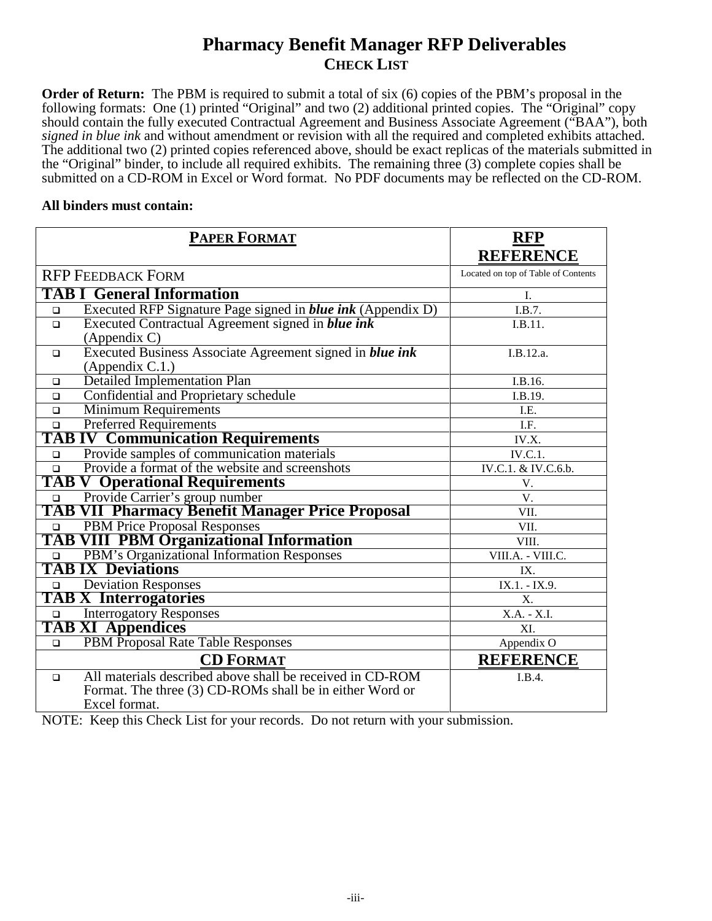# **Pharmacy Benefit Manager RFP Deliverables CHECK LIST**

**Order of Return:** The PBM is required to submit a total of six (6) copies of the PBM's proposal in the following formats: One (1) printed "Original" and two (2) additional printed copies. The "Original" copy should contain the fully executed Contractual Agreement and Business Associate Agreement ("BAA"), both *signed in blue ink* and without amendment or revision with all the required and completed exhibits attached. The additional two (2) printed copies referenced above, should be exact replicas of the materials submitted in the "Original" binder, to include all required exhibits. The remaining three (3) complete copies shall be submitted on a CD-ROM in Excel or Word format. No PDF documents may be reflected on the CD-ROM.

#### **All binders must contain:**

|        | <b>PAPER FORMAT</b>                                                | <b>RFP</b>                          |
|--------|--------------------------------------------------------------------|-------------------------------------|
|        |                                                                    | <b>REFERENCE</b>                    |
|        | <b>RFP FEEDBACK FORM</b>                                           | Located on top of Table of Contents |
|        | <b>TAB I General Information</b>                                   | I.                                  |
| $\Box$ | Executed RFP Signature Page signed in <i>blue ink</i> (Appendix D) | I.B.7.                              |
| $\Box$ | Executed Contractual Agreement signed in blue ink                  | I.B.11.                             |
|        | (Appendix C)                                                       |                                     |
| $\Box$ | Executed Business Associate Agreement signed in blue ink           | I.B.12.a.                           |
|        | (Appendix $C.1$ .)                                                 |                                     |
| $\Box$ | <b>Detailed Implementation Plan</b>                                | I.B.16.                             |
| $\Box$ | Confidential and Proprietary schedule                              | I.B.19.                             |
| $\Box$ | <b>Minimum Requirements</b>                                        | I.E.                                |
| $\Box$ | <b>Preferred Requirements</b>                                      | I.F.                                |
|        | <b>TAB IV Communication Requirements</b>                           | IV.X.                               |
| $\Box$ | Provide samples of communication materials                         | IV.C.1.                             |
| $\Box$ | Provide a format of the website and screenshots                    | IV.C.1. & IV.C.6.b.                 |
|        | <b>TAB V Operational Requirements</b>                              | V.                                  |
| $\Box$ | Provide Carrier's group number                                     | V.                                  |
|        | <b>TAB VII Pharmacy Benefit Manager Price Proposal</b>             | VII.                                |
| $\Box$ | <b>PBM Price Proposal Responses</b>                                | VII.                                |
|        | <b>TAB VIII PBM Organizational Information</b>                     | VIII.                               |
| $\Box$ | PBM's Organizational Information Responses                         | VIII.A. - VIII.C.                   |
|        | <b>TAB IX Deviations</b>                                           | IX.                                 |
| $\Box$ | <b>Deviation Responses</b>                                         | IX.1. - IX.9.                       |
|        | <b>TAB X Interrogatories</b>                                       | X.                                  |
| $\Box$ | <b>Interrogatory Responses</b>                                     | X.A. - X.I.                         |
|        | <b>TAB XI Appendices</b>                                           | XI.                                 |
| $\Box$ | PBM Proposal Rate Table Responses                                  | Appendix O                          |
|        | <b>CD FORMAT</b>                                                   | <b>REFERENCE</b>                    |
| $\Box$ | All materials described above shall be received in CD-ROM          | I.B.4.                              |
|        | Format. The three (3) CD-ROMs shall be in either Word or           |                                     |
|        | Excel format.                                                      |                                     |

NOTE: Keep this Check List for your records. Do not return with your submission.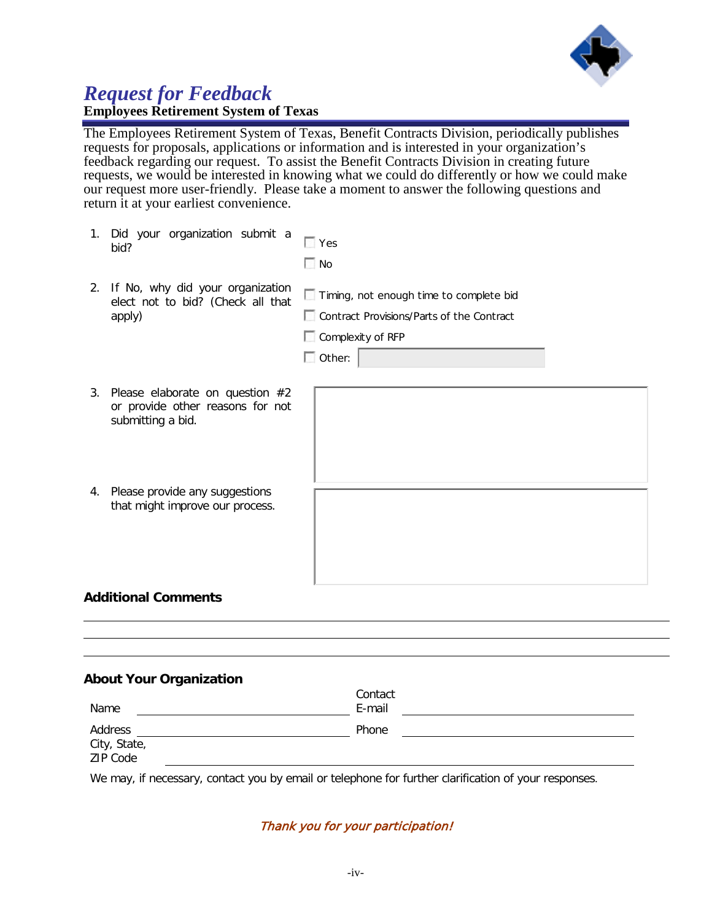

# *Request for Feedback* **Employees Retirement System of Texas**

The Employees Retirement System of Texas, Benefit Contracts Division, periodically publishes requests for proposals, applications or information and is interested in your organization's feedback regarding our request. To assist the Benefit Contracts Division in creating future requests, we would be interested in knowing what we could do differently or how we could make our request more user-friendly. Please take a moment to answer the following questions and return it at your earliest convenience.

| 1. | Did your organization submit a<br>bid?                                                     | $\Box$ Yes<br>$\Box$ No                                                                                                           |
|----|--------------------------------------------------------------------------------------------|-----------------------------------------------------------------------------------------------------------------------------------|
| 2. | If No, why did your organization<br>elect not to bid? (Check all that<br>apply)            | Timing, not enough time to complete bid<br>Contract Provisions/Parts of the Contract<br>$\Box$ Complexity of RFP<br>$\Box$ Other: |
| 3. | Please elaborate on question $#2$<br>or provide other reasons for not<br>submitting a bid. |                                                                                                                                   |
|    | 4. Please provide any suggestions<br>that might improve our process.                       |                                                                                                                                   |
|    |                                                                                            |                                                                                                                                   |

# **Additional Comments**

#### **About Your Organization**

|                          | Contact |  |
|--------------------------|---------|--|
| Name                     | E-mail  |  |
| Address                  | Phone   |  |
| City, State,<br>ZIP Code |         |  |
|                          |         |  |
|                          |         |  |

We may, if necessary, contact you by email or telephone for further clarification of your responses.

#### Thank you for your participation!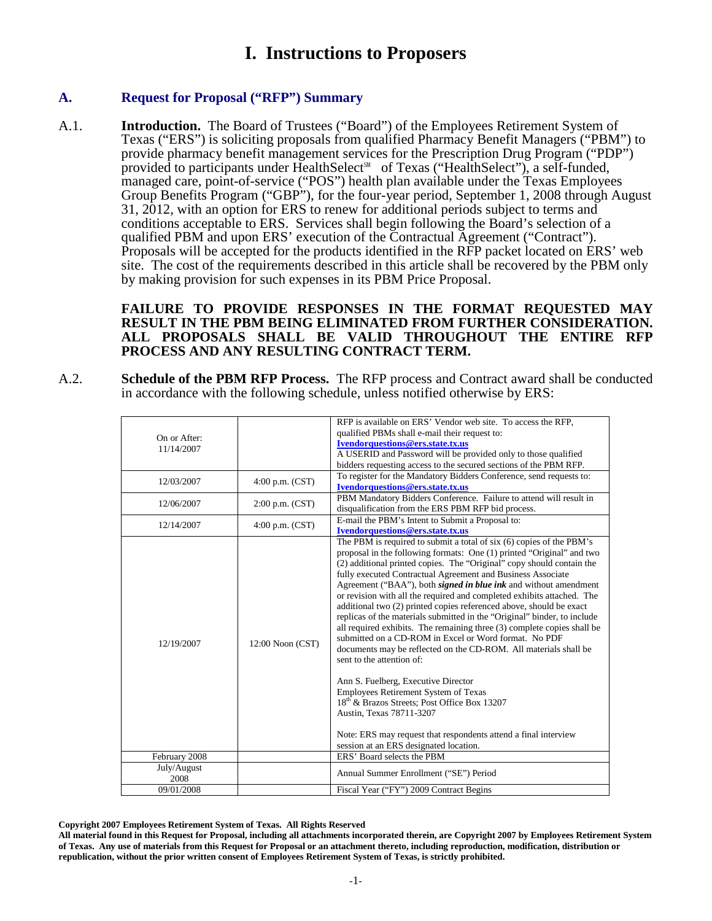# **I. Instructions to Proposers**

### **A. Request for Proposal ("RFP") Summary**

A.1. **Introduction.** The Board of Trustees ("Board") of the Employees Retirement System of Texas ("ERS") is soliciting proposals from qualified Pharmacy Benefit Managers ("PBM") to provide pharmacy benefit management services for the Prescription Drug Program ("PDP") provided to participants under HealthSelect<sup>™</sup> of Texas ("HealthSelect"), a self-funded, managed care, point-of-service ("POS") health plan available under the Texas Employees Group Benefits Program ("GBP"), for the four-year period, September 1, 2008 through August 31, 2012, with an option for ERS to renew for additional periods subject to terms and conditions acceptable to ERS. Services shall begin following the Board's selection of a qualified PBM and upon ERS' execution of the Contractual Agreement ("Contract"). Proposals will be accepted for the products identified in the RFP packet located on ERS' web site. The cost of the requirements described in this article shall be recovered by the PBM only by making provision for such expenses in its PBM Price Proposal.

> **FAILURE TO PROVIDE RESPONSES IN THE FORMAT REQUESTED MAY RESULT IN THE PBM BEING ELIMINATED FROM FURTHER CONSIDERATION. ALL PROPOSALS SHALL BE VALID THROUGHOUT THE ENTIRE RFP PROCESS AND ANY RESULTING CONTRACT TERM.**

A.2. **Schedule of the PBM RFP Process.** The RFP process and Contract award shall be conducted in accordance with the following schedule, unless notified otherwise by ERS:

|               |                     | RFP is available on ERS' Vendor web site. To access the RFP,                                                                                                                                                                                                                                                                                                                                                                                                                                                                                                                                                                                                                                                                                                                                                                                                                                                                                                                                                                                                                                                           |
|---------------|---------------------|------------------------------------------------------------------------------------------------------------------------------------------------------------------------------------------------------------------------------------------------------------------------------------------------------------------------------------------------------------------------------------------------------------------------------------------------------------------------------------------------------------------------------------------------------------------------------------------------------------------------------------------------------------------------------------------------------------------------------------------------------------------------------------------------------------------------------------------------------------------------------------------------------------------------------------------------------------------------------------------------------------------------------------------------------------------------------------------------------------------------|
| On or After:  |                     | qualified PBMs shall e-mail their request to:                                                                                                                                                                                                                                                                                                                                                                                                                                                                                                                                                                                                                                                                                                                                                                                                                                                                                                                                                                                                                                                                          |
| 11/14/2007    |                     | Ivendorquestions@ers.state.tx.us                                                                                                                                                                                                                                                                                                                                                                                                                                                                                                                                                                                                                                                                                                                                                                                                                                                                                                                                                                                                                                                                                       |
|               |                     | A USERID and Password will be provided only to those qualified                                                                                                                                                                                                                                                                                                                                                                                                                                                                                                                                                                                                                                                                                                                                                                                                                                                                                                                                                                                                                                                         |
|               |                     | bidders requesting access to the secured sections of the PBM RFP.                                                                                                                                                                                                                                                                                                                                                                                                                                                                                                                                                                                                                                                                                                                                                                                                                                                                                                                                                                                                                                                      |
| 12/03/2007    | $4:00$ p.m. $(CST)$ | To register for the Mandatory Bidders Conference, send requests to:                                                                                                                                                                                                                                                                                                                                                                                                                                                                                                                                                                                                                                                                                                                                                                                                                                                                                                                                                                                                                                                    |
|               |                     | Ivendorquestions@ers.state.tx.us                                                                                                                                                                                                                                                                                                                                                                                                                                                                                                                                                                                                                                                                                                                                                                                                                                                                                                                                                                                                                                                                                       |
| 12/06/2007    | $2:00$ p.m. $(CST)$ | PBM Mandatory Bidders Conference. Failure to attend will result in                                                                                                                                                                                                                                                                                                                                                                                                                                                                                                                                                                                                                                                                                                                                                                                                                                                                                                                                                                                                                                                     |
|               |                     | disqualification from the ERS PBM RFP bid process.                                                                                                                                                                                                                                                                                                                                                                                                                                                                                                                                                                                                                                                                                                                                                                                                                                                                                                                                                                                                                                                                     |
| 12/14/2007    | $4:00$ p.m. $(CST)$ | E-mail the PBM's Intent to Submit a Proposal to:                                                                                                                                                                                                                                                                                                                                                                                                                                                                                                                                                                                                                                                                                                                                                                                                                                                                                                                                                                                                                                                                       |
|               |                     | Ivendorquestions@ers.state.tx.us                                                                                                                                                                                                                                                                                                                                                                                                                                                                                                                                                                                                                                                                                                                                                                                                                                                                                                                                                                                                                                                                                       |
| 12/19/2007    | 12:00 Noon (CST)    | The PBM is required to submit a total of six (6) copies of the PBM's<br>proposal in the following formats: One (1) printed "Original" and two<br>(2) additional printed copies. The "Original" copy should contain the<br>fully executed Contractual Agreement and Business Associate<br>Agreement ("BAA"), both <i>signed in blue ink</i> and without amendment<br>or revision with all the required and completed exhibits attached. The<br>additional two (2) printed copies referenced above, should be exact<br>replicas of the materials submitted in the "Original" binder, to include<br>all required exhibits. The remaining three (3) complete copies shall be<br>submitted on a CD-ROM in Excel or Word format. No PDF<br>documents may be reflected on the CD-ROM. All materials shall be<br>sent to the attention of:<br>Ann S. Fuelberg, Executive Director<br>Employees Retirement System of Texas<br>18 <sup>th</sup> & Brazos Streets; Post Office Box 13207<br>Austin, Texas 78711-3207<br>Note: ERS may request that respondents attend a final interview<br>session at an ERS designated location. |
| February 2008 |                     | ERS' Board selects the PBM                                                                                                                                                                                                                                                                                                                                                                                                                                                                                                                                                                                                                                                                                                                                                                                                                                                                                                                                                                                                                                                                                             |
| July/August   |                     |                                                                                                                                                                                                                                                                                                                                                                                                                                                                                                                                                                                                                                                                                                                                                                                                                                                                                                                                                                                                                                                                                                                        |
| 2008          |                     | Annual Summer Enrollment ("SE") Period                                                                                                                                                                                                                                                                                                                                                                                                                                                                                                                                                                                                                                                                                                                                                                                                                                                                                                                                                                                                                                                                                 |
| 09/01/2008    |                     | Fiscal Year ("FY") 2009 Contract Begins                                                                                                                                                                                                                                                                                                                                                                                                                                                                                                                                                                                                                                                                                                                                                                                                                                                                                                                                                                                                                                                                                |
|               |                     |                                                                                                                                                                                                                                                                                                                                                                                                                                                                                                                                                                                                                                                                                                                                                                                                                                                                                                                                                                                                                                                                                                                        |

**Copyright 2007 Employees Retirement System of Texas. All Rights Reserved**

**All material found in this Request for Proposal, including all attachments incorporated therein, are Copyright 2007 by Employees Retirement System of Texas. Any use of materials from this Request for Proposal or an attachment thereto, including reproduction, modification, distribution or republication, without the prior written consent of Employees Retirement System of Texas, is strictly prohibited.**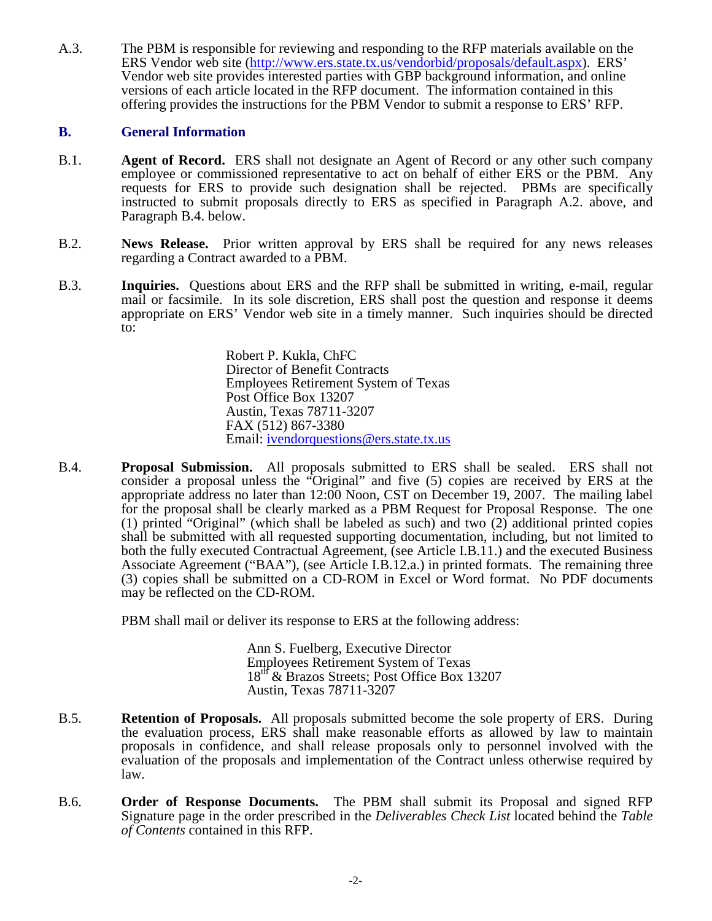A.3. The PBM is responsible for reviewing and responding to the RFP materials available on the ERS Vendor web site (http://www.ers.state.tx.us/vendorbid/proposals/default.aspx). ERS' Vendor web site provides interested parties with GBP background information, and online versions of each article located in the RFP document. The information contained in this offering provides the instructions for the PBM Vendor to submit a response to ERS' RFP.

### **B. General Information**

- B.1. **Agent of Record.** ERS shall not designate an Agent of Record or any other such company employee or commissioned representative to act on behalf of either ERS or the PBM. Any requests for ERS to provide such designation shall be rejected. PBMs are specifically instructed to submit proposals directly to ERS as specified in Paragraph A.2. above, and Paragraph B.4. below.
- B.2. **News Release.** Prior written approval by ERS shall be required for any news releases regarding a Contract awarded to a PBM.
- B.3. **Inquiries.** Questions about ERS and the RFP shall be submitted in writing, e-mail, regular mail or facsimile. In its sole discretion, ERS shall post the question and response it deems appropriate on ERS' Vendor web site in a timely manner. Such inquiries should be directed to:

Robert P. Kukla, ChFC Director of Benefit Contracts Employees Retirement System of Texas Post Office Box 13207 Austin, Texas 78711-3207 FAX (512) 867-3380 Email: ivendorquestions@ers.state.tx.us

B.4. **Proposal Submission.** All proposals submitted to ERS shall be sealed. ERS shall not consider a proposal unless the "Original" and five (5) copies are received by ERS at the appropriate address no later than 12:00 Noon, CST on December 19, 2007. The mailing label for the proposal shall be clearly marked as a PBM Request for Proposal Response. The one (1) printed "Original" (which shall be labeled as such) and two (2) additional printed copies shall be submitted with all requested supporting documentation, including, but not limited to both the fully executed Contractual Agreement, (see Article I.B.11.) and the executed Business Associate Agreement ("BAA"), (see Article I.B.12.a.) in printed formats. The remaining three (3) copies shall be submitted on a CD-ROM in Excel or Word format. No PDF documents may be reflected on the CD-ROM.

PBM shall mail or deliver its response to ERS at the following address:

Ann S. Fuelberg, Executive Director Employees Retirement System of Texas 18<sup>th</sup> & Brazos Streets; Post Office Box 13207 Austin, Texas 78711-3207

- B.5. **Retention of Proposals.** All proposals submitted become the sole property of ERS. During the evaluation process, ERS shall make reasonable efforts as allowed by law to maintain proposals in confidence, and shall release proposals only to personnel involved with the evaluation of the proposals and implementation of the Contract unless otherwise required by law.
- B.6. **Order of Response Documents.** The PBM shall submit its Proposal and signed RFP Signature page in the order prescribed in the *Deliverables Check List* located behind the *Table of Contents* contained in this RFP.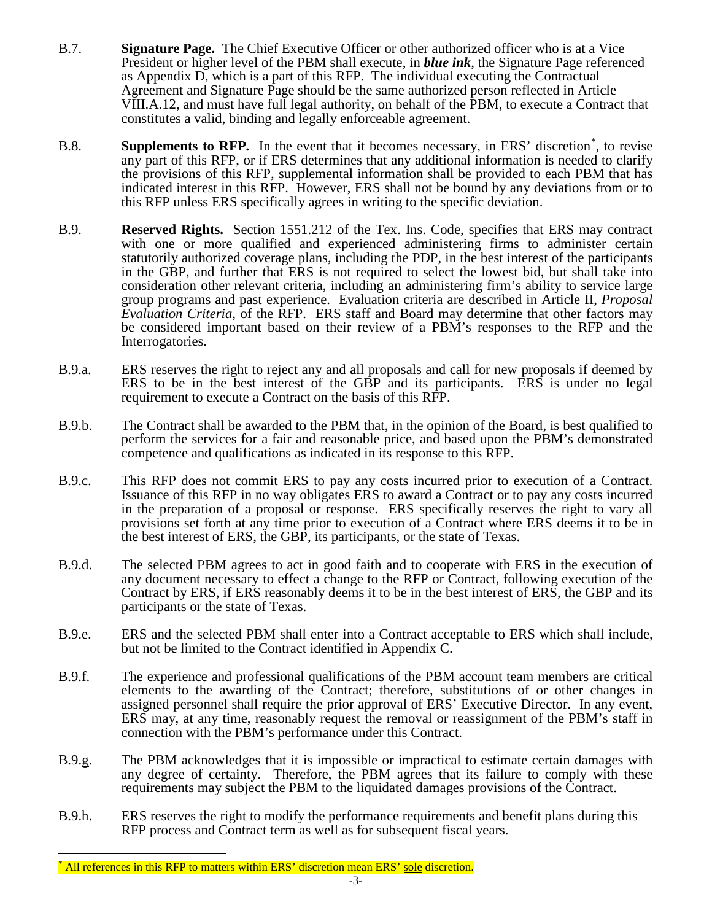- B.7. **Signature Page.** The Chief Executive Officer or other authorized officer who is at a Vice President or higher level of the PBM shall execute, in *blue ink*, the Signature Page referenced as Appendix D, which is a part of this RFP. The individual executing the Contractual Agreement and Signature Page should be the same authorized person reflected in Article VIII.A.12, and must have full legal authority, on behalf of the PBM, to execute a Contract that constitutes a valid, binding and legally enforceable agreement.
- B.8. **Supplements to RFP.** In the event that it becomes necessary, in ERS' discretion<sup>[\\*](#page-10-0)</sup>, to revise any part of this RFP, or if ERS determines that any additional information is needed to clarify the provisions of this RFP, supplemental information shall be provided to each PBM that has indicated interest in this RFP. However, ERS shall not be bound by any deviations from or to this RFP unless ERS specifically agrees in writing to the specific deviation.
- B.9. **Reserved Rights.** Section 1551.212 of the Tex. Ins. Code, specifies that ERS may contract with one or more qualified and experienced administering firms to administer certain statutorily authorized coverage plans, including the PDP, in the best interest of the participants in the GBP, and further that ERS is not required to select the lowest bid, but shall take into consideration other relevant criteria, including an administering firm's ability to service large group programs and past experience. Evaluation criteria are described in Article II, *Proposal Evaluation Criteria*, of the RFP. ERS staff and Board may determine that other factors may be considered important based on their review of a PBM's responses to the RFP and the Interrogatories.
- B.9.a. ERS reserves the right to reject any and all proposals and call for new proposals if deemed by ERS to be in the best interest of the GBP and its participants. ERS is under no legal requirement to execute a Contract on the basis of this RFP.
- B.9.b. The Contract shall be awarded to the PBM that, in the opinion of the Board, is best qualified to perform the services for a fair and reasonable price, and based upon the PBM's demonstrated competence and qualifications as indicated in its response to this RFP.
- B.9.c. This RFP does not commit ERS to pay any costs incurred prior to execution of a Contract. Issuance of this RFP in no way obligates ERS to award a Contract or to pay any costs incurred in the preparation of a proposal or response. ERS specifically reserves the right to vary all provisions set forth at any time prior to execution of a Contract where ERS deems it to be in the best interest of ERS, the GBP, its participants, or the state of Texas.
- B.9.d. The selected PBM agrees to act in good faith and to cooperate with ERS in the execution of any document necessary to effect a change to the RFP or Contract, following execution of the Contract by ERS, if ERS reasonably deems it to be in the best interest of ERS, the GBP and its participants or the state of Texas.
- B.9.e. ERS and the selected PBM shall enter into a Contract acceptable to ERS which shall include, but not be limited to the Contract identified in Appendix C.
- B.9.f. The experience and professional qualifications of the PBM account team members are critical elements to the awarding of the Contract; therefore, substitutions of or other changes in assigned personnel shall require the prior approval of ERS' Executive Director. In any event, ERS may, at any time, reasonably request the removal or reassignment of the PBM's staff in connection with the PBM's performance under this Contract.
- B.9.g. The PBM acknowledges that it is impossible or impractical to estimate certain damages with any degree of certainty. Therefore, the PBM agrees that its failure to comply with these requirements may subject the PBM to the liquidated damages provisions of the Contract.
- B.9.h. ERS reserves the right to modify the performance requirements and benefit plans during this RFP process and Contract term as well as for subsequent fiscal years.

 $\overline{a}$ 

<span id="page-10-0"></span><sup>\*</sup> All references in this RFP to matters within ERS' discretion mean ERS' sole discretion.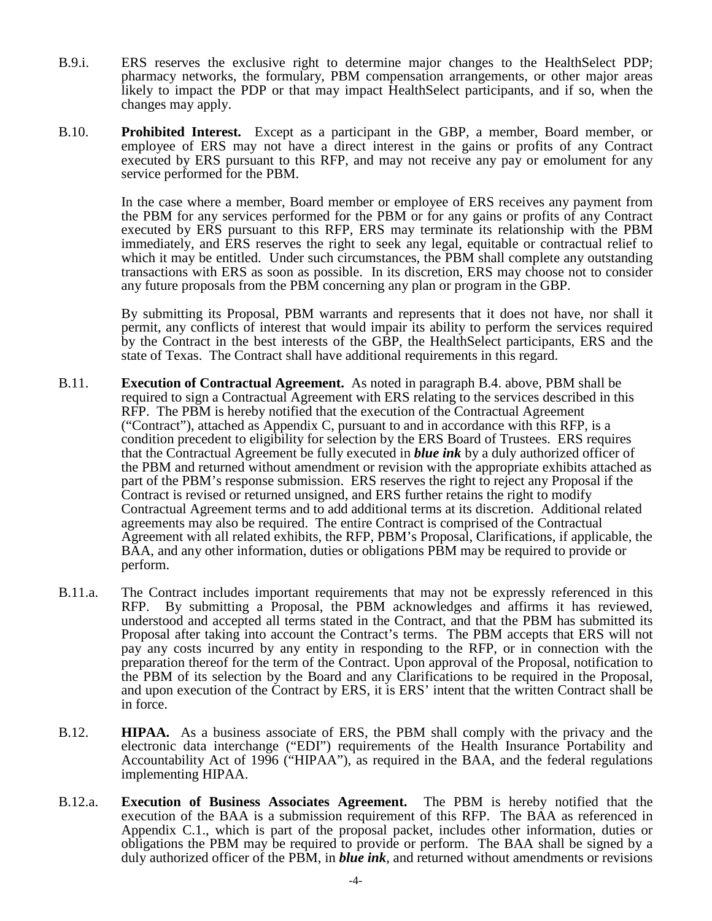- B.9.i. ERS reserves the exclusive right to determine major changes to the HealthSelect PDP; pharmacy networks, the formulary, PBM compensation arrangements, or other major areas likely to impact the PDP or that may impact HealthSelect participants, and if so, when the changes may apply.
- B.10. **Prohibited Interest.** Except as a participant in the GBP, a member, Board member, or employee of ERS may not have a direct interest in the gains or profits of any Contract executed by ERS pursuant to this RFP, and may not receive any pay or emolument for any service performed for the PBM.

In the case where a member, Board member or employee of ERS receives any payment from the PBM for any services performed for the PBM or for any gains or profits of any Contract executed by ERS pursuant to this RFP, ERS may terminate its relationship with the PBM immediately, and ERS reserves the right to seek any legal, equitable or contractual relief to which it may be entitled. Under such circumstances, the PBM shall complete any outstanding transactions with ERS as soon as possible. In its discretion, ERS may choose not to consider any future proposals from the PBM concerning any plan or program in the GBP.

By submitting its Proposal, PBM warrants and represents that it does not have, nor shall it permit, any conflicts of interest that would impair its ability to perform the services required by the Contract in the best interests of the GBP, the HealthSelect participants, ERS and the state of Texas. The Contract shall have additional requirements in this regard.

- B.11. **Execution of Contractual Agreement.** As noted in paragraph B.4. above, PBM shall be required to sign a Contractual Agreement with ERS relating to the services described in this RFP. The PBM is hereby notified that the execution of the Contractual Agreement ("Contract"), attached as Appendix C, pursuant to and in accordance with this RFP, is a condition precedent to eligibility for selection by the ERS Board of Trustees.ERS requires that the Contractual Agreement be fully executed in *blue ink* by a duly authorized officer of the PBM and returned without amendment or revision with the appropriate exhibits attached as part of the PBM's response submission. ERS reserves the right to reject any Proposal if the Contract is revised or returned unsigned, and ERS further retains the right to modify Contractual Agreement terms and to add additional terms at its discretion. Additional related agreements may also be required. The entire Contract is comprised of the Contractual Agreement with all related exhibits, the RFP, PBM's Proposal, Clarifications, if applicable, the BAA, and any other information, duties or obligations PBM may be required to provide or perform.
- B.11.a. The Contract includes important requirements that may not be expressly referenced in this RFP. By submitting a Proposal, the PBM acknowledges and affirms it has reviewed, understood and accepted all terms stated in the Contract, and that the PBM has submitted its Proposal after taking into account the Contract's terms. The PBM accepts that ERS will not pay any costs incurred by any entity in responding to the RFP, or in connection with the preparation thereof for the term of the Contract. Upon approval of the Proposal, notification to the PBM of its selection by the Board and any Clarifications to be required in the Proposal, and upon execution of the Contract by ERS, it is ERS' intent that the written Contract shall be in force.
- B.12. **HIPAA.** As a business associate of ERS, the PBM shall comply with the privacy and the electronic data interchange ("EDI") requirements of the Health Insurance Portability and Accountability Act of 1996 ("HIPAA"), as required in the BAA, and the federal regulations implementing HIPAA.
- B.12.a. **Execution of Business Associates Agreement.** The PBM is hereby notified that the execution of the BAA is a submission requirement of this RFP. The BAA as referenced in Appendix C.1., which is part of the proposal packet, includes other information, duties or obligations the PBM may be required to provide or perform. The BAA shall be signed by a duly authorized officer of the PBM, in *blue ink*, and returned without amendments or revisions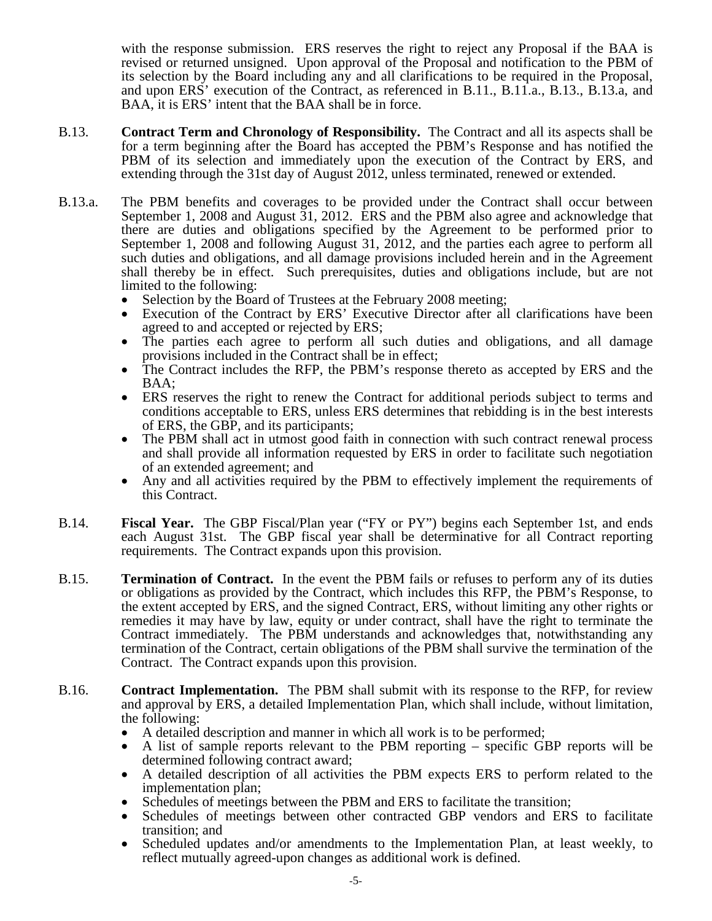with the response submission. ERS reserves the right to reject any Proposal if the BAA is revised or returned unsigned. Upon approval of the Proposal and notification to the PBM of its selection by the Board including any and all clarifications to be required in the Proposal, and upon ERS' execution of the Contract, as referenced in B.11., B.11.a., B.13., B.13.a, and BAA, it is ERS' intent that the BAA shall be in force.

- B.13. **Contract Term and Chronology of Responsibility.** The Contract and all its aspects shall be for a term beginning after the Board has accepted the PBM's Response and has notified the PBM of its selection and immediately upon the execution of the Contract by ERS, and extending through the 31st day of August 2012, unless terminated, renewed or extended.
- B.13.a. The PBM benefits and coverages to be provided under the Contract shall occur between September 1, 2008 and August 31, 2012. ERS and the PBM also agree and acknowledge that there are duties and obligations specified by the Agreement to be performed prior to September 1, 2008 and following August 31, 2012, and the parties each agree to perform all such duties and obligations, and all damage provisions included herein and in the Agreement shall thereby be in effect. Such prerequisites, duties and obligations include, but are not limited to the following:<br>• Selection by the Board of Trustees at the February 2008 meeting;
	-
	- Execution of the Contract by ERS' Executive Director after all clarifications have been
	- agreed to and accepted or rejected by ERS;<br>The parties each agree to perform all such duties and obligations, and all damage<br>provisions included in the Contract shall be in effect;
	- The Contract includes the RFP, the PBM's response thereto as accepted by ERS and the BAA;<br>ERS reserves the right to renew the Contract for additional periods subject to terms and
	- conditions acceptable to ERS, unless ERS determines that rebidding is in the best interests
	- of ERS, the GBP, and its participants; The PBM shall act in utmost good faith in connection with such contract renewal process and shall provide all information requested by ERS in order to facilitate such negotiation of an extended agreement; and<br>Any and all activities required by the PBM to effectively implement the requirements of
	- this Contract.
- B.14. **Fiscal Year.** The GBP Fiscal/Plan year ("FY or PY") begins each September 1st, and ends each August 31st. The GBP fiscal year shall be determinative for all Contract reporting requirements. The Contract expands upon this provision.
- B.15. **Termination of Contract.** In the event the PBM fails or refuses to perform any of its duties or obligations as provided by the Contract, which includes this RFP, the PBM's Response, to the extent accepted by ERS, and the signed Contract, ERS, without limiting any other rights or remedies it may have by law, equity or under contract, shall have the right to terminate the Contract immediately. The PBM understands and acknowledges that, notwithstanding any termination of the Contract, certain obligations of the PBM shall survive the termination of the Contract. The Contract expands upon this provision.
- B.16. **Contract Implementation.** The PBM shall submit with its response to the RFP, for review and approval by ERS, a detailed Implementation Plan, which shall include, without limitation,
	-
	- A detailed description and manner in which all work is to be performed;<br>• A list of sample reports relevant to the PBM reporting specific GBP reports will be
	- determined following contract award;<br>A detailed description of all activities the PBM expects ERS to perform related to the
	-
	- implementation plan;<br>Schedules of meetings between the PBM and ERS to facilitate the transition;<br>Schedules of meetings between other contracted GBP vendors and ERS to facilitate transition; and
	- Scheduled updates and/or amendments to the Implementation Plan, at least weekly, to reflect mutually agreed-upon changes as additional work is defined.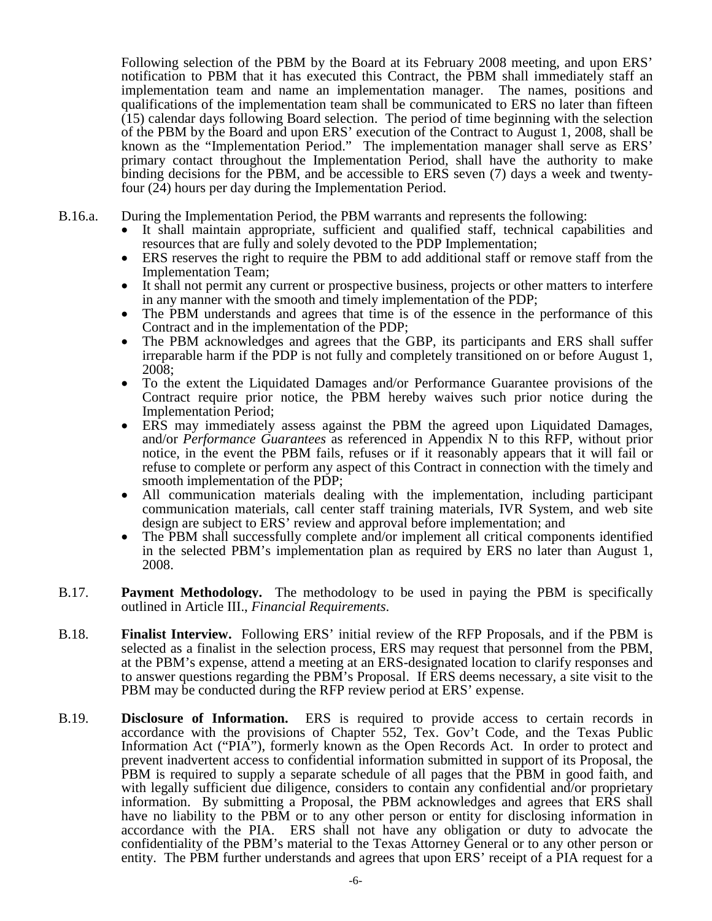Following selection of the PBM by the Board at its February 2008 meeting, and upon ERS' notification to PBM that it has executed this Contract, the PBM shall immediately staff an implementation team and name an implementation manager. The names, positions and qualifications of the implementation team shall be communicated to ERS no later than fifteen (15) calendar days following Board selection. The period of time beginning with the selection of the PBM by the Board and upon ERS' execution of the Contract to August 1, 2008, shall be known as the "Implementation Period." The implementation manager shall serve as ERS' primary contact throughout the Implementation Period, shall have the authority to make binding decisions for the PBM, and be accessible to ERS seven (7) days a week and twenty- four (24) hours per day during the Implementation Period.

- 
- B.16.a. During the Implementation Period, the PBM warrants and represents the following:<br>
 It shall maintain appropriate, sufficient and qualified staff, technical capabilities and resources that are fully and solely devo
	- ERS reserves the right to require the PBM to add additional staff or remove staff from the
	- Implementation Team;<br>It shall not permit any current or prospective business, projects or other matters to interfere in any manner with the smooth and timely implementation of the PDP;<br>The PBM understands and agrees that time is of the essence in the performance of this
	- Contract and in the implementation of the PDP;<br>The PBM acknowledges and agrees that the GBP, its participants and ERS shall suffer
	- irreparable harm if the PDP is not fully and completely transitioned on or before August 1, 2008; • To the extent the Liquidated Damages and/or Performance Guarantee provisions of the
	- Contract require prior notice, the PBM hereby waives such prior notice during the Implementation Period;<br>• ERS may immediately assess against the PBM the agreed upon Liquidated Damages,
	- and/or *Performance Guarantees* as referenced in Appendix N to this RFP, without prior notice, in the event the PBM fails, refuses or if it reasonably appears that it will fail or refuse to complete or perform any aspect of this Contract in connection with the timely and smooth implementation of the PDP;
	- All communication materials dealing with the implementation, including participant communication materials, call center staff training materials, IVR System, and web site design are subject to ERS' review and approval before implementation; and
	- The PBM shall successfully complete and/or implement all critical components identified in the selected PBM's implementation plan as required by ERS no later than August 1, 2008.
- B.17. **Payment Methodology.** The methodology to be used in paying the PBM is specifically outlined in Article III., *Financial Requirements*.
- B.18. **Finalist Interview.** Following ERS' initial review of the RFP Proposals, and if the PBM is selected as a finalist in the selection process, ERS may request that personnel from the PBM, at the PBM's expense, attend a meeting at an ERS-designated location to clarify responses and to answer questions regarding the PBM's Proposal. If ERS deems necessary, a site visit to the PBM may be conducted during the RFP review period at ERS' expense.
- B.19. **Disclosure of Information.** ERS is required to provide access to certain records in accordance with the provisions of Chapter 552, Tex. Gov't Code, and the Texas Public Information Act ("PIA"), formerly known as the Open Records Act. In order to protect and prevent inadvertent access to confidential information submitted in support of its Proposal, the PBM is required to supply a separate schedule of all pages that the PBM in good faith, and with legally sufficient due diligence, considers to contain any confidential and/or proprietary information. By submitting a Proposal, the PBM acknowledges and agrees that ERS shall have no liability to the PBM or to any other person or entity for disclosing information in accordance with the PIA. ERS shall not have any obligation or duty to advocate the confidentiality of the PBM's material to the Texas Attorney General or to any other person or entity. The PBM further understands and agrees that upon ERS' receipt of a PIA request for a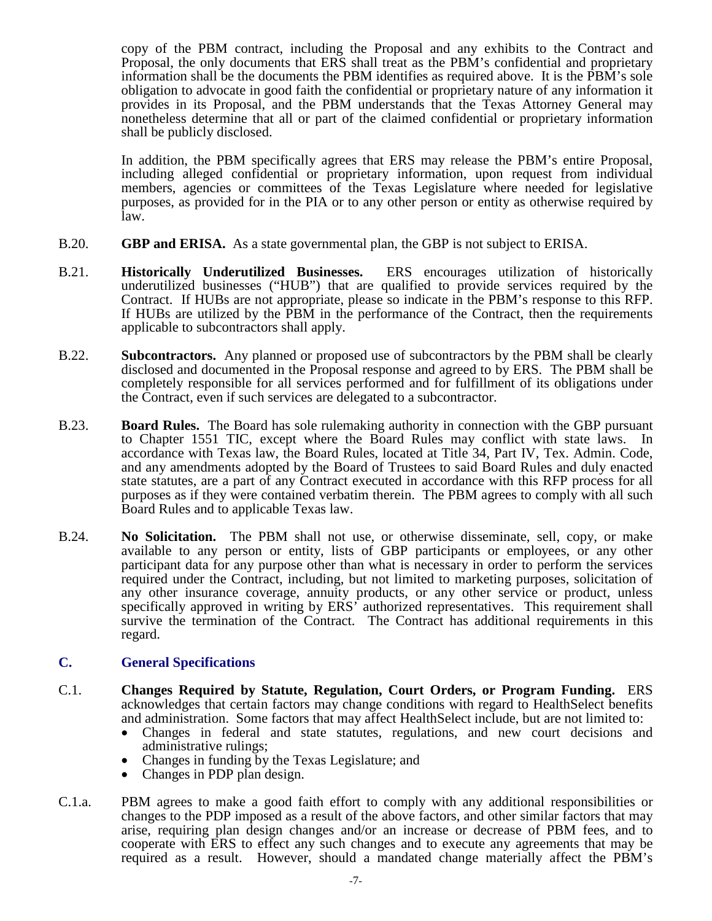copy of the PBM contract, including the Proposal and any exhibits to the Contract and Proposal, the only documents that ERS shall treat as the PBM's confidential and proprietary information shall be the documents the PBM identifies as required above. It is the PBM's sole obligation to advocate in good faith the confidential or proprietary nature of any information it provides in its Proposal, and the PBM understands that the Texas Attorney General may nonetheless determine that all or part of the claimed confidential or proprietary information shall be publicly disclosed.

In addition, the PBM specifically agrees that ERS may release the PBM's entire Proposal, including alleged confidential or proprietary information, upon request from individual members, agencies or committees of the Texas Legislature where needed for legislative purposes, as provided for in the PIA or to any other person or entity as otherwise required by law.

- B.20. **GBP and ERISA.** As a state governmental plan, the GBP is not subject to ERISA.
- B.21. **Historically Underutilized Businesses.** ERS encourages utilization of historically underutilized businesses ("HUB") that are qualified to provide services required by the Contract. If HUBs are not appropriate, please so indicate in the PBM's response to this RFP. If HUBs are utilized by the PBM in the performance of the Contract, then the requirements applicable to subcontractors shall apply.
- B.22. **Subcontractors.** Any planned or proposed use of subcontractors by the PBM shall be clearly disclosed and documented in the Proposal response and agreed to by ERS. The PBM shall be completely responsible for all services performed and for fulfillment of its obligations under the Contract, even if such services are delegated to a subcontractor.
- B.23. **Board Rules.** The Board has sole rulemaking authority in connection with the GBP pursuant to Chapter 1551 TIC, except where the Board Rules may conflict with state laws. In accordance with Texas law, the Board Rules, located at Title 34, Part IV, Tex. Admin. Code, and any amendments adopted by the Board of Trustees to said Board Rules and duly enacted state statutes, are a part of any Contract executed in accordance with this RFP process for all purposes as if they were contained verbatim therein. The PBM agrees to comply with all such Board Rules and to applicable Texas law.
- B.24. **No Solicitation.** The PBM shall not use, or otherwise disseminate, sell, copy, or make available to any person or entity, lists of GBP participants or employees, or any other participant data for any purpose other than what is necessary in order to perform the services required under the Contract, including, but not limited to marketing purposes, solicitation of any other insurance coverage, annuity products, or any other service or product, unless specifically approved in writing by ERS' authorized representatives. This requirement shall survive the termination of the Contract. The Contract has additional requirements in this regard.

#### **C. General Specifications**

- C.1. **Changes Required by Statute, Regulation, Court Orders, or Program Funding.** ERS acknowledges that certain factors may change conditions with regard to HealthSelect benefits and administration. Some factors that may affect HealthSelect include, but are not limited to: • Changes in federal and state statutes, regulations, and new court decisions and
	-
	- administrative rulings;<br>Changes in funding by the Texas Legislature; and<br>Changes in PDP plan design.
	-
- C.1.a. PBM agrees to make a good faith effort to comply with any additional responsibilities or changes to the PDP imposed as a result of the above factors, and other similar factors that may arise, requiring plan design changes and/or an increase or decrease of PBM fees, and to cooperate with ERS to effect any such changes and to execute any agreements that may be required as a result. However, should a mandated change materially affect the PBM's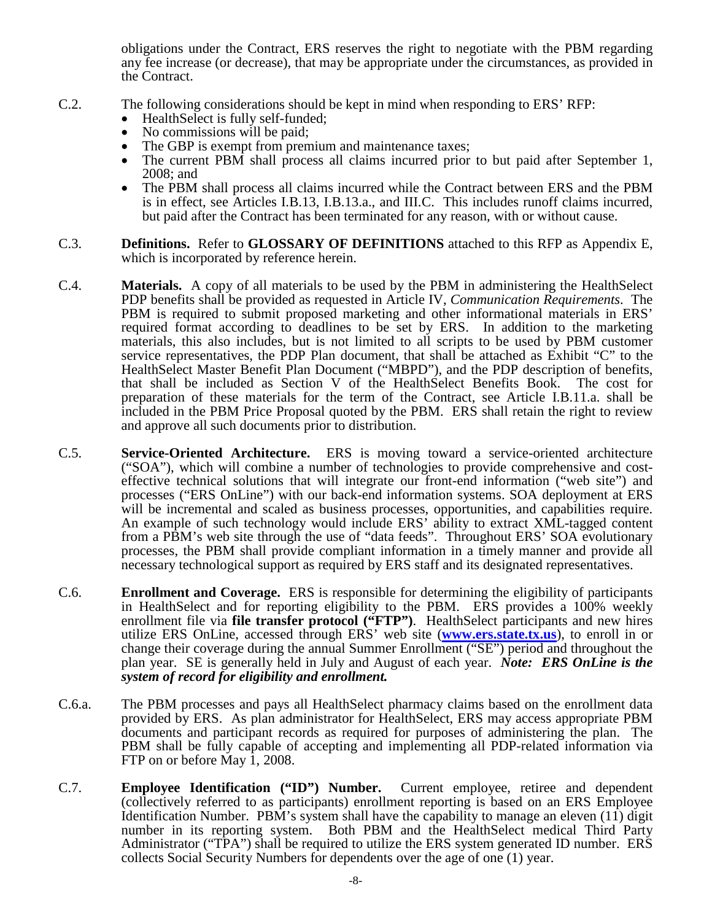obligations under the Contract, ERS reserves the right to negotiate with the PBM regarding any fee increase (or decrease), that may be appropriate under the circumstances, as provided in the Contract.

- C.2. The following considerations should be kept in mind when responding to ERS' RFP:
	- Health Select is fully self-funded;
	-
	-
	- No commissions will be paid;<br>• The GBP is exempt from premium and maintenance taxes;<br>• The current PBM shall process all claims incurred prior to but paid after September 1,
	- 2008; and The PBM shall process all claims incurred while the Contract between ERS and the PBM is in effect, see Articles I.B.13, I.B.13.a., and III.C. This includes runoff claims incurred, but paid after the Contract has been terminated for any reason, with or without cause.
- C.3. **Definitions.** Refer to **GLOSSARY OF DEFINITIONS** attached to this RFP as Appendix E, which is incorporated by reference herein.
- C.4. **Materials.** A copy of all materials to be used by the PBM in administering the HealthSelect PDP benefits shall be provided as requested in Article IV, *Communication Requirements*. The PBM is required to submit proposed marketing and other informational materials in ERS' required format according to deadlines to be set by ERS. In addition to the marketing materials, this also includes, but is not limited to all scripts to be used by PBM customer service representatives, the PDP Plan document, that shall be attached as Exhibit "C" to the HealthSelect Master Benefit Plan Document ("MBPD"), and the PDP description of benefits, that shall be included as Section V of the HealthSelect Benefits Book. The cost for preparation of these materials for the term of the Contract, see Article I.B.11.a. shall be included in the PBM Price Proposal quoted by the PBM. ERS shall retain the right to review and approve all such documents prior to distribution.
- C.5. **Service-Oriented Architecture.** ERS is moving toward a service-oriented architecture ("SOA"), which will combine a number of technologies to provide comprehensive and cost- effective technical solutions that will integrate our front-end information ("web site") and processes ("ERS OnLine") with our back-end information systems. SOA deployment at ERS will be incremental and scaled as business processes, opportunities, and capabilities require. An example of such technology would include ERS' ability to extract XML-tagged content from a PBM's web site through the use of "data feeds". Throughout ERS' SOA evolutionary processes, the PBM shall provide compliant information in a timely manner and provide all necessary technological support as required by ERS staff and its designated representatives.
- C.6. **Enrollment and Coverage.** ERS is responsible for determining the eligibility of participants in HealthSelect and for reporting eligibility to the PBM. ERS provides a 100% weekly enrollment file via **file transfer protocol** ("**FTP**"). HealthSelect participants and new hires utilize ERS OnLine, accessed through ERS' web site (**[www.ers.state.tx.us](http://www.ers.state.tx.us/)**), to enroll in or change their coverage during the annual Summer Enrollment ("SE") period and throughout the plan year. SE is generally held in July and August of each year. *Note: ERS OnLine is the system of record for eligibility and enrollment.*
- C.6.a. The PBM processes and pays all HealthSelect pharmacy claims based on the enrollment data provided by ERS. As plan administrator for HealthSelect, ERS may access appropriate PBM documents and participant records as required for purposes of administering the plan. The PBM shall be fully capable of accepting and implementing all PDP-related information via FTP on or before May 1, 2008.
- C.7. **Employee Identification ("ID") Number.** Current employee, retiree and dependent (collectively referred to as participants) enrollment reporting is based on an ERS Employee Identification Number. PBM's system shall have the capability to manage an eleven (11) digit number in its reporting system. Both PBM and the HealthSelect medical Third Party Administrator ("TPA") shall be required to utilize the ERS system generated ID number. ERS collects Social Security Numbers for dependents over the age of one (1) year.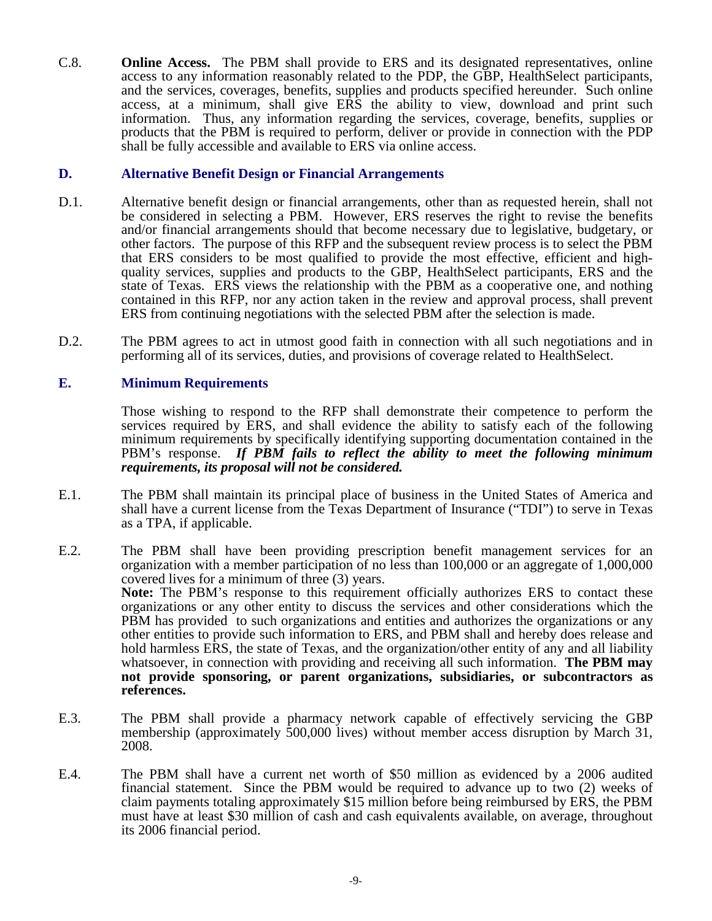C.8. **Online Access.** The PBM shall provide to ERS and its designated representatives, online access to any information reasonably related to the PDP, the GBP, HealthSelect participants, and the services, coverages, benefits, supplies and products specified hereunder. Such online access, at a minimum, shall give ERS the ability to view, download and print such information. Thus, any information regarding the services, coverage, benefits, supplies or products that the PBM is required to perform, deliver or provide in connection with the PDP shall be fully accessible and available to ERS via online access.

#### **D. Alternative Benefit Design or Financial Arrangements**

- D.1. Alternative benefit design or financial arrangements, other than as requested herein, shall not be considered in selecting a PBM. However, ERS reserves the right to revise the benefits and/or financial arrangements should that become necessary due to legislative, budgetary, or other factors. The purpose of this RFP and the subsequent review process is to select the PBM that ERS considers to be most qualified to provide the most effective, efficient and high- quality services, supplies and products to the GBP, HealthSelect participants, ERS and the state of Texas. ERS views the relationship with the PBM as a cooperative one, and nothing contained in this RFP, nor any action taken in the review and approval process, shall prevent ERS from continuing negotiations with the selected PBM after the selection is made.
- D.2. The PBM agrees to act in utmost good faith in connection with all such negotiations and in performing all of its services, duties, and provisions of coverage related to HealthSelect.

#### **E. Minimum Requirements**

Those wishing to respond to the RFP shall demonstrate their competence to perform the services required by ERS, and shall evidence the ability to satisfy each of the following minimum requirements by specifically identifying supporting documentation contained in the PBM's response. *If PBM fails to reflect the ability to meet the following minimum requirements, its proposal will not be considered.*

- E.1. The PBM shall maintain its principal place of business in the United States of America and shall have a current license from the Texas Department of Insurance ("TDI") to serve in Texas as a TPA, if applicable.
- E.2. The PBM shall have been providing prescription benefit management services for an organization with a member participation of no less than 100,000 or an aggregate of 1,000,000 covered lives for a minimum of three (3) years. **Note:** The PBM's response to this requirement officially authorizes ERS to contact these organizations or any other entity to discuss the services and other considerations which the PBM has provided to such organizations and entities and authorizes the organizations or any other entities to provide such information to ERS, and PBM shall and hereby does release and hold harmless ERS, the state of Texas, and the organization/other entity of any and all liability whatsoever, in connection with providing and receiving all such information. **The PBM may not provide sponsoring, or parent organizations, subsidiaries, or subcontractors as references.**
- E.3. The PBM shall provide a pharmacy network capable of effectively servicing the GBP membership (approximately 500,000 lives) without member access disruption by March 31, 2008.
- E.4. The PBM shall have a current net worth of \$50 million as evidenced by a 2006 audited financial statement. Since the PBM would be required to advance up to two (2) weeks of claim payments totaling approximately \$15 million before being reimbursed by ERS, the PBM must have at least \$30 million of cash and cash equivalents available, on average, throughout its 2006 financial period.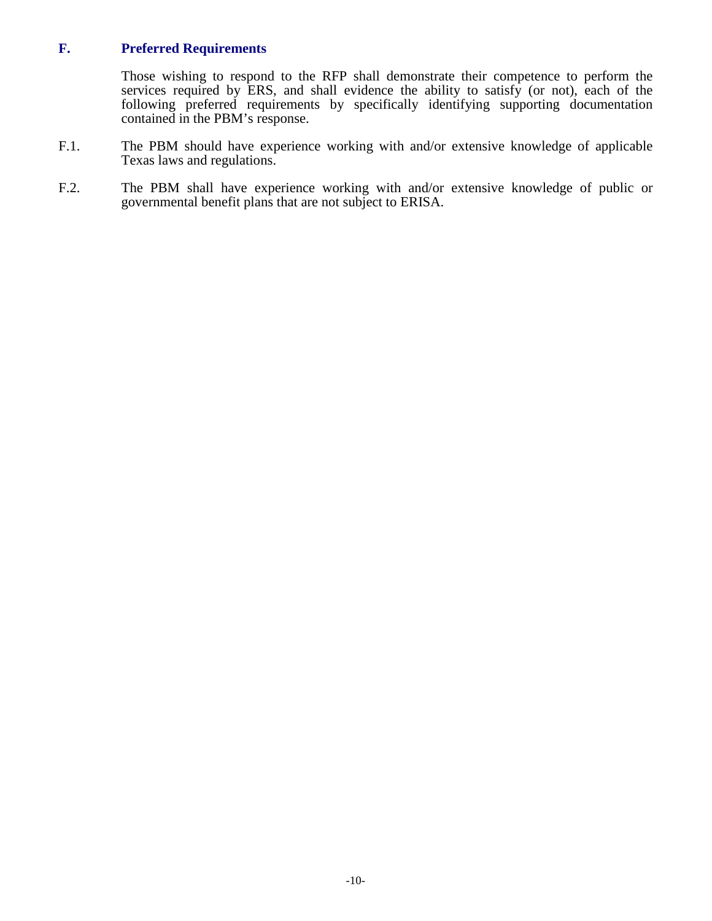# **F. Preferred Requirements**

Those wishing to respond to the RFP shall demonstrate their competence to perform the services required by ERS, and shall evidence the ability to satisfy (or not), each of the following preferred requirements by specifically identifying supporting documentation contained in the PBM's response.

- F.1. The PBM should have experience working with and/or extensive knowledge of applicable Texas laws and regulations.
- F.2. The PBM shall have experience working with and/or extensive knowledge of public or governmental benefit plans that are not subject to ERISA.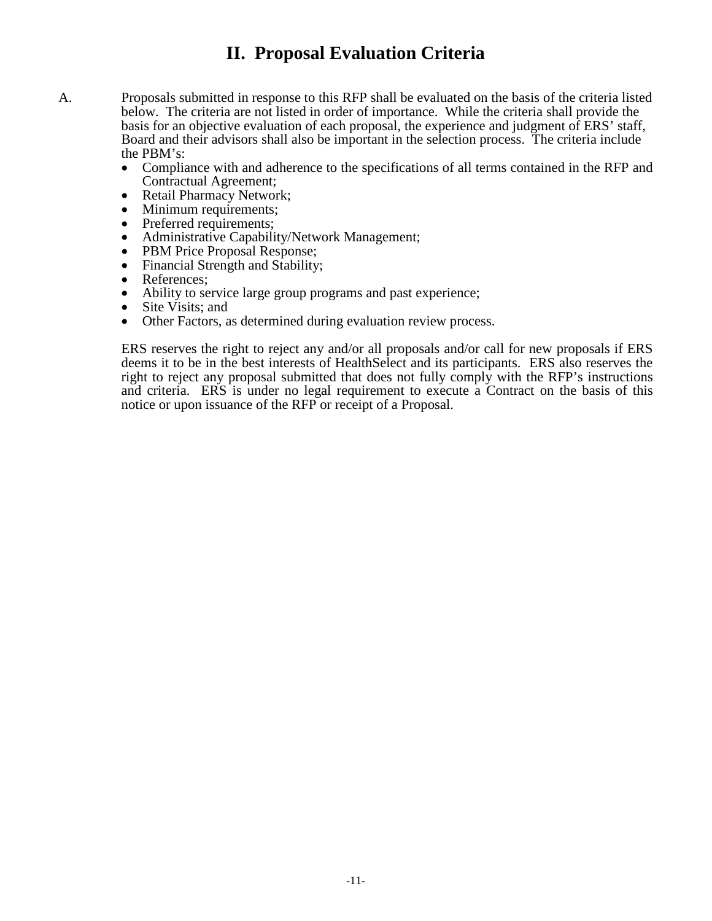# **II. Proposal Evaluation Criteria**

- A. Proposals submitted in response to this RFP shall be evaluated on the basis of the criteria listed below. The criteria are not listed in order of importance. While the criteria shall provide the basis for an objective evaluation of each proposal, the experience and judgment of ERS' staff, Board and their advisors shall also be important in the selection process. The criteria include the PBM's:
	- Compliance with and adherence to the specifications of all terms contained in the RFP and Contractual Agreement;
	- Retail Pharmacy Network;<br>• Minimum requirements:
	- Minimum requirements;
	- Preferred requirements;
	- Administrative Capability/Network Management;
	- PBM Price Proposal Response;
	- Financial Strength and Stability;
	- References;<br>• Ability to se
	- Ability to service large group programs and past experience;
	- Site Visits; and
	- Other Factors, as determined during evaluation review process.

ERS reserves the right to reject any and/or all proposals and/or call for new proposals if ERS deems it to be in the best interests of HealthSelect and its participants. ERS also reserves the right to reject any proposal submitted that does not fully comply with the RFP's instructions and criteria. ERS is under no legal requirement to execute a Contract on the basis of this notice or upon issuance of the RFP or receipt of a Proposal.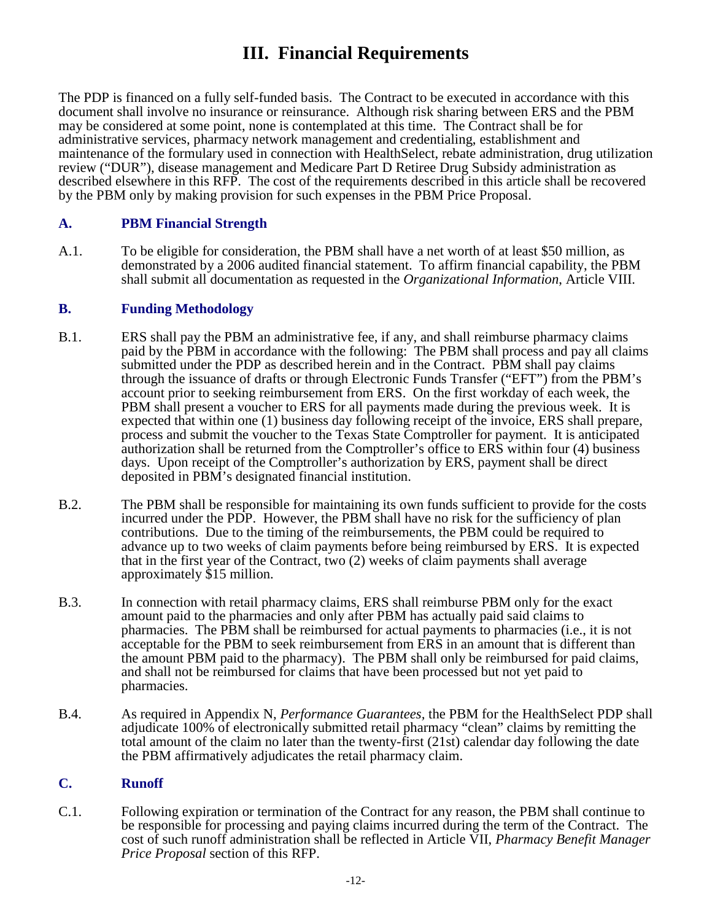# **III. Financial Requirements**

The PDP is financed on a fully self-funded basis. The Contract to be executed in accordance with this document shall involve no insurance or reinsurance. Although risk sharing between ERS and the PBM may be considered at some point, none is contemplated at this time. The Contract shall be for administrative services, pharmacy network management and credentialing, establishment and maintenance of the formulary used in connection with HealthSelect, rebate administration, drug utilization review ("DUR"), disease management and Medicare Part D Retiree Drug Subsidy administration as described elsewhere in this RFP. The cost of the requirements described in this article shall be recovered by the PBM only by making provision for such expenses in the PBM Price Proposal.

# **A. PBM Financial Strength**

A.1. To be eligible for consideration, the PBM shall have a net worth of at least \$50 million, as demonstrated by a 2006 audited financial statement. To affirm financial capability, the PBM shall submit all documentation as requested in the *Organizational Information*, Article VIII.

# **B. Funding Methodology**

- B.1. ERS shall pay the PBM an administrative fee, if any, and shall reimburse pharmacy claims paid by the PBM in accordance with the following: The PBM shall process and pay all claims submitted under the PDP as described herein and in the Contract. PBM shall pay claims through the issuance of drafts or through Electronic Funds Transfer ("EFT") from the PBM's account prior to seeking reimbursement from ERS. On the first workday of each week, the PBM shall present a voucher to ERS for all payments made during the previous week. It is expected that within one (1) business day following receipt of the invoice, ERS shall prepare, process and submit the voucher to the Texas State Comptroller for payment. It is anticipated authorization shall be returned from the Comptroller's office to ERS within four (4) business days. Upon receipt of the Comptroller's authorization by ERS, payment shall be direct deposited in PBM's designated financial institution.
- B.2. The PBM shall be responsible for maintaining its own funds sufficient to provide for the costs incurred under the PDP. However, the PBM shall have no risk for the sufficiency of plan contributions. Due to the timing of the reimbursements, the PBM could be required to advance up to two weeks of claim payments before being reimbursed by ERS. It is expected that in the first year of the Contract, two (2) weeks of claim payments shall average approximately \$15 million.
- B.3. In connection with retail pharmacy claims, ERS shall reimburse PBM only for the exact amount paid to the pharmacies and only after PBM has actually paid said claims to pharmacies. The PBM shall be reimbursed for actual payments to pharmacies (i.e., it is not acceptable for the PBM to seek reimbursement from ERS in an amount that is different than the amount PBM paid to the pharmacy). The PBM shall only be reimbursed for paid claims, and shall not be reimbursed for claims that have been processed but not yet paid to pharmacies.
- B.4. As required in Appendix N, *Performance Guarantees,* the PBM for the HealthSelect PDP shall adjudicate 100% of electronically submitted retail pharmacy "clean" claims by remitting the total amount of the claim no later than the twenty-first (21st) calendar day following the date the PBM affirmatively adjudicates the retail pharmacy claim.

# **C. Runoff**

C.1. Following expiration or termination of the Contract for any reason, the PBM shall continue to be responsible for processing and paying claims incurred during the term of the Contract. The cost of such runoff administration shall be reflected in Article VII, *Pharmacy Benefit Manager Price Proposal* section of this RFP.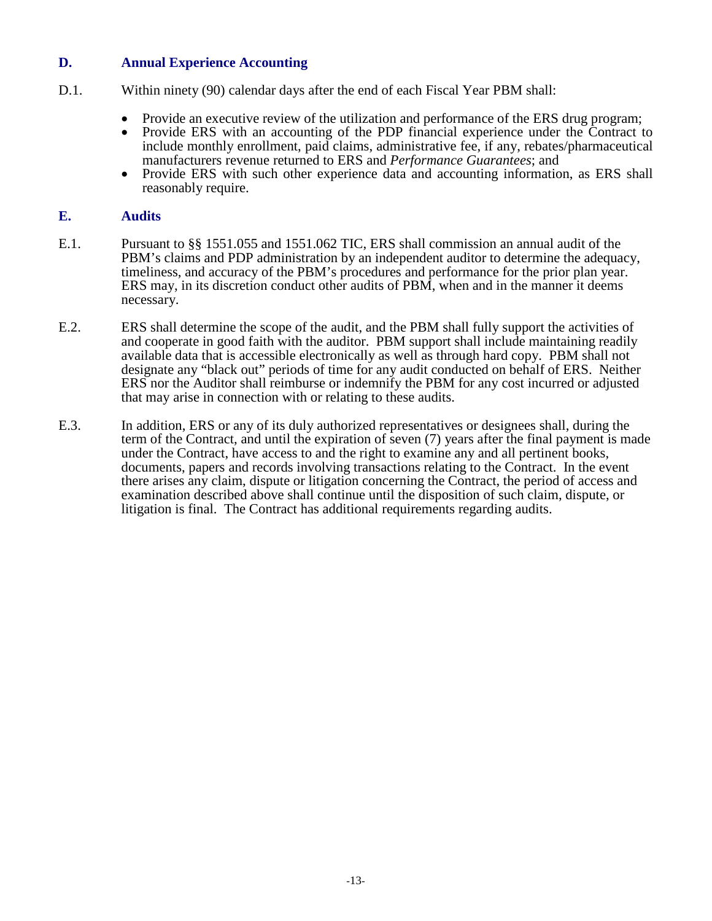### **D. Annual Experience Accounting**

- D.1. Within ninety (90) calendar days after the end of each Fiscal Year PBM shall:
	- Provide an executive review of the utilization and performance of the ERS drug program;
	- Provide ERS with an accounting of the PDP financial experience under the Contract to include monthly enrollment, paid claims, administrative fee, if any, rebates/pharmaceutical manufacturers revenue returned to ERS and *Performance Guarantees*; and
	- Provide ERS with such other experience data and accounting information, as ERS shall reasonably require.

#### **E. Audits**

- E.1. Pursuant to §§ 1551.055 and 1551.062 TIC, ERS shall commission an annual audit of the PBM's claims and PDP administration by an independent auditor to determine the adequacy, timeliness, and accuracy of the PBM's procedures and performance for the prior plan year. ERS may, in its discretion conduct other audits of PBM, when and in the manner it deems necessary.
- E.2. ERS shall determine the scope of the audit, and the PBM shall fully support the activities of and cooperate in good faith with the auditor. PBM support shall include maintaining readily available data that is accessible electronically as well as through hard copy. PBM shall not designate any "black out" periods of time for any audit conducted on behalf of ERS. Neither ERS nor the Auditor shall reimburse or indemnify the PBM for any cost incurred or adjusted that may arise in connection with or relating to these audits.
- E.3. In addition, ERS or any of its duly authorized representatives or designees shall, during the term of the Contract, and until the expiration of seven (7) years after the final payment is made under the Contract, have access to and the right to examine any and all pertinent books, documents, papers and records involving transactions relating to the Contract. In the event there arises any claim, dispute or litigation concerning the Contract, the period of access and examination described above shall continue until the disposition of such claim, dispute, or litigation is final. The Contract has additional requirements regarding audits.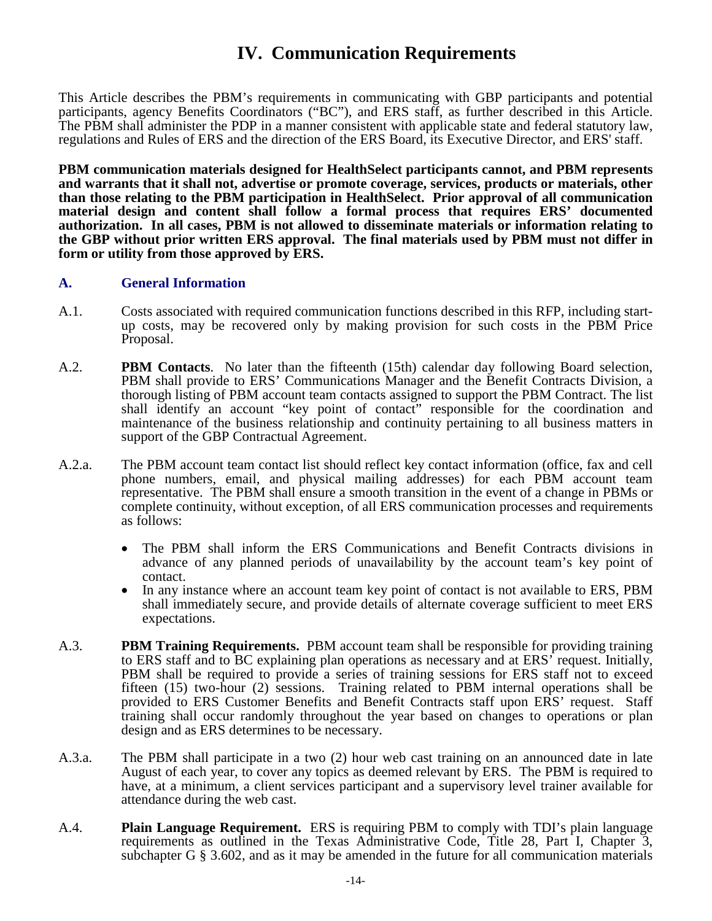# **IV. Communication Requirements**

This Article describes the PBM's requirements in communicating with GBP participants and potential participants, agency Benefits Coordinators ("BC"), and ERS staff, as further described in this Article. The PBM shall administer the PDP in a manner consistent with applicable state and federal statutory law, regulations and Rules of ERS and the direction of the ERS Board, its Executive Director, and ERS' staff.

**PBM communication materials designed for HealthSelect participants cannot, and PBM represents and warrants that it shall not, advertise or promote coverage, services, products or materials, other than those relating to the PBM participation in HealthSelect. Prior approval of all communication material design and content shall follow a formal process that requires ERS' documented authorization. In all cases, PBM is not allowed to disseminate materials or information relating to the GBP without prior written ERS approval. The final materials used by PBM must not differ in form or utility from those approved by ERS.**

#### **A. General Information**

- A.1. Costs associated with required communication functions described in this RFP, including startup costs, may be recovered only by making provision for such costs in the PBM Price Proposal.
- A.2. **PBM Contacts**. No later than the fifteenth (15th) calendar day following Board selection, PBM shall provide to ERS' Communications Manager and the Benefit Contracts Division, a thorough listing of PBM account team contacts assigned to support the PBM Contract. The list shall identify an account "key point of contact" responsible for the coordination and maintenance of the business relationship and continuity pertaining to all business matters in support of the GBP Contractual Agreement.
- A.2.a. The PBM account team contact list should reflect key contact information (office, fax and cell phone numbers, email, and physical mailing addresses) for each PBM account team representative. The PBM shall ensure a smooth transition in the event of a change in PBMs or complete continuity, without exception, of all ERS communication processes and requirements as follows:
	- The PBM shall inform the ERS Communications and Benefit Contracts divisions in advance of any planned periods of unavailability by the account team's key point of contact.
	- In any instance where an account team key point of contact is not available to ERS, PBM shall immediately secure, and provide details of alternate coverage sufficient to meet ERS expectations.
- A.3. **PBM Training Requirements.** PBM account team shall be responsible for providing training to ERS staff and to BC explaining plan operations as necessary and at ERS' request. Initially, PBM shall be required to provide a series of training sessions for ERS staff not to exceed fifteen (15) two-hour (2) sessions. Training related to PBM internal operations shall be provided to ERS Customer Benefits and Benefit Contracts staff upon ERS' request. Staff training shall occur randomly throughout the year based on changes to operations or plan design and as ERS determines to be necessary.
- A.3.a. The PBM shall participate in a two (2) hour web cast training on an announced date in late August of each year, to cover any topics as deemed relevant by ERS. The PBM is required to have, at a minimum, a client services participant and a supervisory level trainer available for attendance during the web cast.
- A.4. **Plain Language Requirement.** ERS is requiring PBM to comply with TDI's plain language requirements as outlined in the Texas Administrative Code, Title 28, Part I, Chapter 3, subchapter G  $\S$  3.602, and as it may be amended in the future for all communication materials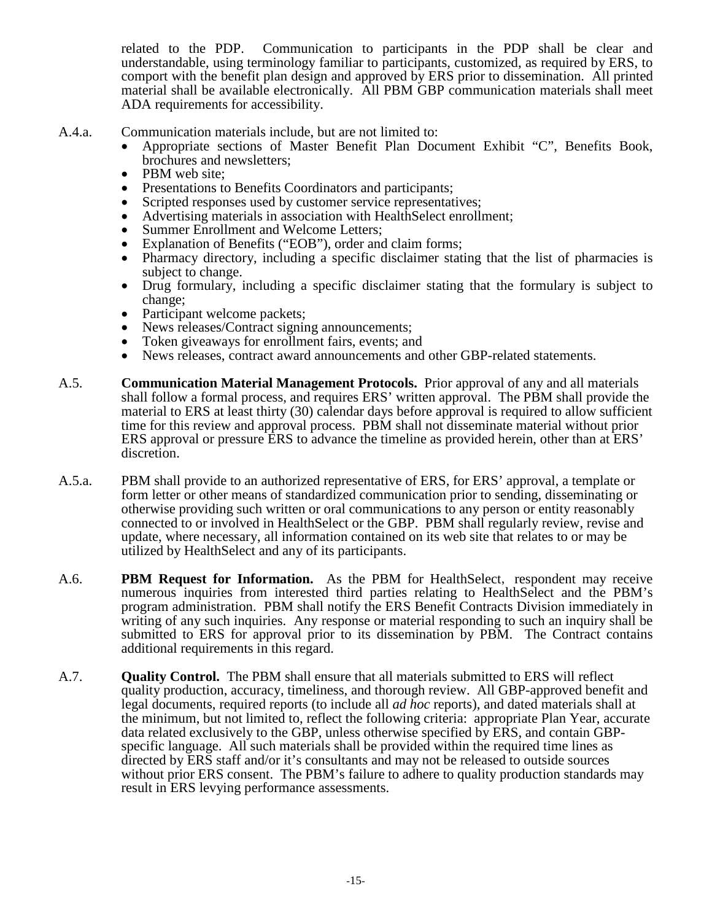related to the PDP. Communication to participants in the PDP shall be clear and understandable, using terminology familiar to participants, customized, as required by ERS, to comport with the benefit plan design and approved by ERS prior to dissemination. All printed material shall be available electronically. All PBM GBP communication materials shall meet ADA requirements for accessibility.

- 
- A.4.a. Communication materials include, but are not limited to:<br>
 Appropriate sections of Master Benefit Plan Document Exhibit "C", Benefits Book,<br>
brochures and newsletters;
	-
	-
	-
	-
	-
	-
	- PBM web site;<br>
	 Presentations to Benefits Coordinators and participants;<br>
	 Scripted responses used by customer service representatives;<br>
	 Advertising materials in association with HealthSelect enrollment;<br>
	 Summer En
	- subject to change. Drug formulary, including a specific disclaimer stating that the formulary is subject to
	-
	-
	-
	- change;<br>
	 Participant welcome packets;<br>
	 News releases/Contract signing announcements;<br>
	 Token giveaways for enrollment fairs, events; and<br>
	 News releases, contract award announcements and other GBP-related statements.
- A.5. **Communication Material Management Protocols.** Prior approval of any and all materials shall follow a formal process, and requires ERS' written approval. The PBM shall provide the material to ERS at least thirty (30) calendar days before approval is required to allow sufficient time for this review and approval process. PBM shall not disseminate material without prior ERS approval or pressure ERS to advance the timeline as provided herein, other than at ERS' discretion.
- A.5.a. PBM shall provide to an authorized representative of ERS, for ERS' approval, a template or form letter or other means of standardized communication prior to sending, disseminating or otherwise providing such written or oral communications to any person or entity reasonably connected to or involved in HealthSelect or the GBP. PBM shall regularly review, revise and update, where necessary, all information contained on its web site that relates to or may be utilized by HealthSelect and any of its participants.
- A.6. **PBM Request for Information.** As the PBM for HealthSelect, respondent may receive numerous inquiries from interested third parties relating to HealthSelect and the PBM's program administration. PBM shall notify the ERS Benefit Contracts Division immediately in writing of any such inquiries. Any response or material responding to such an inquiry shall be submitted to ERS for approval prior to its dissemination by PBM. The Contract contains additional requirements in this regard.
- A.7. **Quality Control.** The PBM shall ensure that all materials submitted to ERS will reflect quality production, accuracy, timeliness, and thorough review. All GBP-approved benefit and legal documents, required reports (to include all *ad hoc* reports), and dated materials shall at the minimum, but not limited to, reflect the following criteria: appropriate Plan Year, accurate data related exclusively to the GBP, unless otherwise specified by ERS, and contain GBPspecific language. All such materials shall be provided within the required time lines as directed by ERS staff and/or it's consultants and may not be released to outside sources without prior ERS consent. The PBM's failure to adhere to quality production standards may result in ERS levying performance assessments.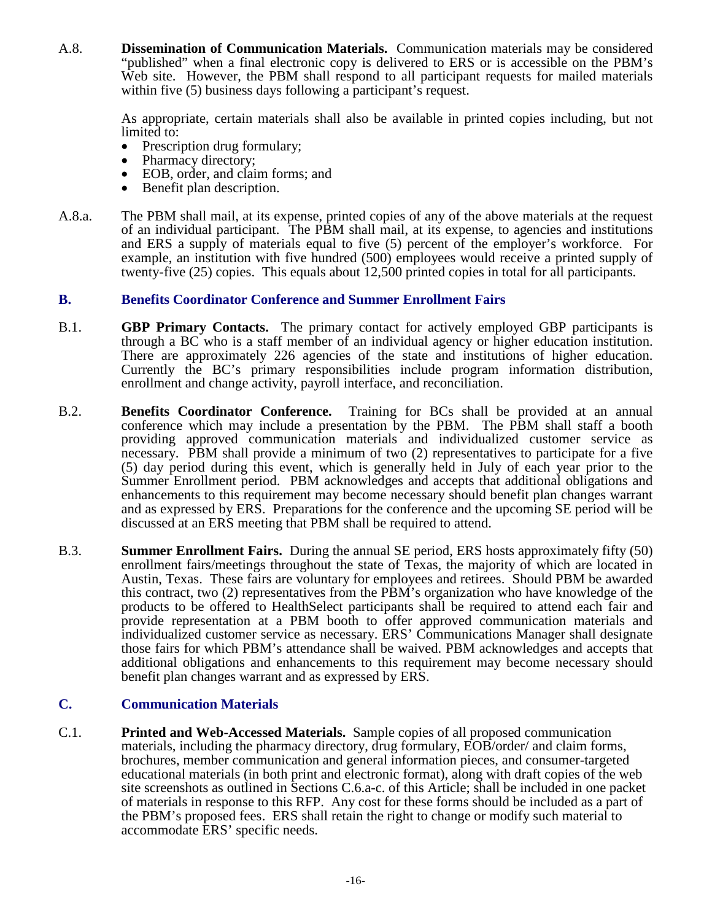A.8. **Dissemination of Communication Materials.** Communication materials may be considered "published" when a final electronic copy is delivered to ERS or is accessible on the PBM's Web site. However, the PBM shall respond to all participant requests for mailed materials within five (5) business days following a participant's request.

> As appropriate, certain materials shall also be available in printed copies including, but not limited to:

- 
- 
- Prescription drug formulary;<br>
 Pharmacy directory;<br>
 EOB, order, and claim forms; and<br>
 Benefit plan description.
- 
- A.8.a. The PBM shall mail, at its expense, printed copies of any of the above materials at the request of an individual participant. The PBM shall mail, at its expense, to agencies and institutions and ERS a supply of materials equal to five (5) percent of the employer's workforce. For example, an institution with five hundred (500) employees would receive a printed supply of twenty-five (25) copies. This equals about 12,500 printed copies in total for all participants.

### **B. Benefits Coordinator Conference and Summer Enrollment Fairs**

- B.1. **GBP Primary Contacts.** The primary contact for actively employed GBP participants is through a BC who is a staff member of an individual agency or higher education institution. There are approximately 226 agencies of the state and institutions of higher education. Currently the BC's primary responsibilities include program information distribution, enrollment and change activity, payroll interface, and reconciliation.
- B.2. **Benefits Coordinator Conference.** Training for BCs shall be provided at an annual conference which may include a presentation by the PBM. The PBM shall staff a booth providing approved communication materials and individualized customer service as necessary. PBM shall provide a minimum of two (2) representatives to participate for a five (5) day period during this event, which is generally held in July of each year prior to the Summer Enrollment period. PBM acknowledges and accepts that additional obligations and enhancements to this requirement may become necessary should benefit plan changes warrant and as expressed by ERS. Preparations for the conference and the upcoming SE period will be discussed at an ERS meeting that PBM shall be required to attend.
- B.3. **Summer Enrollment Fairs.** During the annual SE period, ERS hosts approximately fifty (50) enrollment fairs/meetings throughout the state of Texas, the majority of which are located in Austin, Texas. These fairs are voluntary for employees and retirees. Should PBM be awarded this contract, two (2) representatives from the PBM's organization who have knowledge of the products to be offered to HealthSelect participants shall be required to attend each fair and provide representation at a PBM booth to offer approved communication materials and individualized customer service as necessary. ERS' Communications Manager shall designate those fairs for which PBM's attendance shall be waived. PBM acknowledges and accepts that additional obligations and enhancements to this requirement may become necessary should benefit plan changes warrant and as expressed by ERS.

# **C. Communication Materials**

C.1. **Printed and Web-Accessed Materials.** Sample copies of all proposed communication materials, including the pharmacy directory, drug formulary, EOB/order/ and claim forms, brochures, member communication and general information pieces, and consumer-targeted educational materials (in both print and electronic format), along with draft copies of the web site screenshots as outlined in Sections C.6.a-c. of this Article; shall be included in one packet of materials in response to this RFP. Any cost for these forms should be included as a part of the PBM's proposed fees. ERS shall retain the right to change or modify such material to accommodate ERS' specific needs.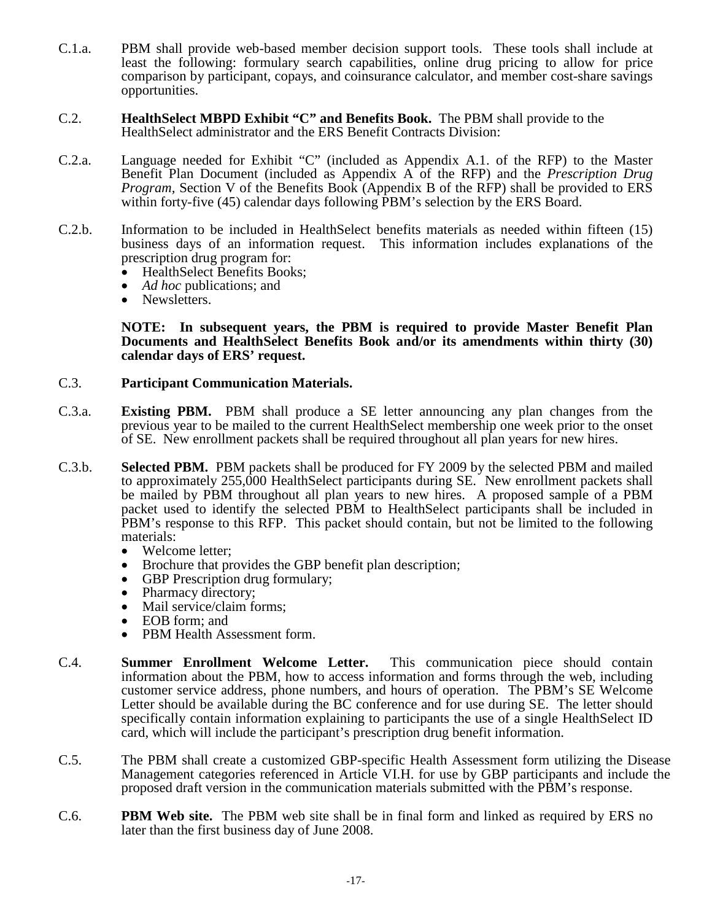- C.1.a. PBM shall provide web-based member decision support tools. These tools shall include at least the following: formulary search capabilities, online drug pricing to allow for price comparison by participant, copays, and coinsurance calculator, and member cost-share savings opportunities.
- C.2. **HealthSelect MBPD Exhibit "C" and Benefits Book.** The PBM shall provide to the HealthSelect administrator and the ERS Benefit Contracts Division:
- C.2.a. Language needed for Exhibit "C" (included as Appendix A.1. of the RFP) to the Master Benefit Plan Document (included as Appendix A of the RFP) and the *Prescription Drug Program,* Section V of the Benefits Book (Appendix B of the RFP) shall be provided to ERS within forty-five (45) calendar days following PBM's selection by the ERS Board.
- C.2.b. Information to be included in HealthSelect benefits materials as needed within fifteen (15) business days of an information request. This information includes explanations of the prescription drug program for:
	- HealthSelect Benefits Books;<br>• *Ad hoc* publications; and<br>• Newsletters.
	-
	-

#### **NOTE: In subsequent years, the PBM is required to provide Master Benefit Plan Documents and HealthSelect Benefits Book and/or its amendments within thirty (30) calendar days of ERS' request.**

#### C.3. **Participant Communication Materials.**

- C.3.a. **Existing PBM.** PBM shall produce a SE letter announcing any plan changes from the previous year to be mailed to the current HealthSelect membership one week prior to the onset of SE. New enrollment packets shall be required throughout all plan years for new hires.
- C.3.b. **Selected PBM.** PBM packets shall be produced for FY 2009 by the selected PBM and mailed to approximately 255,000 HealthSelect participants during SE. New enrollment packets shall be mailed by PBM throughout all plan years to new hires. A proposed sample of a PBM packet used to identify the selected PBM to HealthSelect participants shall be included in PBM's response to this RFP. This packet should contain, but not be limited to the following materials:
	- Welcome letter;
	- Brochure that provides the GBP benefit plan description;
	- GBP Prescription drug formulary;
	- Pharmacy directory;
	- Mail service/claim forms;
	- EOB form; and
	- PBM Health Assessment form.
- C.4. **Summer Enrollment Welcome Letter.** This communication piece should contain information about the PBM, how to access information and forms through the web, including customer service address, phone numbers, and hours of operation. The PBM's SE Welcome Letter should be available during the BC conference and for use during SE. The letter should specifically contain information explaining to participants the use of a single HealthSelect ID card, which will include the participant's prescription drug benefit information.
- C.5. The PBM shall create a customized GBP-specific Health Assessment form utilizing the Disease Management categories referenced in Article VI.H. for use by GBP participants and include the proposed draft version in the communication materials submitted with the PBM's response.
- C.6. **PBM Web site.** The PBM web site shall be in final form and linked as required by ERS no later than the first business day of June 2008.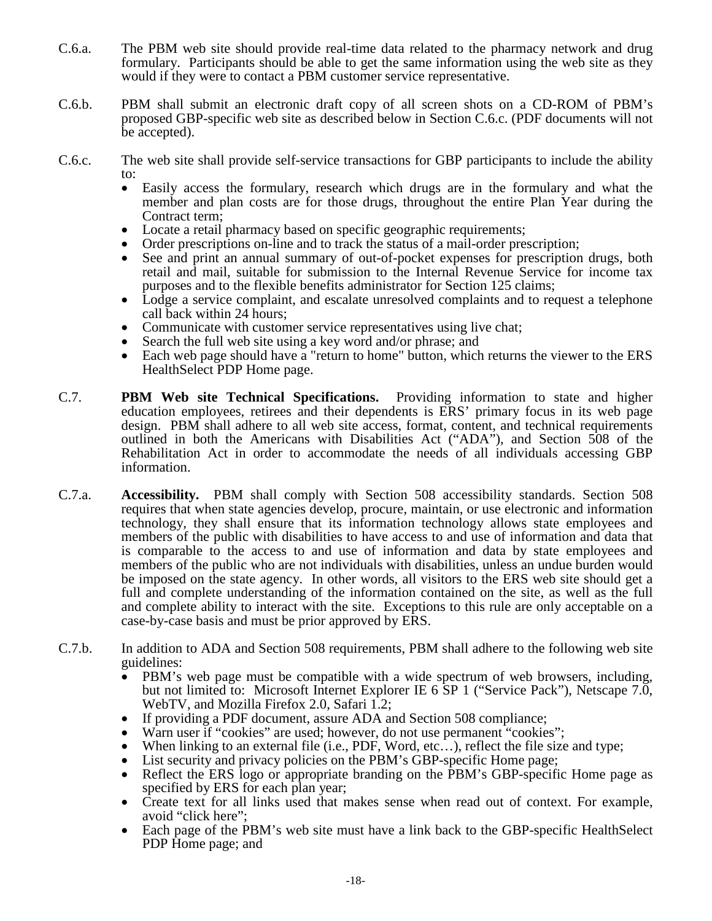- C.6.a. The PBM web site should provide real-time data related to the pharmacy network and drug formulary. Participants should be able to get the same information using the web site as they would if they were to contact a PBM customer service representative.
- C.6.b. PBM shall submit an electronic draft copy of all screen shots on a CD-ROM of PBM's proposed GBP-specific web site as described below in Section C.6.c. (PDF documents will not be accepted).
- C.6.c. The web site shall provide self-service transactions for GBP participants to include the ability to:
	- Easily access the formulary, research which drugs are in the formulary and what the member and plan costs are for those drugs, throughout the entire Plan Year during the • Contract term;<br>
	• Locate a retail pharmacy based on specific geographic requirements;<br>
	• Order prescriptions on-line and to track the status of a mail-order prescription;<br>
	• See and print an annual summary of out-of-poc
	-
	-
	- retail and mail, suitable for submission to the Internal Revenue Service for income tax purposes and to the flexible benefits administrator for Section 125 claims; • Lodge a service complaint, and escalate unresolved complaints and to request a telephone
	-
	-
	-
	- call back within 24 hours;<br>Communicate with customer service representatives using live chat;<br>Search the full web site using a key word and/or phrase; and<br>Each web page should have a "return to home" button, which returns HealthSelect PDP Home page.
- C.7. **PBM Web site Technical Specifications.** Providing information to state and higher education employees, retirees and their dependents is ERS' primary focus in its web page design. PBM shall adhere to all web site access, format, content, and technical requirements outlined in both the Americans with Disabilities Act ("ADA"), and Section 508 of the Rehabilitation Act in order to accommodate the needs of all individuals accessing GBP information.
- C.7.a. **Accessibility.** PBM shall comply with Section 508 accessibility standards. Section 508 requires that when state agencies develop, procure, maintain, or use electronic and information technology, they shall ensure that its information technology allows state employees and members of the public with disabilities to have access to and use of information and data that is comparable to the access to and use of information and data by state employees and members of the public who are not individuals with disabilities, unless an undue burden would be imposed on the state agency. In other words, all visitors to the ERS web site should get a full and complete understanding of the information contained on the site, as well as the full and complete ability to interact with the site. Exceptions to this rule are only acceptable on a case-by-case basis and must be prior approved by ERS.
- C.7.b. In addition to ADA and Section 508 requirements, PBM shall adhere to the following web site guidelines:
	- PBM's web page must be compatible with a wide spectrum of web browsers, including, but not limited to: Microsoft Internet Explorer IE 6 SP 1 ("Service Pack"), Netscape 7.0,
	-
	-
	- WebTV, and Mozilla Firefox 2.0, Safari 1.2;<br>
	 If providing a PDF document, assure ADA and Section 508 compliance;<br>
	 Warn user if "cookies" are used; however, do not use permanent "cookies";<br>
	 When linking to an external
	-
	- specified by ERS for each plan year;<br>Create text for all links used that makes sense when read out of context. For example,
	- avoid "click here";
	- Each page of the PBM's web site must have a link back to the GBP-specific HealthSelect PDP Home page; and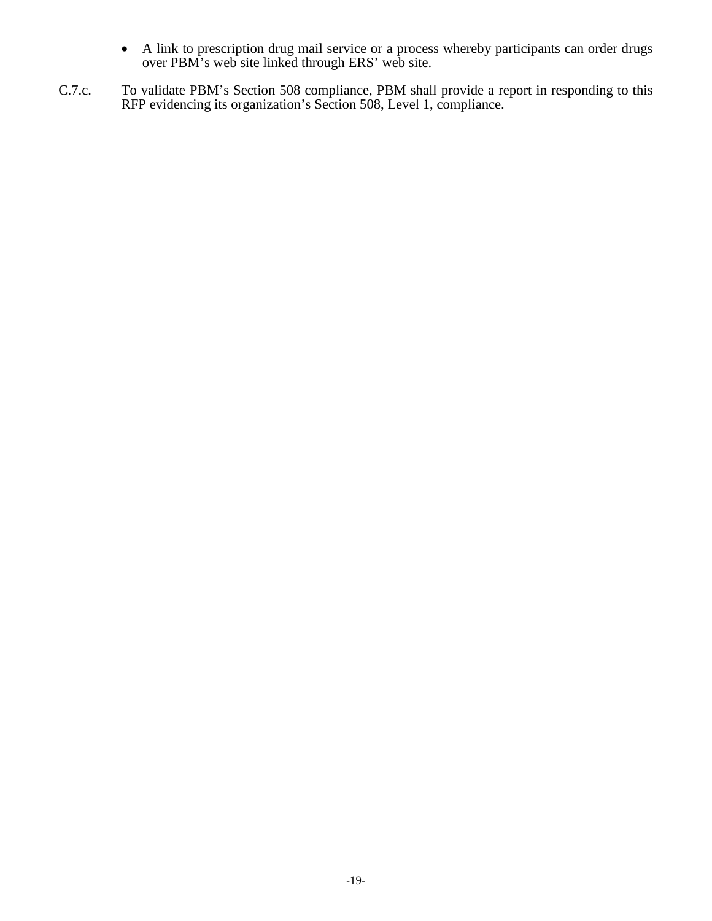- A link to prescription drug mail service or a process whereby participants can order drugs over PBM's web site linked through ERS' web site.
- C.7.c. To validate PBM's Section 508 compliance, PBM shall provide a report in responding to this RFP evidencing its organization's Section 508, Level 1, compliance.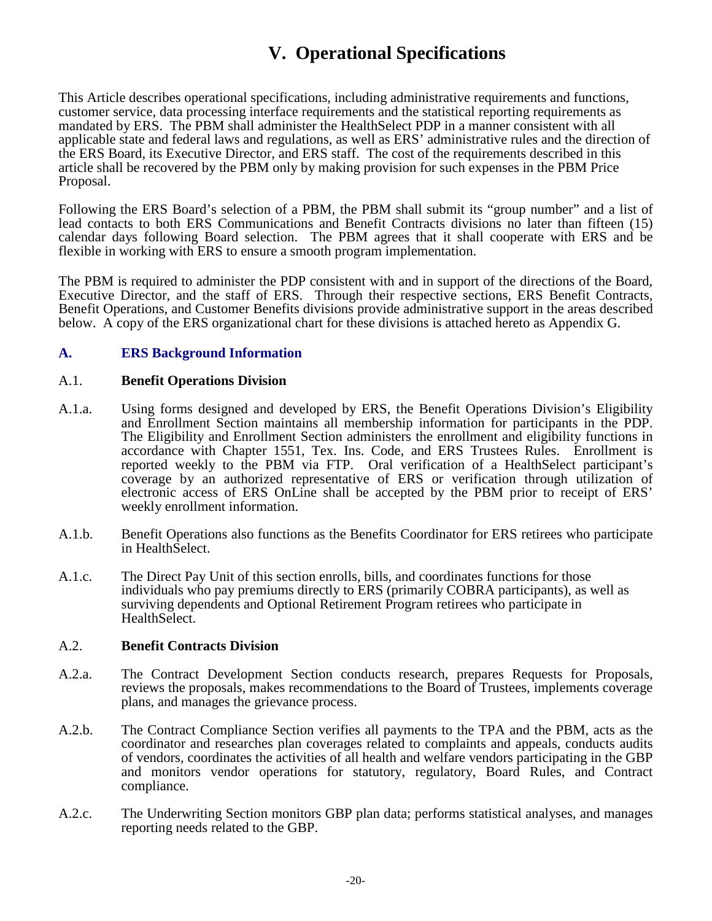# **V. Operational Specifications**

This Article describes operational specifications, including administrative requirements and functions, customer service, data processing interface requirements and the statistical reporting requirements as mandated by ERS. The PBM shall administer the HealthSelect PDP in a manner consistent with all applicable state and federal laws and regulations, as well as ERS' administrative rules and the direction of the ERS Board, its Executive Director, and ERS staff. The cost of the requirements described in this article shall be recovered by the PBM only by making provision for such expenses in the PBM Price Proposal.

Following the ERS Board's selection of a PBM, the PBM shall submit its "group number" and a list of lead contacts to both ERS Communications and Benefit Contracts divisions no later than fifteen (15) calendar days following Board selection. The PBM agrees that it shall cooperate with ERS and be flexible in working with ERS to ensure a smooth program implementation.

The PBM is required to administer the PDP consistent with and in support of the directions of the Board, Executive Director, and the staff of ERS. Through their respective sections, ERS Benefit Contracts, Benefit Operations, and Customer Benefits divisions provide administrative support in the areas described below. A copy of the ERS organizational chart for these divisions is attached hereto as Appendix G.

### **A. ERS Background Information**

#### A.1. **Benefit Operations Division**

- A.1.a. Using forms designed and developed by ERS, the Benefit Operations Division's Eligibility and Enrollment Section maintains all membership information for participants in the PDP. The Eligibility and Enrollment Section administers the enrollment and eligibility functions in accordance with Chapter 1551, Tex. Ins. Code, and ERS Trustees Rules. Enrollment is reported weekly to the PBM via FTP. Oral verification of a HealthSelect participant's coverage by an authorized representative of ERS or verification through utilization of electronic access of ERS OnLine shall be accepted by the PBM prior to receipt of ERS' weekly enrollment information.
- A.1.b. Benefit Operations also functions as the Benefits Coordinator for ERS retirees who participate in HealthSelect.
- A.1.c. The Direct Pay Unit of this section enrolls, bills, and coordinates functions for those individuals who pay premiums directly to ERS (primarily COBRA participants), as well as surviving dependents and Optional Retirement Program retirees who participate in HealthSelect.

#### A.2. **Benefit Contracts Division**

- A.2.a. The Contract Development Section conducts research, prepares Requests for Proposals, reviews the proposals, makes recommendations to the Board of Trustees, implements coverage plans, and manages the grievance process.
- A.2.b. The Contract Compliance Section verifies all payments to the TPA and the PBM, acts as the coordinator and researches plan coverages related to complaints and appeals, conducts audits of vendors, coordinates the activities of all health and welfare vendors participating in the GBP and monitors vendor operations for statutory, regulatory, Board Rules, and Contract compliance.
- A.2.c. The Underwriting Section monitors GBP plan data; performs statistical analyses, and manages reporting needs related to the GBP.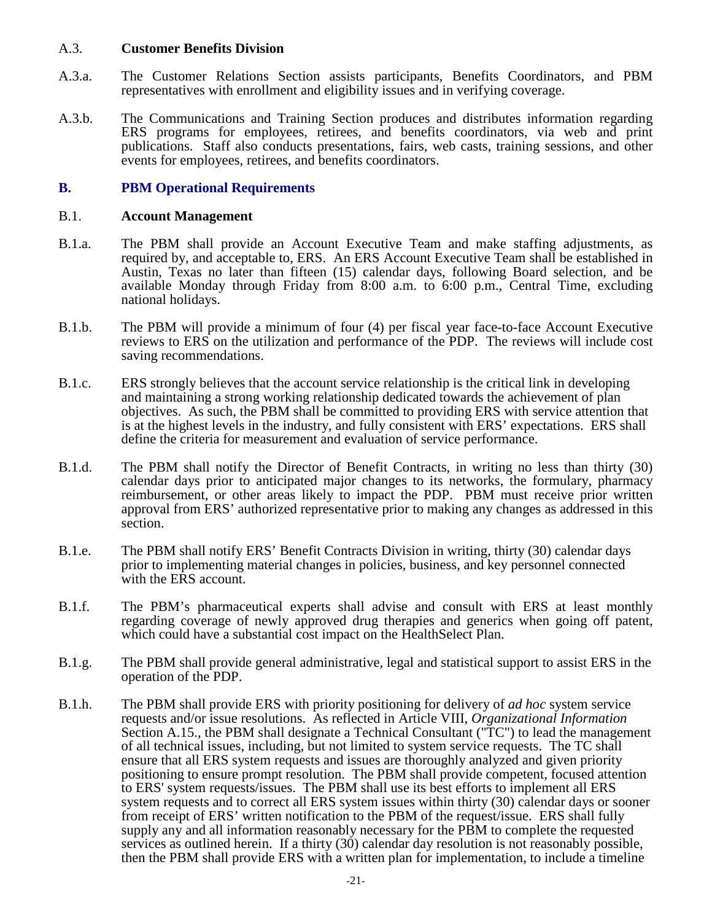#### A.3. **Customer Benefits Division**

- A.3.a. The Customer Relations Section assists participants, Benefits Coordinators, and PBM representatives with enrollment and eligibility issues and in verifying coverage.
- A.3.b. The Communications and Training Section produces and distributes information regarding ERS programs for employees, retirees, and benefits coordinators, via web and print publications. Staff also conducts presentations, fairs, web casts, training sessions, and other events for employees, retirees, and benefits coordinators.

#### **B. PBM Operational Requirements**

#### B.1. **Account Management**

- B.1.a. The PBM shall provide an Account Executive Team and make staffing adjustments, as required by, and acceptable to, ERS. An ERS Account Executive Team shall be established in Austin, Texas no later than fifteen (15) calendar days, following Board selection, and be available Monday through Friday from 8:00 a.m. to 6:00 p.m., Central Time, excluding national holidays.
- B.1.b. The PBM will provide a minimum of four (4) per fiscal year face-to-face Account Executive reviews to ERS on the utilization and performance of the PDP. The reviews will include cost saving recommendations.
- B.1.c. ERS strongly believes that the account service relationship is the critical link in developing and maintaining a strong working relationship dedicated towards the achievement of plan objectives. As such, the PBM shall be committed to providing ERS with service attention that is at the highest levels in the industry, and fully consistent with ERS' expectations. ERS shall define the criteria for measurement and evaluation of service performance.
- B.1.d. The PBM shall notify the Director of Benefit Contracts, in writing no less than thirty (30) calendar days prior to anticipated major changes to its networks, the formulary, pharmacy reimbursement, or other areas likely to impact the PDP. PBM must receive prior written approval from ERS' authorized representative prior to making any changes as addressed in this section.
- B.1.e. The PBM shall notify ERS' Benefit Contracts Division in writing, thirty (30) calendar days prior to implementing material changes in policies, business, and key personnel connected with the ERS account.
- B.1.f. The PBM's pharmaceutical experts shall advise and consult with ERS at least monthly regarding coverage of newly approved drug therapies and generics when going off patent, which could have a substantial cost impact on the HealthSelect Plan.
- B.1.g. The PBM shall provide general administrative, legal and statistical support to assist ERS in the operation of the PDP.
- B.1.h. The PBM shall provide ERS with priority positioning for delivery of *ad hoc* system service requests and/or issue resolutions. As reflected in Article VIII, *Organizational Information* Section A.15., the PBM shall designate a Technical Consultant ("TC") to lead the management of all technical issues, including, but not limited to system service requests. The TC shall ensure that all ERS system requests and issues are thoroughly analyzed and given priority positioning to ensure prompt resolution. The PBM shall provide competent, focused attention to ERS' system requests/issues. The PBM shall use its best efforts to implement all ERS system requests and to correct all ERS system issues within thirty (30) calendar days or sooner from receipt of ERS' written notification to the PBM of the request/issue. ERS shall fully supply any and all information reasonably necessary for the PBM to complete the requested services as outlined herein. If a thirty (30) calendar day resolution is not reasonably possible, then the PBM shall provide ERS with a written plan for implementation, to include a timeline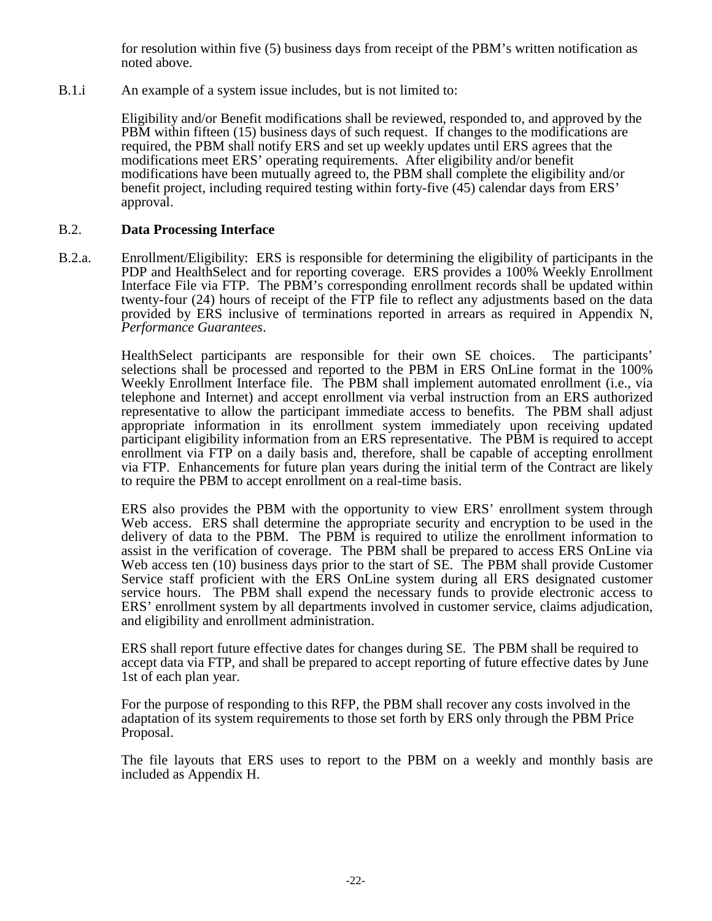for resolution within five (5) business days from receipt of the PBM's written notification as noted above.

B.1.i An example of a system issue includes, but is not limited to:

Eligibility and/or Benefit modifications shall be reviewed, responded to, and approved by the PBM within fifteen (15) business days of such request. If changes to the modifications are required, the PBM shall notify ERS and set up weekly updates until ERS agrees that the modifications meet ERS' operating requirements. After eligibility and/or benefit modifications have been mutually agreed to, the PBM shall complete the eligibility and/or benefit project, including required testing within forty-five (45) calendar days from ERS' approval.

### B.2. **Data Processing Interface**

B.2.a. Enrollment/Eligibility: ERS is responsible for determining the eligibility of participants in the PDP and HealthSelect and for reporting coverage. ERS provides a 100% Weekly Enrollment Interface File via FTP. The PBM's corresponding enrollment records shall be updated within twenty-four (24) hours of receipt of the FTP file to reflect any adjustments based on the data provided by ERS inclusive of terminations reported in arrears as required in Appendix N, *Performance Guarantees*.

> HealthSelect participants are responsible for their own SE choices. The participants' selections shall be processed and reported to the PBM in ERS OnLine format in the 100% Weekly Enrollment Interface file. The PBM shall implement automated enrollment (i.e., via telephone and Internet) and accept enrollment via verbal instruction from an ERS authorized representative to allow the participant immediate access to benefits. The PBM shall adjust appropriate information in its enrollment system immediately upon receiving updated participant eligibility information from an ERS representative. The PBM is required to accept enrollment via FTP on a daily basis and, therefore, shall be capable of accepting enrollment via FTP. Enhancements for future plan years during the initial term of the Contract are likely to require the PBM to accept enrollment on a real-time basis.

> ERS also provides the PBM with the opportunity to view ERS' enrollment system through Web access. ERS shall determine the appropriate security and encryption to be used in the delivery of data to the PBM. The PBM is required to utilize the enrollment information to assist in the verification of coverage. The PBM shall be prepared to access ERS OnLine via Web access ten (10) business days prior to the start of SE. The PBM shall provide Customer Service staff proficient with the ERS OnLine system during all ERS designated customer service hours. The PBM shall expend the necessary funds to provide electronic access to ERS' enrollment system by all departments involved in customer service, claims adjudication, and eligibility and enrollment administration.

> ERS shall report future effective dates for changes during SE. The PBM shall be required to accept data via FTP, and shall be prepared to accept reporting of future effective dates by June 1st of each plan year.

For the purpose of responding to this RFP, the PBM shall recover any costs involved in the adaptation of its system requirements to those set forth by ERS only through the PBM Price Proposal.

The file layouts that ERS uses to report to the PBM on a weekly and monthly basis are included as Appendix H.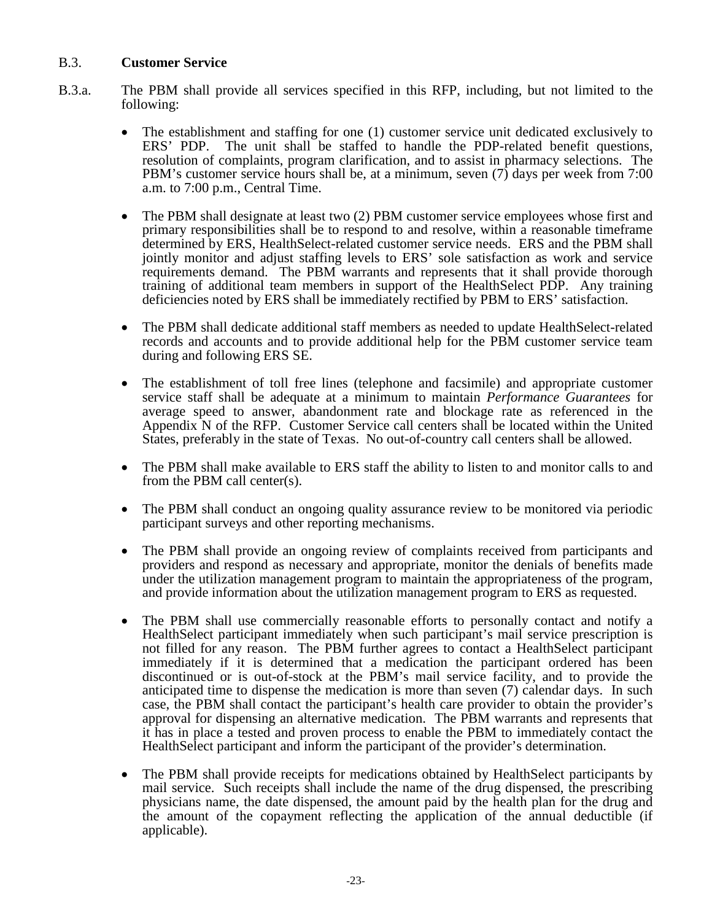#### B.3. **Customer Service**

- B.3.a. The PBM shall provide all services specified in this RFP, including, but not limited to the following:
	- The establishment and staffing for one (1) customer service unit dedicated exclusively to ERS' PDP. The unit shall be staffed to handle the PDP-related benefit questions, The unit shall be staffed to handle the PDP-related benefit questions, resolution of complaints, program clarification, and to assist in pharmacy selections. The PBM's customer service hours shall be, at a minimum, seven (7) days per week from 7:00 a.m. to 7:00 p.m., Central Time.
	- The PBM shall designate at least two (2) PBM customer service employees whose first and primary responsibilities shall be to respond to and resolve, within a reasonable timeframe determined by ERS, HealthSelect-related customer service needs. ERS and the PBM shall jointly monitor and adjust staffing levels to ERS' sole satisfaction as work and service requirements demand. The PBM warrants and represents that it shall provide thorough training of additional team members in support of the HealthSelect PDP. Any training deficiencies noted by ERS shall be immediately rectified by PBM to ERS' satisfaction.
	- The PBM shall dedicate additional staff members as needed to update HealthSelect-related records and accounts and to provide additional help for the PBM customer service team during and following ERS SE.
	- The establishment of toll free lines (telephone and facsimile) and appropriate customer service staff shall be adequate at a minimum to maintain *Performance Guarantees* for average speed to answer, abandonment rate and blockage rate as referenced in the Appendix N of the RFP. Customer Service call centers shall be located within the United States, preferably in the state of Texas. No out-of-country call centers shall be allowed.
	- The PBM shall make available to ERS staff the ability to listen to and monitor calls to and from the PBM call center(s).
	- The PBM shall conduct an ongoing quality assurance review to be monitored via periodic participant surveys and other reporting mechanisms.
	- The PBM shall provide an ongoing review of complaints received from participants and providers and respond as necessary and appropriate, monitor the denials of benefits made under the utilization management program to maintain the appropriateness of the program, and provide information about the utilization management program to ERS as requested.
	- The PBM shall use commercially reasonable efforts to personally contact and notify a HealthSelect participant immediately when such participant's mail service prescription is not filled for any reason. The PBM further agrees to contact a HealthSelect participant immediately if it is determined that a medication the participant ordered has been discontinued or is out-of-stock at the PBM's mail service facility, and to provide the anticipated time to dispense the medication is more than seven (7) calendar days. In such case, the PBM shall contact the participant's health care provider to obtain the provider's approval for dispensing an alternative medication. The PBM warrants and represents that it has in place a tested and proven process to enable the PBM to immediately contact the HealthSelect participant and inform the participant of the provider's determination.
	- The PBM shall provide receipts for medications obtained by HealthSelect participants by mail service. Such receipts shall include the name of the drug dispensed, the prescribing physicians name, the date dispensed, the amount paid by the health plan for the drug and the amount of the copayment reflecting the application of the annual deductible (if applicable).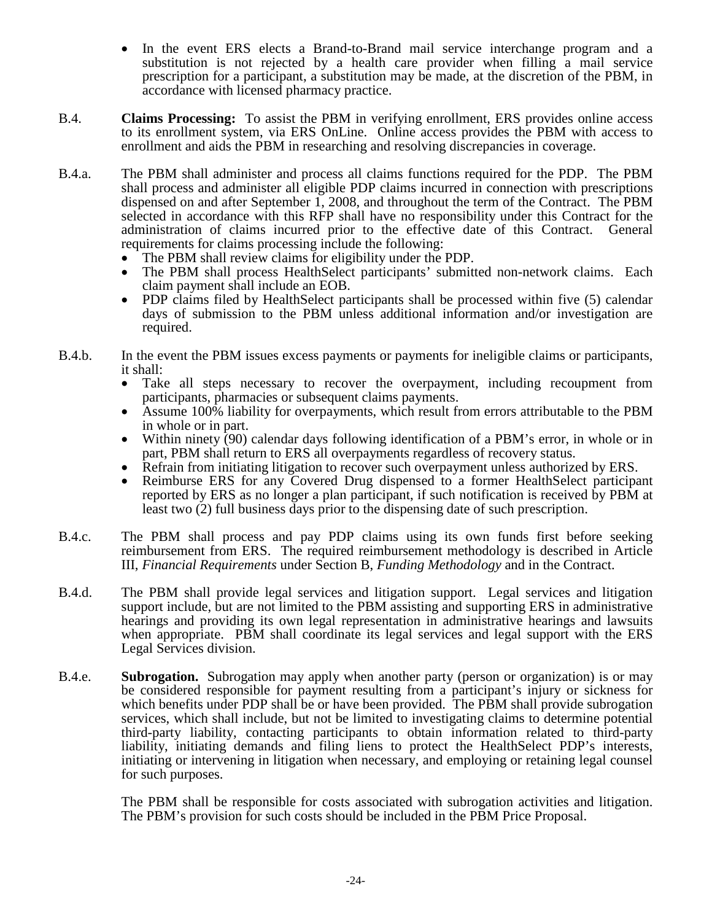- In the event ERS elects a Brand-to-Brand mail service interchange program and a substitution is not rejected by a health care provider when filling a mail service prescription for a participant, a substitution may be made, at the discretion of the PBM, in accordance with licensed pharmacy practice.
- B.4. **Claims Processing:** To assist the PBM in verifying enrollment, ERS provides online access to its enrollment system, via ERS OnLine. Online access provides the PBM with access to enrollment and aids the PBM in researching and resolving discrepancies in coverage.
- B.4.a. The PBM shall administer and process all claims functions required for the PDP. The PBM shall process and administer all eligible PDP claims incurred in connection with prescriptions dispensed on and after September 1, 2008, and throughout the term of the Contract. The PBM selected in accordance with this RFP shall have no responsibility under this Contract for the administration of claims incurred prior to the effective date of this Contract. General requirements for claims processing include the following:
	-
	- The PBM shall review claims for eligibility under the PDP.<br>• The PBM shall process HealthSelect participants' submitted non-network claims. Each
	- claim payment shall include an EOB. PDP claims filed by HealthSelect participants shall be processed within five (5) calendar days of submission to the PBM unless additional information and/or investigation are required.
- B.4.b. In the event the PBM issues excess payments or payments for ineligible claims or participants, it shall:
	- Take all steps necessary to recover the overpayment, including recoupment from participants, pharmacies or subsequent claims payments.
	- Assume 100% liability for overpayments, which result from errors attributable to the PBM
	- in whole or in part.<br>Within ninety (90) calendar days following identification of a PBM's error, in whole or in
	- part, PBM shall return to ERS all overpayments regardless of recovery status.<br>Refrain from initiating litigation to recover such overpayment unless authorized by ERS.<br>Reimburse ERS for any Covered Drug dispensed to a forme
	- reported by ERS as no longer a plan participant, if such notification is received by PBM at least two (2) full business days prior to the dispensing date of such prescription.
- B.4.c. The PBM shall process and pay PDP claims using its own funds first before seeking reimbursement from ERS. The required reimbursement methodology is described in Article III, *Financial Requirements* under Section B, *Funding Methodology* and in the Contract.
- B.4.d. The PBM shall provide legal services and litigation support. Legal services and litigation support include, but are not limited to the PBM assisting and supporting ERS in administrative hearings and providing its own legal representation in administrative hearings and lawsuits when appropriate. PBM shall coordinate its legal services and legal support with the ERS Legal Services division.
- B.4.e. **Subrogation.** Subrogation may apply when another party (person or organization) is or may be considered responsible for payment resulting from a participant's injury or sickness for which benefits under PDP shall be or have been provided. The PBM shall provide subrogation services, which shall include, but not be limited to investigating claims to determine potential third-party liability, contacting participants to obtain information related to third-party liability, initiating demands and filing liens to protect the HealthSelect PDP's interests, initiating or intervening in litigation when necessary, and employing or retaining legal counsel for such purposes.

The PBM shall be responsible for costs associated with subrogation activities and litigation. The PBM's provision for such costs should be included in the PBM Price Proposal.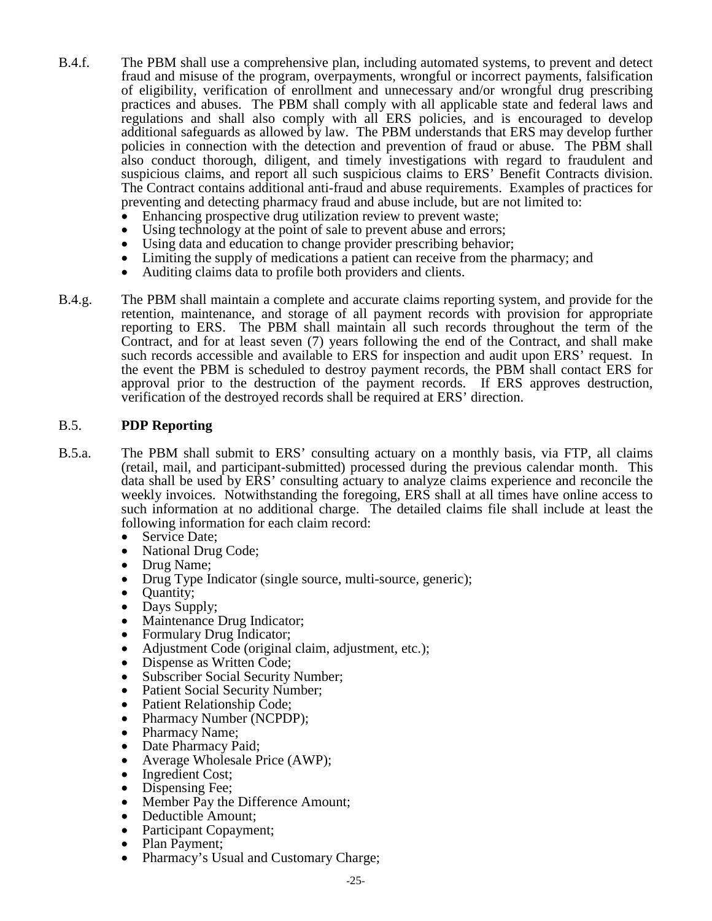- B.4.f. The PBM shall use a comprehensive plan, including automated systems, to prevent and detect fraud and misuse of the program, overpayments, wrongful or incorrect payments, falsification of eligibility, verification of enrollment and unnecessary and/or wrongful drug prescribing practices and abuses. The PBM shall comply with all applicable state and federal laws and regulations and shall also comply with all ERS policies, and is encouraged to develop additional safeguards as allowed by law. The PBM understands that ERS may develop further policies in connection with the detection and prevention of fraud or abuse. The PBM shall also conduct thorough, diligent, and timely investigations with regard to fraudulent and suspicious claims, and report all such suspicious claims to ERS' Benefit Contracts division. The Contract contains additional anti-fraud and abuse requirements. Examples of practices for preventing and detecting pharmacy fraud and abuse include, but are not limited to:
	-
	-
	-
	- Enhancing prospective drug utilization review to prevent waste;<br>
	 Using technology at the point of sale to prevent abuse and errors;<br>
	 Using data and education to change provider prescribing behavior;<br>
	 Limiting the s
	-
- B.4.g. The PBM shall maintain a complete and accurate claims reporting system, and provide for the retention, maintenance, and storage of all payment records with provision for appropriate reporting to ERS. The PBM shall maintain all such records throughout the term of the Contract, and for at least seven (7) years following the end of the Contract, and shall make such records accessible and available to ERS for inspection and audit upon ERS' request. In the event the PBM is scheduled to destroy payment records, the PBM shall contact ERS for approval prior to the destruction of the payment records. If ERS approves destruction, verification of the destroyed records shall be required at ERS' direction.

#### B.5. **PDP Reporting**

- B.5.a. The PBM shall submit to ERS' consulting actuary on a monthly basis, via FTP, all claims (retail, mail, and participant-submitted) processed during the previous calendar month. This data shall be used by ERS' consulting actuary to analyze claims experience and reconcile the weekly invoices. Notwithstanding the foregoing, ERS shall at all times have online access to such information at no additional charge. The detailed claims file shall include at least the following information for each claim record:
	- Service Date;
	- National Drug Code;
	- Drug Name;
	- Drug Type Indicator (single source, multi-source, generic);
	- Quantity;
	- Days Supply;
	- Maintenance Drug Indicator;
	- Formulary Drug Indicator;
	- Adjustment Code (original claim, adjustment, etc.);
	- Dispense as Written Code;
	- Subscriber Social Security Number;
	- Patient Social Security Number;
	-
	-
	-
	-
	-
	-
	-
	- Patient Relationship Code;<br>
	 Pharmacy Number (NCPDP);<br>
	 Date Pharmacy Paid;<br>
	 Date Pharmacy Paid;<br>
	 Average Wholesale Price (AWP);<br>
	 Ingredient Cost;<br>
	 Dispensing Fee;<br>
	 Member Pay the Difference Amount;<br>
	 Deduct
	-
	- Participant Copayment;
	- Plan Payment;
	- Pharmacy's Usual and Customary Charge;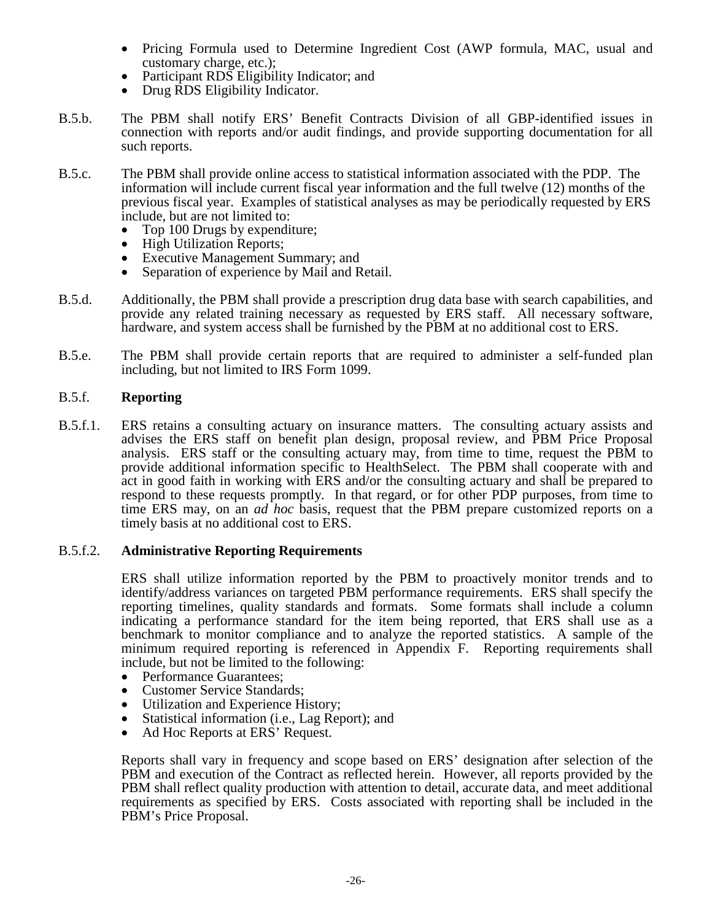- Pricing Formula used to Determine Ingredient Cost (AWP formula, MAC, usual and customary charge, etc.);
- Participant RDS Eligibility Indicator; and
- Drug RDS Eligibility Indicator.
- B.5.b. The PBM shall notify ERS' Benefit Contracts Division of all GBP-identified issues in connection with reports and/or audit findings, and provide supporting documentation for all such reports.
- B.5.c. The PBM shall provide online access to statistical information associated with the PDP. The information will include current fiscal year information and the full twelve (12) months of the previous fiscal year. Examples of statistical analyses as may be periodically requested by ERS include, but are not limited to:
	-
	-
	- Top 100 Drugs by expenditure;<br>• High Utilization Reports;<br>• Executive Management Summary; and<br>• Separation of experience by Mail and Retail.
	-
- B.5.d. Additionally, the PBM shall provide a prescription drug data base with search capabilities, and provide any related training necessary as requested by ERS staff. All necessary software, hardware, and system access shall be furnished by the PBM at no additional cost to ERS.
- B.5.e. The PBM shall provide certain reports that are required to administer a self-funded plan including, but not limited to IRS Form 1099.

#### B.5.f. **Reporting**

B.5.f.1. ERS retains a consulting actuary on insurance matters. The consulting actuary assists and advises the ERS staff on benefit plan design, proposal review, and PBM Price Proposal analysis. ERS staff or the consulting actuary may, from time to time, request the PBM to provide additional information specific to HealthSelect. The PBM shall cooperate with and act in good faith in working with ERS and/or the consulting actuary and shall be prepared to respond to these requests promptly. In that regard, or for other PDP purposes, from time to time ERS may, on an *ad hoc* basis, request that the PBM prepare customized reports on a timely basis at no additional cost to ERS.

#### B.5.f.2. **Administrative Reporting Requirements**

ERS shall utilize information reported by the PBM to proactively monitor trends and to identify/address variances on targeted PBM performance requirements. ERS shall specify the reporting timelines, quality standards and formats. Some formats shall include a column indicating a performance standard for the item being reported, that ERS shall use as a benchmark to monitor compliance and to analyze the reported statistics. A sample of the minimum required reporting is referenced in Appendix F. Reporting requirements shall include, but not be limited to the following:<br>
• Performance Guarantees;<br>
• Customer Service Standards;<br>
• Utilization and Experience History;<br>
• Statistical information (i.e., Lag Report); and

- 
- 
- 
- 
- Ad Hoc Reports at ERS' Request.

Reports shall vary in frequency and scope based on ERS' designation after selection of the PBM and execution of the Contract as reflected herein. However, all reports provided by the PBM shall reflect quality production with attention to detail, accurate data, and meet additional requirements as specified by ERS. Costs associated with reporting shall be included in the PBM's Price Proposal.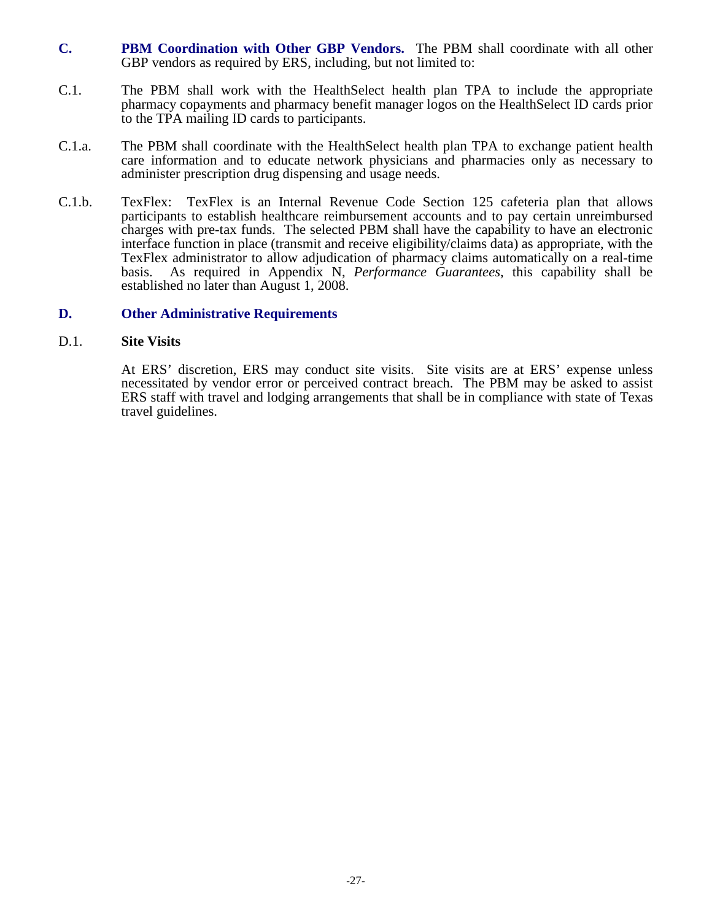- **C. PBM Coordination with Other GBP Vendors.** The PBM shall coordinate with all other GBP vendors as required by ERS, including, but not limited to:
- C.1. The PBM shall work with the HealthSelect health plan TPA to include the appropriate pharmacy copayments and pharmacy benefit manager logos on the HealthSelect ID cards prior to the TPA mailing ID cards to participants.
- C.1.a. The PBM shall coordinate with the HealthSelect health plan TPA to exchange patient health care information and to educate network physicians and pharmacies only as necessary to administer prescription drug dispensing and usage needs.
- C.1.b. TexFlex: TexFlex is an Internal Revenue Code Section 125 cafeteria plan that allows participants to establish healthcare reimbursement accounts and to pay certain unreimbursed charges with pre-tax funds. The selected PBM shall have the capability to have an electronic interface function in place (transmit and receive eligibility/claims data) as appropriate, with the TexFlex administrator to allow adjudication of pharmacy claims automatically on a real-time basis. As required in Appendix N, *Performance Guarantees*, this capability shall be established no later than August 1, 2008.

#### **D. Other Administrative Requirements**

#### D.1. **Site Visits**

At ERS' discretion, ERS may conduct site visits. Site visits are at ERS' expense unless necessitated by vendor error or perceived contract breach. The PBM may be asked to assist ERS staff with travel and lodging arrangements that shall be in compliance with state of Texas travel guidelines.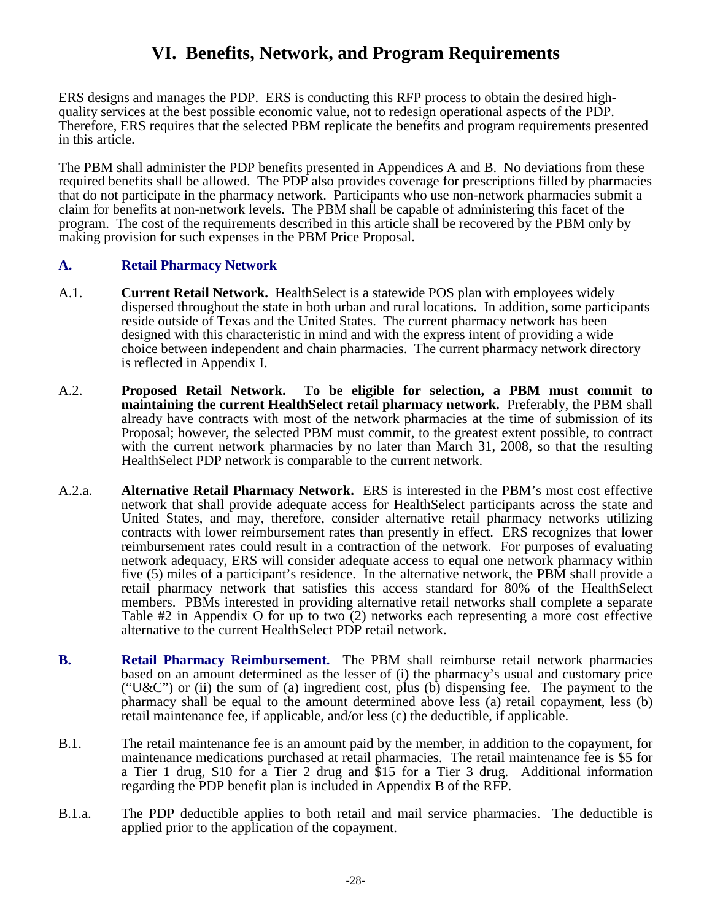# **VI. Benefits, Network, and Program Requirements**

ERS designs and manages the PDP. ERS is conducting this RFP process to obtain the desired highquality services at the best possible economic value, not to redesign operational aspects of the PDP. Therefore, ERS requires that the selected PBM replicate the benefits and program requirements presented in this article.

The PBM shall administer the PDP benefits presented in Appendices A and B. No deviations from these required benefits shall be allowed. The PDP also provides coverage for prescriptions filled by pharmacies that do not participate in the pharmacy network. Participants who use non-network pharmacies submit a claim for benefits at non-network levels. The PBM shall be capable of administering this facet of the program. The cost of the requirements described in this article shall be recovered by the PBM only by making provision for such expenses in the PBM Price Proposal.

### **A. Retail Pharmacy Network**

- A.1. **Current Retail Network.** HealthSelect is a statewide POS plan with employees widely dispersed throughout the state in both urban and rural locations. In addition, some participants reside outside of Texas and the United States. The current pharmacy network has been designed with this characteristic in mind and with the express intent of providing a wide choice between independent and chain pharmacies. The current pharmacy network directory is reflected in Appendix I.
- A.2. **Proposed Retail Network. To be eligible for selection, a PBM must commit to maintaining the current HealthSelect retail pharmacy network.** Preferably, the PBM shall already have contracts with most of the network pharmacies at the time of submission of its Proposal; however, the selected PBM must commit, to the greatest extent possible, to contract with the current network pharmacies by no later than March 31, 2008, so that the resulting HealthSelect PDP network is comparable to the current network.
- A.2.a. **Alternative Retail Pharmacy Network.** ERS is interested in the PBM's most cost effective network that shall provide adequate access for HealthSelect participants across the state and United States, and may, therefore, consider alternative retail pharmacy networks utilizing contracts with lower reimbursement rates than presently in effect. ERS recognizes that lower reimbursement rates could result in a contraction of the network. For purposes of evaluating network adequacy, ERS will consider adequate access to equal one network pharmacy within five (5) miles of a participant's residence. In the alternative network, the PBM shall provide a retail pharmacy network that satisfies this access standard for 80% of the HealthSelect members. PBMs interested in providing alternative retail networks shall complete a separate Table #2 in Appendix O for up to two (2) networks each representing a more cost effective alternative to the current HealthSelect PDP retail network.
- **B. Retail Pharmacy Reimbursement.** The PBM shall reimburse retail network pharmacies based on an amount determined as the lesser of (i) the pharmacy's usual and customary price ("U&C") or (ii) the sum of (a) ingredient cost, plus (b) dispensing fee. The payment to the pharmacy shall be equal to the amount determined above less (a) retail copayment, less (b) retail maintenance fee, if applicable, and/or less (c) the deductible, if applicable.
- B.1. The retail maintenance fee is an amount paid by the member, in addition to the copayment, for maintenance medications purchased at retail pharmacies. The retail maintenance fee is \$5 for a Tier 1 drug, \$10 for a Tier 2 drug and \$15 for a Tier 3 drug. Additional information regarding the PDP benefit plan is included in Appendix B of the RFP.
- B.1.a. The PDP deductible applies to both retail and mail service pharmacies. The deductible is applied prior to the application of the copayment.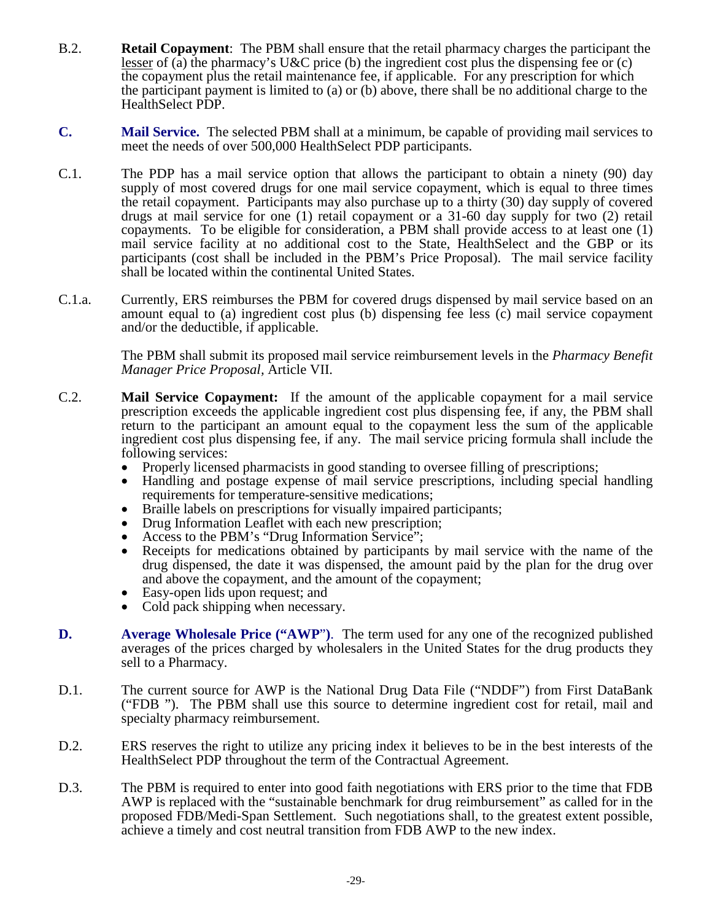- B.2. **Retail Copayment**: The PBM shall ensure that the retail pharmacy charges the participant the lesser of (a) the pharmacy's U&C price (b) the ingredient cost plus the dispensing fee or (c) the copayment plus the retail maintenance fee, if applicable. For any prescription for which the participant payment is limited to (a) or (b) above, there shall be no additional charge to the HealthSelect PDP.
- **C. Mail Service.** The selected PBM shall at a minimum, be capable of providing mail services to meet the needs of over 500,000 HealthSelect PDP participants.
- C.1. The PDP has a mail service option that allows the participant to obtain a ninety (90) day supply of most covered drugs for one mail service copayment, which is equal to three times the retail copayment. Participants may also purchase up to a thirty (30) day supply of covered drugs at mail service for one (1) retail copayment or a 31-60 day supply for two (2) retail copayments. To be eligible for consideration, a PBM shall provide access to at least one (1) mail service facility at no additional cost to the State, HealthSelect and the GBP or its participants (cost shall be included in the PBM's Price Proposal). The mail service facility shall be located within the continental United States.
- C.1.a. Currently, ERS reimburses the PBM for covered drugs dispensed by mail service based on an amount equal to (a) ingredient cost plus (b) dispensing fee less (c) mail service copayment and/or the deductible, if applicable.

The PBM shall submit its proposed mail service reimbursement levels in the *Pharmacy Benefit Manager Price Proposal,* Article VII.

- C.2. **Mail Service Copayment:** If the amount of the applicable copayment for a mail service prescription exceeds the applicable ingredient cost plus dispensing fee, if any, the PBM shall return to the participant an amount equal to the copayment less the sum of the applicable ingredient cost plus dispensing fee, if any. The mail service pricing formula shall include the following services:<br>• Properly licensed pharmacists in good standing to oversee filling of prescriptions;
	-
	- Handling and postage expense of mail service prescriptions, including special handling requirements for temperature-sensitive medications;
	- Braille labels on prescriptions for visually impaired participants;
	- Drug Information Leaflet with each new prescription;
	- Access to the PBM's "Drug Information Service";
	- Receipts for medications obtained by participants by mail service with the name of the drug dispensed, the date it was dispensed, the amount paid by the plan for the drug over and above the copayment, and the amount of the copayment;
	- Easy-open lids upon request; and
	- Cold pack shipping when necessary.
- **D. Average Wholesale Price ("AWP**"**)**. The term used for any one of the recognized published averages of the prices charged by wholesalers in the United States for the drug products they sell to a Pharmacy.
- D.1. The current source for AWP is the National Drug Data File ("NDDF") from First DataBank ("FDB "). The PBM shall use this source to determine ingredient cost for retail, mail and specialty pharmacy reimbursement.
- D.2. ERS reserves the right to utilize any pricing index it believes to be in the best interests of the HealthSelect PDP throughout the term of the Contractual Agreement.
- D.3. The PBM is required to enter into good faith negotiations with ERS prior to the time that FDB AWP is replaced with the "sustainable benchmark for drug reimbursement" as called for in the proposed FDB/Medi-Span Settlement. Such negotiations shall, to the greatest extent possible, achieve a timely and cost neutral transition from FDB AWP to the new index.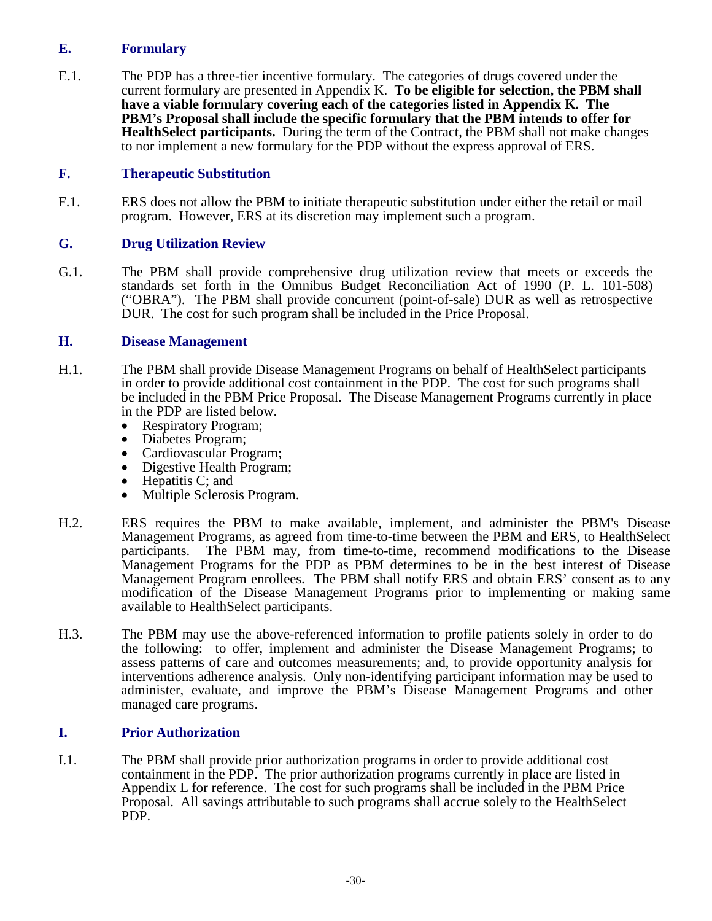# **E. Formulary**

E.1. The PDP has a three-tier incentive formulary. The categories of drugs covered under the current formulary are presented in Appendix K. **To be eligible for selection, the PBM shall have a viable formulary covering each of the categories listed in Appendix K. The PBM's Proposal shall include the specific formulary that the PBM intends to offer for HealthSelect participants.** During the term of the Contract, the PBM shall not make changes to nor implement a new formulary for the PDP without the express approval of ERS.

# **F. Therapeutic Substitution**

F.1. ERS does not allow the PBM to initiate therapeutic substitution under either the retail or mail program. However, ERS at its discretion may implement such a program.

# **G. Drug Utilization Review**

G.1. The PBM shall provide comprehensive drug utilization review that meets or exceeds the standards set forth in the Omnibus Budget Reconciliation Act of 1990 (P. L. 101-508) ("OBRA"). The PBM shall provide concurrent (point-of-sale) DUR as well as retrospective DUR. The cost for such program shall be included in the Price Proposal.

#### **H. Disease Management**

- H.1. The PBM shall provide Disease Management Programs on behalf of HealthSelect participants in order to provide additional cost containment in the PDP. The cost for such programs shall be included in the PBM Price Proposal. The Disease Management Programs currently in place in the PDP are listed below.
	-
	-
	-
	- Respiratory Program;<br>• Diabetes Program;<br>• Cardiovascular Program;<br>• Digestive Health Program;<br>• Hepatitis C; and
	-
	- Multiple Sclerosis Program.
- H.2. ERS requires the PBM to make available, implement, and administer the PBM's Disease Management Programs, as agreed from time-to-time between the PBM and ERS, to HealthSelect participants. The PBM may, from time-to-time, recommend modifications to the Disease Management Programs for the PDP as PBM determines to be in the best interest of Disease Management Program enrollees. The PBM shall notify ERS and obtain ERS' consent as to any modification of the Disease Management Programs prior to implementing or making same available to HealthSelect participants.
- H.3. The PBM may use the above-referenced information to profile patients solely in order to do the following: to offer, implement and administer the Disease Management Programs; to assess patterns of care and outcomes measurements; and, to provide opportunity analysis for interventions adherence analysis. Only non-identifying participant information may be used to administer, evaluate, and improve the PBM's Disease Management Programs and other managed care programs.

# **I. Prior Authorization**

I.1. The PBM shall provide prior authorization programs in order to provide additional cost containment in the PDP. The prior authorization programs currently in place are listed in Appendix L for reference. The cost for such programs shall be included in the PBM Price Proposal. All savings attributable to such programs shall accrue solely to the HealthSelect PDP.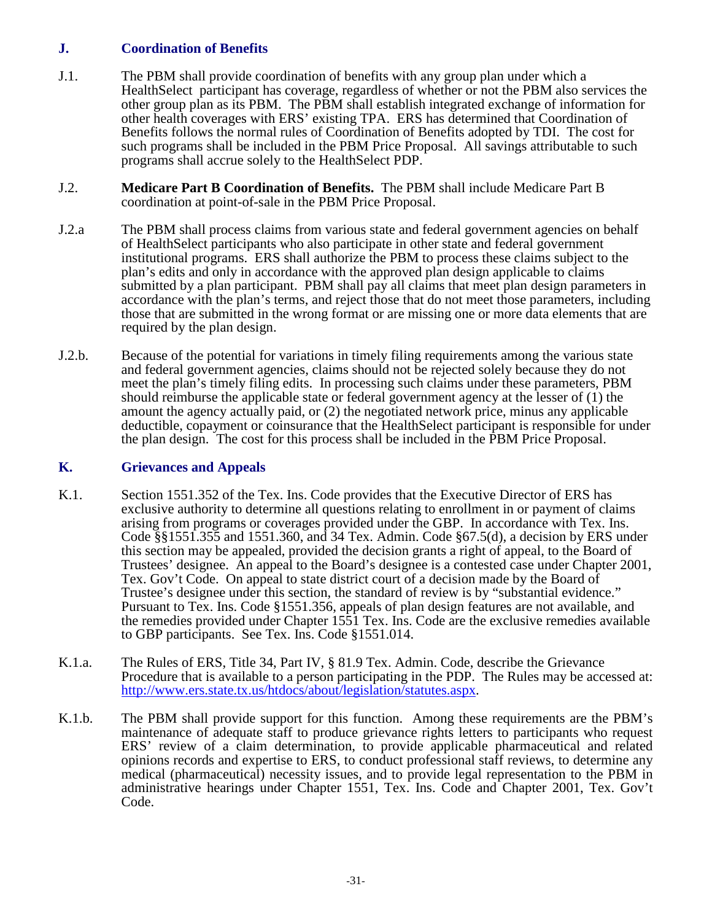# **J. Coordination of Benefits**

- J.1. The PBM shall provide coordination of benefits with any group plan under which a HealthSelect participant has coverage, regardless of whether or not the PBM also services the other group plan as its PBM. The PBM shall establish integrated exchange of information for other health coverages with ERS' existing TPA. ERS has determined that Coordination of Benefits follows the normal rules of Coordination of Benefits adopted by TDI. The cost for such programs shall be included in the PBM Price Proposal. All savings attributable to such programs shall accrue solely to the HealthSelect PDP.
- J.2. **Medicare Part B Coordination of Benefits.** The PBM shall include Medicare Part B coordination at point-of-sale in the PBM Price Proposal.
- J.2.a The PBM shall process claims from various state and federal government agencies on behalf of HealthSelect participants who also participate in other state and federal government institutional programs. ERS shall authorize the PBM to process these claims subject to the plan's edits and only in accordance with the approved plan design applicable to claims submitted by a plan participant. PBM shall pay all claims that meet plan design parameters in accordance with the plan's terms, and reject those that do not meet those parameters, including those that are submitted in the wrong format or are missing one or more data elements that are required by the plan design.
- J.2.b. Because of the potential for variations in timely filing requirements among the various state and federal government agencies, claims should not be rejected solely because they do not meet the plan's timely filing edits. In processing such claims under these parameters, PBM should reimburse the applicable state or federal government agency at the lesser of (1) the amount the agency actually paid, or (2) the negotiated network price, minus any applicable deductible, copayment or coinsurance that the HealthSelect participant is responsible for under the plan design. The cost for this process shall be included in the PBM Price Proposal.

#### **K. Grievances and Appeals**

- K.1. Section 1551.352 of the Tex. Ins. Code provides that the Executive Director of ERS has exclusive authority to determine all questions relating to enrollment in or payment of claims arising from programs or coverages provided under the GBP. In accordance with Tex. Ins. Code §§1551.355 and 1551.360, and 34 Tex. Admin. Code §67.5(d), a decision by ERS under this section may be appealed, provided the decision grants a right of appeal, to the Board of Trustees' designee. An appeal to the Board's designee is a contested case under Chapter 2001, Tex. Gov't Code. On appeal to state district court of a decision made by the Board of Trustee's designee under this section, the standard of review is by "substantial evidence." Pursuant to Tex. Ins. Code §1551.356, appeals of plan design features are not available, and the remedies provided under Chapter 1551 Tex. Ins. Code are the exclusive remedies available to GBP participants. See Tex. Ins. Code §1551.014.
- K.1.a. The Rules of ERS, Title 34, Part IV, § 81.9 Tex. Admin. Code, describe the Grievance Procedure that is available to a person participating in the PDP. The Rules may be accessed at: [http://www.ers.state.tx.us/htdocs/about/legislation/statutes.aspx.](http://www.ers.state.tx.us/htdocs/about/legislation/statutes.aspx)
- K.1.b. The PBM shall provide support for this function. Among these requirements are the PBM's maintenance of adequate staff to produce grievance rights letters to participants who request ERS' review of a claim determination, to provide applicable pharmaceutical and related opinions records and expertise to ERS, to conduct professional staff reviews, to determine any medical (pharmaceutical) necessity issues, and to provide legal representation to the PBM in administrative hearings under Chapter 1551, Tex. Ins. Code and Chapter 2001, Tex. Gov't Code.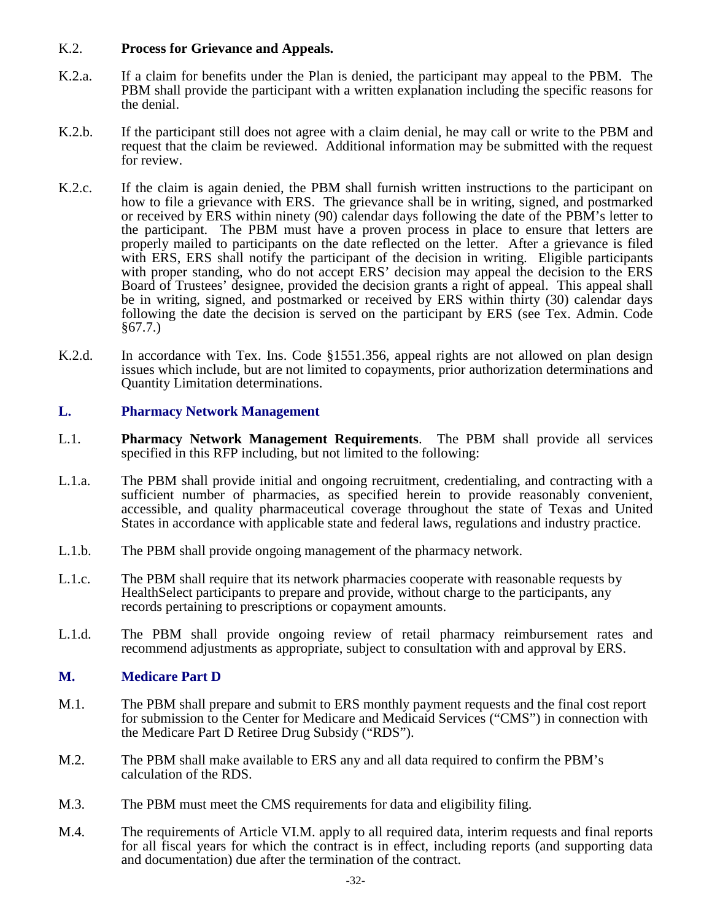#### K.2. **Process for Grievance and Appeals.**

- K.2.a. If a claim for benefits under the Plan is denied, the participant may appeal to the PBM. The PBM shall provide the participant with a written explanation including the specific reasons for the denial.
- K.2.b. If the participant still does not agree with a claim denial, he may call or write to the PBM and request that the claim be reviewed. Additional information may be submitted with the request for review.
- K.2.c. If the claim is again denied, the PBM shall furnish written instructions to the participant on how to file a grievance with ERS. The grievance shall be in writing, signed, and postmarked or received by ERS within ninety (90) calendar days following the date of the PBM's letter to the participant. The PBM must have a proven process in place to ensure that letters are properly mailed to participants on the date reflected on the letter. After a grievance is filed with ERS, ERS shall notify the participant of the decision in writing. Eligible participants with proper standing, who do not accept ERS' decision may appeal the decision to the ERS Board of Trustees' designee, provided the decision grants a right of appeal. This appeal shall be in writing, signed, and postmarked or received by ERS within thirty (30) calendar days following the date the decision is served on the participant by ERS (see Tex. Admin. Code §67.7.)
- K.2.d. In accordance with Tex. Ins. Code §1551.356, appeal rights are not allowed on plan design issues which include, but are not limited to copayments, prior authorization determinations and Quantity Limitation determinations.

### **L. Pharmacy Network Management**

- L.1. **Pharmacy Network Management Requirements**. The PBM shall provide all services specified in this RFP including, but not limited to the following:
- L.1.a. The PBM shall provide initial and ongoing recruitment, credentialing, and contracting with a sufficient number of pharmacies, as specified herein to provide reasonably convenient, accessible, and quality pharmaceutical coverage throughout the state of Texas and United States in accordance with applicable state and federal laws, regulations and industry practice.
- L.1.b. The PBM shall provide ongoing management of the pharmacy network.
- L.1.c. The PBM shall require that its network pharmacies cooperate with reasonable requests by HealthSelect participants to prepare and provide, without charge to the participants, any records pertaining to prescriptions or copayment amounts.
- L.1.d. The PBM shall provide ongoing review of retail pharmacy reimbursement rates and recommend adjustments as appropriate, subject to consultation with and approval by ERS.

#### **M. Medicare Part D**

- M.1. The PBM shall prepare and submit to ERS monthly payment requests and the final cost report for submission to the Center for Medicare and Medicaid Services ("CMS") in connection with the Medicare Part D Retiree Drug Subsidy ("RDS").
- M.2. The PBM shall make available to ERS any and all data required to confirm the PBM's calculation of the RDS.
- M.3. The PBM must meet the CMS requirements for data and eligibility filing.
- M.4. The requirements of Article VI.M. apply to all required data, interim requests and final reports for all fiscal years for which the contract is in effect, including reports (and supporting data and documentation) due after the termination of the contract.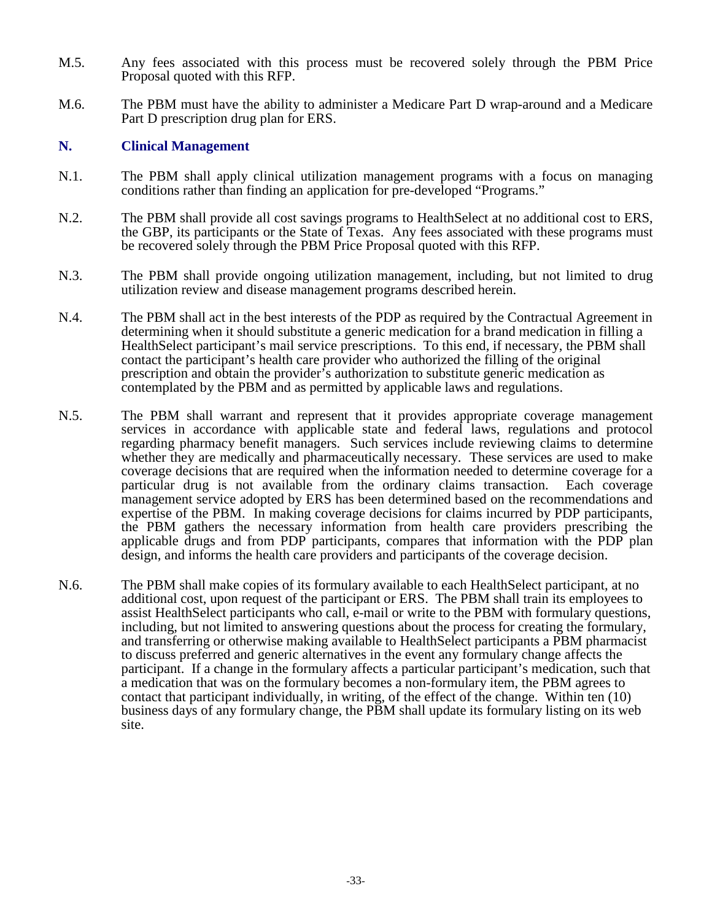- M.5. Any fees associated with this process must be recovered solely through the PBM Price Proposal quoted with this RFP.
- M.6. The PBM must have the ability to administer a Medicare Part D wrap-around and a Medicare Part D prescription drug plan for ERS.

#### **N. Clinical Management**

- N.1. The PBM shall apply clinical utilization management programs with a focus on managing conditions rather than finding an application for pre-developed "Programs."
- N.2. The PBM shall provide all cost savings programs to HealthSelect at no additional cost to ERS, the GBP, its participants or the State of Texas. Any fees associated with these programs must be recovered solely through the PBM Price Proposal quoted with this RFP.
- N.3. The PBM shall provide ongoing utilization management, including, but not limited to drug utilization review and disease management programs described herein.
- N.4. The PBM shall act in the best interests of the PDP as required by the Contractual Agreement in determining when it should substitute a generic medication for a brand medication in filling a HealthSelect participant's mail service prescriptions. To this end, if necessary, the PBM shall contact the participant's health care provider who authorized the filling of the original prescription and obtain the provider's authorization to substitute generic medication as contemplated by the PBM and as permitted by applicable laws and regulations.
- N.5. The PBM shall warrant and represent that it provides appropriate coverage management services in accordance with applicable state and federal laws, regulations and protocol regarding pharmacy benefit managers. Such services include reviewing claims to determine whether they are medically and pharmaceutically necessary. These services are used to make coverage decisions that are required when the information needed to determine coverage for a particular drug is not available from the ordinary claims transaction. Each coverage management service adopted by ERS has been determined based on the recommendations and expertise of the PBM. In making coverage decisions for claims incurred by PDP participants, the PBM gathers the necessary information from health care providers prescribing the applicable drugs and from PDP participants, compares that information with the PDP plan design, and informs the health care providers and participants of the coverage decision.
- N.6. The PBM shall make copies of its formulary available to each HealthSelect participant, at no additional cost, upon request of the participant or ERS. The PBM shall train its employees to assist HealthSelect participants who call, e-mail or write to the PBM with formulary questions, including, but not limited to answering questions about the process for creating the formulary, and transferring or otherwise making available to HealthSelect participants a PBM pharmacist to discuss preferred and generic alternatives in the event any formulary change affects the participant. If a change in the formulary affects a particular participant's medication, such that a medication that was on the formulary becomes a non-formulary item, the PBM agrees to contact that participant individually, in writing, of the effect of the change. Within ten (10) business days of any formulary change, the PBM shall update its formulary listing on its web site.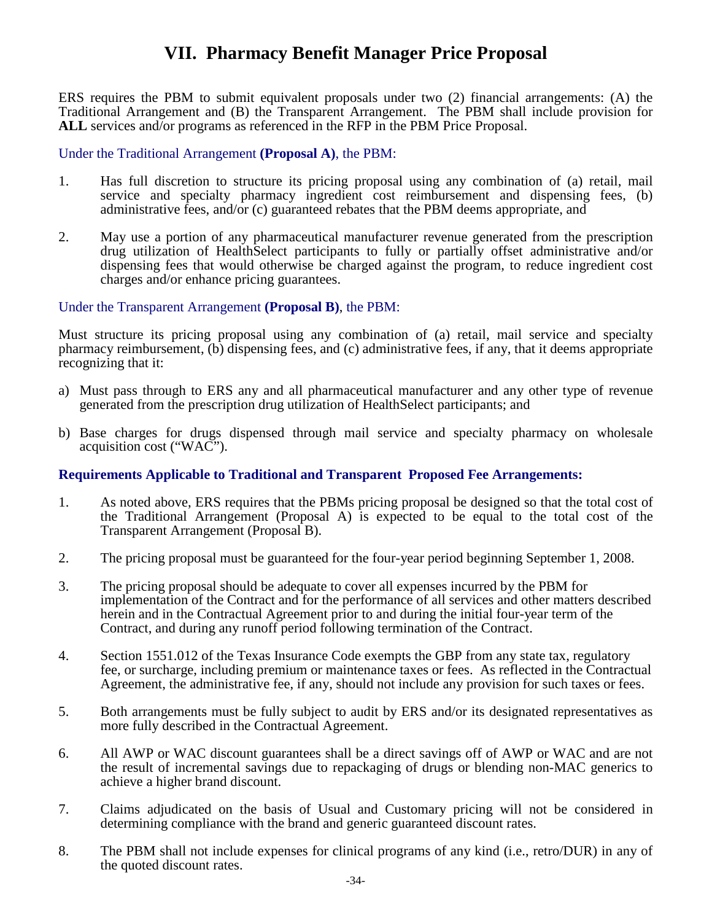# **VII. Pharmacy Benefit Manager Price Proposal**

ERS requires the PBM to submit equivalent proposals under two (2) financial arrangements: (A) the Traditional Arrangement and (B) the Transparent Arrangement. The PBM shall include provision for ALL services and/or programs as referenced in the RFP in the PBM Price Proposal.

#### Under the Traditional Arrangement **(Proposal A)**, the PBM:

- 1. Has full discretion to structure its pricing proposal using any combination of (a) retail, mail service and specialty pharmacy ingredient cost reimbursement and dispensing fees, (b) administrative fees, and/or (c) guaranteed rebates that the PBM deems appropriate, and
- 2. May use a portion of any pharmaceutical manufacturer revenue generated from the prescription drug utilization of HealthSelect participants to fully or partially offset administrative and/or dispensing fees that would otherwise be charged against the program, to reduce ingredient cost charges and/or enhance pricing guarantees.

#### Under the Transparent Arrangement **(Proposal B)**, the PBM:

Must structure its pricing proposal using any combination of (a) retail, mail service and specialty pharmacy reimbursement, (b) dispensing fees, and (c) administrative fees, if any, that it deems appropriate recognizing that it:

- a) Must pass through to ERS any and all pharmaceutical manufacturer and any other type of revenue generated from the prescription drug utilization of HealthSelect participants; and
- b) Base charges for drugs dispensed through mail service and specialty pharmacy on wholesale acquisition cost ("WAC").

#### **Requirements Applicable to Traditional and Transparent Proposed Fee Arrangements:**

- 1. As noted above, ERS requires that the PBMs pricing proposal be designed so that the total cost of the Traditional Arrangement (Proposal A) is expected to be equal to the total cost of the Transparent Arrangement (Proposal B).
- 2. The pricing proposal must be guaranteed for the four-year period beginning September 1, 2008.
- 3. The pricing proposal should be adequate to cover all expenses incurred by the PBM for implementation of the Contract and for the performance of all services and other matters described herein and in the Contractual Agreement prior to and during the initial four-year term of the Contract, and during any runoff period following termination of the Contract.
- 4. Section 1551.012 of the Texas Insurance Code exempts the GBP from any state tax, regulatory fee, or surcharge, including premium or maintenance taxes or fees. As reflected in the Contractual Agreement, the administrative fee, if any, should not include any provision for such taxes or fees.
- 5. Both arrangements must be fully subject to audit by ERS and/or its designated representatives as more fully described in the Contractual Agreement.
- 6. All AWP or WAC discount guarantees shall be a direct savings off of AWP or WAC and are not the result of incremental savings due to repackaging of drugs or blending non-MAC generics to achieve a higher brand discount.
- 7. Claims adjudicated on the basis of Usual and Customary pricing will not be considered in determining compliance with the brand and generic guaranteed discount rates.
- 8. The PBM shall not include expenses for clinical programs of any kind (i.e., retro/DUR) in any of the quoted discount rates.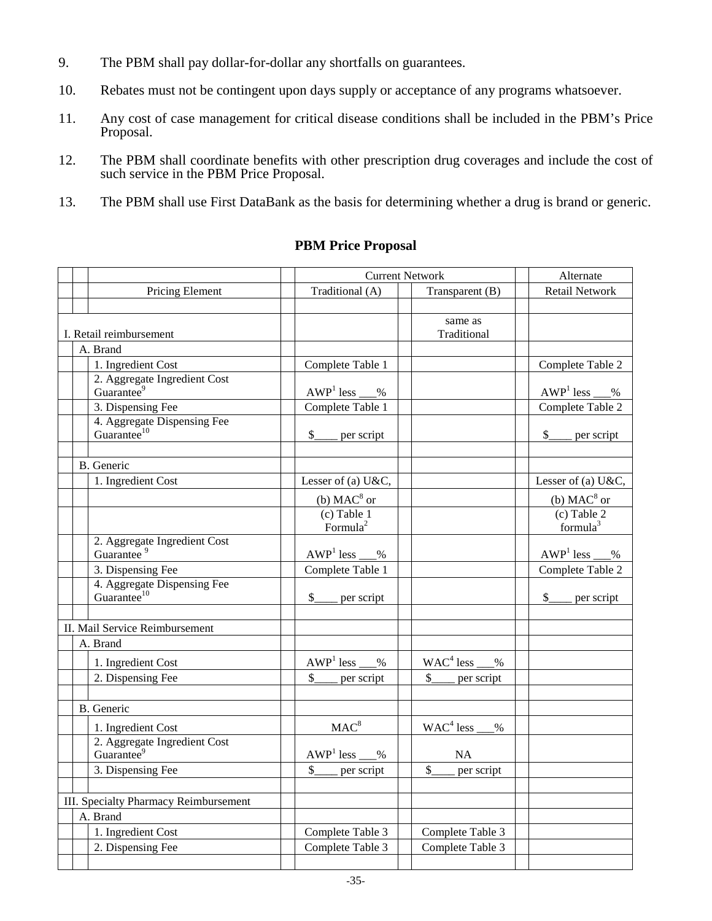- 9. The PBM shall pay dollar-for-dollar any shortfalls on guarantees.
- 10. Rebates must not be contingent upon days supply or acceptance of any programs whatsoever.
- 11. Any cost of case management for critical disease conditions shall be included in the PBM's Price Proposal.
- 12. The PBM shall coordinate benefits with other prescription drug coverages and include the cost of such service in the PBM Price Proposal.
- 13. The PBM shall use First DataBank as the basis for determining whether a drug is brand or generic.

# **PBM Price Proposal**

|  |                                                        | <b>Current Network</b>      |  | Alternate                    |                             |
|--|--------------------------------------------------------|-----------------------------|--|------------------------------|-----------------------------|
|  | Pricing Element                                        | Traditional (A)             |  | Transparent (B)              | <b>Retail Network</b>       |
|  |                                                        |                             |  |                              |                             |
|  |                                                        |                             |  | same as                      |                             |
|  | I. Retail reimbursement                                |                             |  | Traditional                  |                             |
|  | A. Brand                                               |                             |  |                              |                             |
|  | 1. Ingredient Cost                                     | Complete Table 1            |  |                              | Complete Table 2            |
|  | 2. Aggregate Ingredient Cost                           |                             |  |                              |                             |
|  | Guarantee <sup>9</sup>                                 | $AWP1$ less %               |  |                              | $AWP1$ less<br>$\%$         |
|  | 3. Dispensing Fee                                      | Complete Table 1            |  |                              | Complete Table 2            |
|  | 4. Aggregate Dispensing Fee<br>Guarantee <sup>10</sup> |                             |  |                              |                             |
|  |                                                        | $\frac{1}{2}$<br>per script |  |                              | $\frac{1}{2}$<br>per script |
|  |                                                        |                             |  |                              |                             |
|  | B. Generic                                             |                             |  |                              |                             |
|  | 1. Ingredient Cost                                     | Lesser of (a) U&C,          |  |                              | Lesser of (a) U&C,          |
|  |                                                        | (b) $MAC8$ or               |  |                              | (b) $MAC8$ or               |
|  |                                                        | $(c)$ Table 1               |  |                              | $(c)$ Table 2               |
|  |                                                        | Formula <sup>2</sup>        |  |                              | formula $3$                 |
|  | 2. Aggregate Ingredient Cost<br>Guarantee <sup>9</sup> |                             |  |                              |                             |
|  |                                                        | $\%$                        |  |                              | $AWP1$ less<br>$\%$         |
|  | 3. Dispensing Fee                                      | Complete Table 1            |  |                              | Complete Table 2            |
|  | 4. Aggregate Dispensing Fee<br>Guarantee <sup>10</sup> | $\mathbb{S}$<br>per script  |  |                              | $\mathbb{S}$<br>per script  |
|  |                                                        |                             |  |                              |                             |
|  | II. Mail Service Reimbursement                         |                             |  |                              |                             |
|  | A. Brand                                               |                             |  |                              |                             |
|  |                                                        |                             |  |                              |                             |
|  | 1. Ingredient Cost                                     | $AWP1$ less<br>$\%$         |  | $WAC4$ less<br>$\frac{0}{0}$ |                             |
|  | 2. Dispensing Fee                                      | \$<br>per script            |  | \$<br>per script             |                             |
|  |                                                        |                             |  |                              |                             |
|  | <b>B.</b> Generic                                      |                             |  |                              |                             |
|  | 1. Ingredient Cost                                     | MAC <sup>8</sup>            |  | $WAC4$ less<br>$\%$          |                             |
|  | 2. Aggregate Ingredient Cost                           |                             |  |                              |                             |
|  | Guarantee <sup>9</sup>                                 | $AWP1$ less $\_\_$<br>$\%$  |  | <b>NA</b>                    |                             |
|  | 3. Dispensing Fee                                      | $\mathbb{S}$<br>per script  |  | $\mathsf{\$}$<br>per script  |                             |
|  |                                                        |                             |  |                              |                             |
|  | III. Specialty Pharmacy Reimbursement                  |                             |  |                              |                             |
|  | A. Brand                                               |                             |  |                              |                             |
|  | 1. Ingredient Cost                                     | Complete Table 3            |  | Complete Table 3             |                             |
|  | 2. Dispensing Fee                                      | Complete Table 3            |  | Complete Table 3             |                             |
|  |                                                        |                             |  |                              |                             |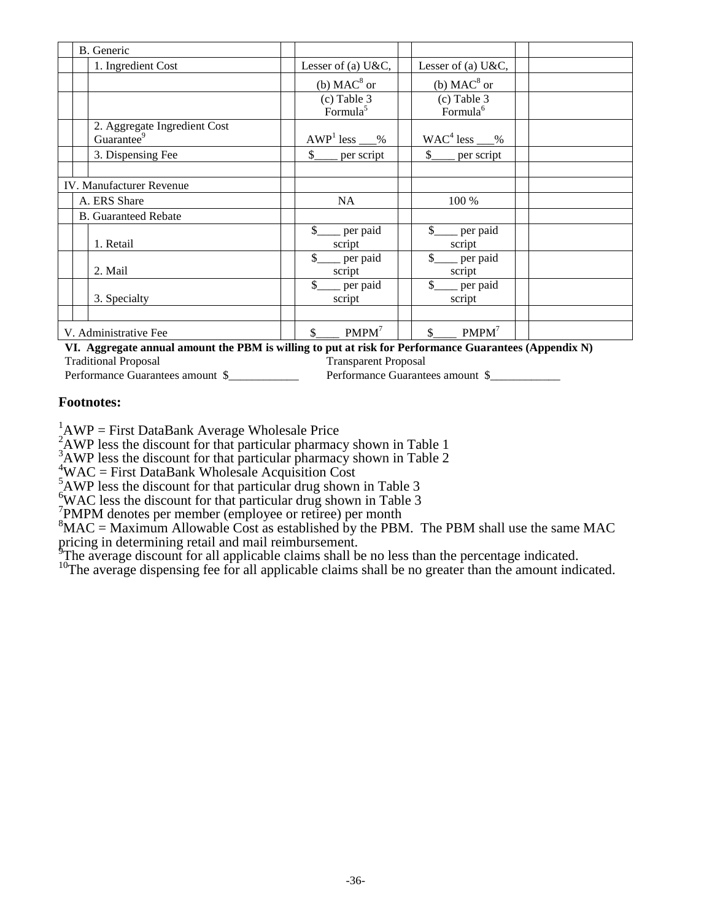|                                 | B. Generic             |                              |                                        |                                         |  |
|---------------------------------|------------------------|------------------------------|----------------------------------------|-----------------------------------------|--|
|                                 |                        | 1. Ingredient Cost           | Lesser of (a) $U & C$ ,                | Lesser of (a) U&C,                      |  |
|                                 |                        |                              | (b) $MAC8$ or                          | (b) $MAC8$ or                           |  |
|                                 |                        |                              | $(c)$ Table 3<br>Formula <sup>5</sup>  | (c) Table $3$<br>Formula <sup>6</sup>   |  |
|                                 | Guarantee <sup>9</sup> | 2. Aggregate Ingredient Cost | $AWP1$ less __%                        | $WAC4$ less ___%                        |  |
|                                 |                        | 3. Dispensing Fee            | $\mathcal{S}$<br>per script            | $\mathcal{S}$<br>per script             |  |
|                                 |                        |                              |                                        |                                         |  |
| <b>IV.</b> Manufacturer Revenue |                        |                              |                                        |                                         |  |
|                                 | A. ERS Share           |                              | NA                                     | 100 %                                   |  |
|                                 |                        | <b>B.</b> Guaranteed Rebate  |                                        |                                         |  |
|                                 | 1. Retail              |                              | $\mathbb{S}$<br>per paid<br>script     | $\mathbb{S}$<br>per paid<br>script      |  |
|                                 | 2. Mail                |                              | $\mathbb{S}$<br>per paid<br>script     | $\mathcal{S}$<br>$=$ per paid<br>script |  |
|                                 |                        | 3. Specialty                 | $\mathcal{S}$<br>__ per paid<br>script | _ per paid<br>script                    |  |
|                                 |                        |                              |                                        |                                         |  |
| V. Administrative Fee           |                        |                              | PMPM <sup>7</sup><br>\$                | $$$ PMPM <sup>7</sup>                   |  |

**VI. Aggregate annual amount the PBM is willing to put at risk for Performance Guarantees (Appendix N)**

Traditional Proposal Transparent Proposal

Performance Guarantees amount \$\_\_\_\_\_\_\_\_\_\_\_\_\_\_\_\_\_ Performance Guarantees amount \$\_\_\_\_\_\_\_\_\_\_\_

#### **Footnotes:**

<sup>1</sup>AWP = First DataBank Average Wholesale Price<br><sup>2</sup>AWP less the discount for that particular pharmacy shown in Table 1<br><sup>3</sup>AWP less the discount for that particular pharmacy shown in Table 2<br><sup>4</sup>WAC = First DataBank Wholesa

 $\rm ^{5}$ AWP less the discount for that particular drug shown in Table 3  $\rm ^{6}$  WAC less the discount for that particular drug shown in Table 3

WAC less the discount for that particular drug shown in Table 3

<sup>7</sup>PMPM denotes per member (employee or retiree) per month

 ${}^{8}$ MAC = Maximum Allowable Cost as established by the PBM. The PBM shall use the same MAC pricing in determining retail and mail reimbursement.

<sup>9</sup>The average discount for all applicable claims shall be no less than the percentage indicated.

<sup>10</sup>The average dispensing fee for all applicable claims shall be no greater than the amount indicated.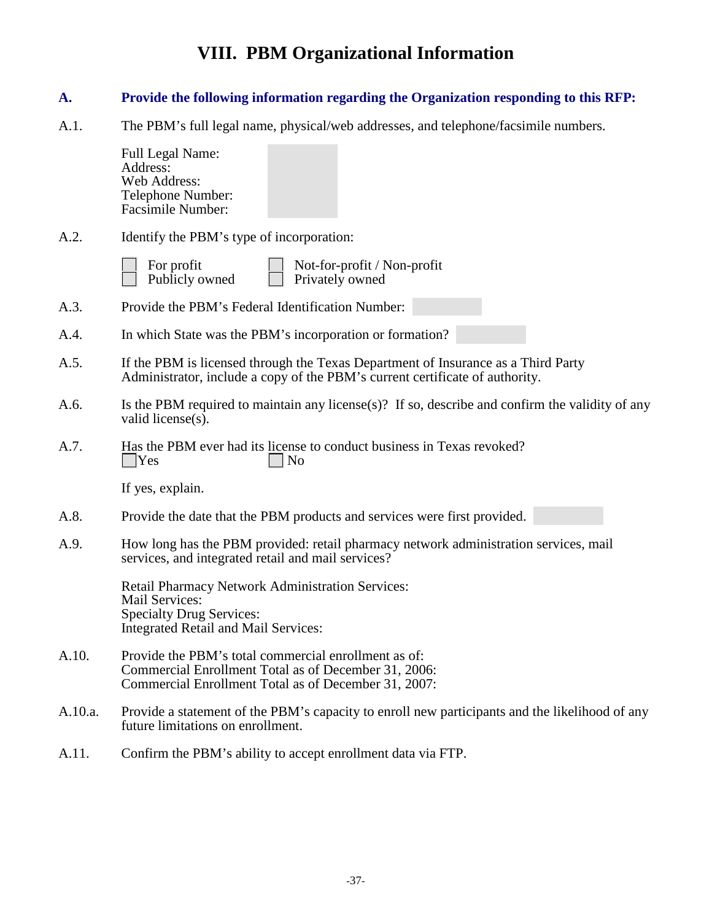# **VIII. PBM Organizational Information**

### **A. Provide the following information regarding the Organization responding to this RFP:**

A.1. The PBM's full legal name, physical/web addresses, and telephone/facsimile numbers.

Full Legal Name: Address: Web Address: Telephone Number: Facsimile Number:

A.2. Identify the PBM's type of incorporation:

| For profit     |
|----------------|
| Publicly owned |

Not-for-profit / Non-profit Privately owned

- A.3. Provide the PBM's Federal Identification Number:
- A.4. In which State was the PBM's incorporation or formation?
- A.5. If the PBM is licensed through the Texas Department of Insurance as a Third Party Administrator, include a copy of the PBM's current certificate of authority.
- A.6. Is the PBM required to maintain any license(s)? If so, describe and confirm the validity of any valid license $(s)$ .
- A.7. Has the PBM ever had its license to conduct business in Texas revoked?<br> $\Box$  Yes  $\vert$   $\vert$  No

If yes, explain.

- A.8. Provide the date that the PBM products and services were first provided.
- A.9. How long has the PBM provided: retail pharmacy network administration services, mail services, and integrated retail and mail services?

Retail Pharmacy Network Administration Services: Mail Services: Specialty Drug Services: Integrated Retail and Mail Services:

- A.10. Provide the PBM's total commercial enrollment as of: Commercial Enrollment Total as of December 31, 2006: Commercial Enrollment Total as of December 31, 2007:
- A.10.a. Provide a statement of the PBM's capacity to enroll new participants and the likelihood of any future limitations on enrollment.
- A.11. Confirm the PBM's ability to accept enrollment data via FTP.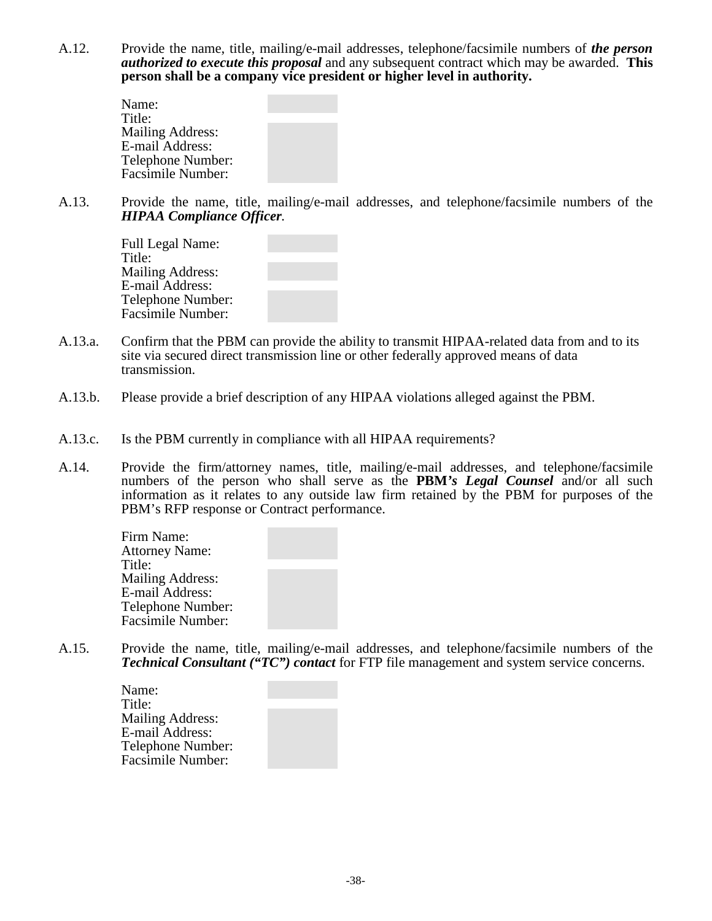A.12. Provide the name, title, mailing/e-mail addresses, telephone/facsimile numbers of *the person authorized to execute this proposal* and any subsequent contract which may be awarded. **This person shall be a company vice president or higher level in authority.**

| Name:                   |  |
|-------------------------|--|
| Title:                  |  |
| <b>Mailing Address:</b> |  |
| E-mail Address:         |  |
| Telephone Number:       |  |
| Facsimile Number:       |  |

A.13. Provide the name, title, mailing/e-mail addresses, and telephone/facsimile numbers of the *HIPAA Compliance Officer.*

| Full Legal Name:        |  |
|-------------------------|--|
| Title:                  |  |
| <b>Mailing Address:</b> |  |
| E-mail Address:         |  |
| Telephone Number:       |  |
| Facsimile Number:       |  |

- A.13.a. Confirm that the PBM can provide the ability to transmit HIPAA-related data from and to its site via secured direct transmission line or other federally approved means of data transmission.
- A.13.b. Please provide a brief description of any HIPAA violations alleged against the PBM.
- A.13.c. Is the PBM currently in compliance with all HIPAA requirements?
- A.14. Provide the firm/attorney names, title, mailing/e-mail addresses, and telephone/facsimile numbers of the person who shall serve as the **PBM***'s Legal Counsel* and/or all such information as it relates to any outside law firm retained by the PBM for purposes of the PBM's RFP response or Contract performance.

Firm Name: Attorney Name: Title: Mailing Address: E-mail Address: Telephone Number: Facsimile Number:

A.15. Provide the name, title, mailing/e-mail addresses, and telephone/facsimile numbers of the *Technical Consultant ("TC") contact* for FTP file management and system service concerns.

| Name:                   |  |
|-------------------------|--|
| Title:                  |  |
| <b>Mailing Address:</b> |  |
| E-mail Address:         |  |
| Telephone Number:       |  |
| Facsimile Number:       |  |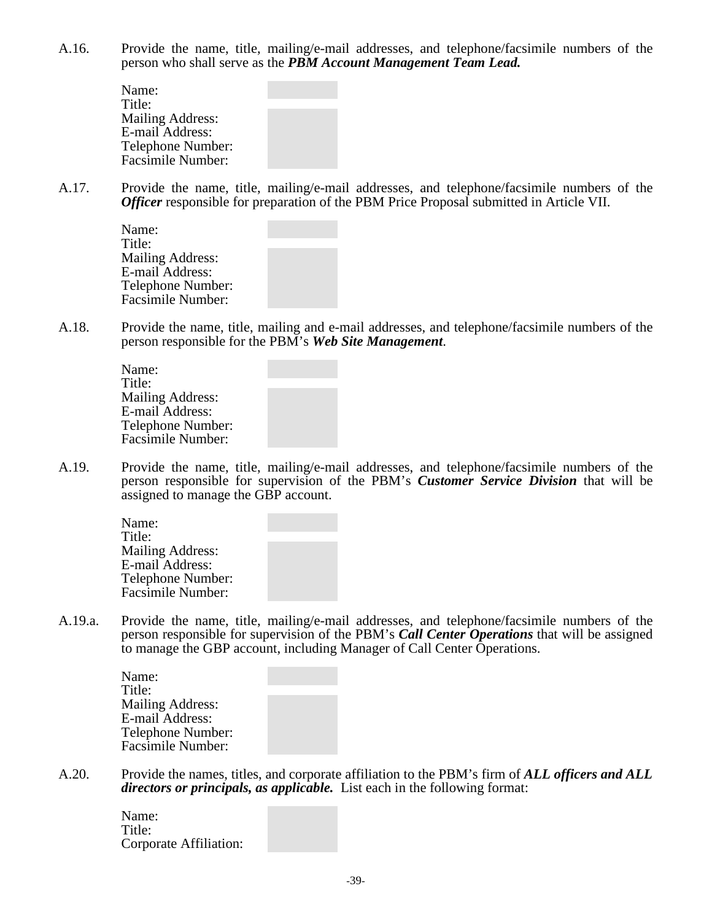A.16. Provide the name, title, mailing/e-mail addresses, and telephone/facsimile numbers of the person who shall serve as the *PBM Account Management Team Lead.*

> Name: Title: Mailing Address: E-mail Address: Telephone Number: Facsimile Number:

A.17. Provide the name, title, mailing/e-mail addresses, and telephone/facsimile numbers of the *Officer* responsible for preparation of the PBM Price Proposal submitted in Article VII.

| Name:                   |  |
|-------------------------|--|
| Title:                  |  |
| <b>Mailing Address:</b> |  |
| E-mail Address:         |  |
| Telephone Number:       |  |
| Facsimile Number:       |  |
|                         |  |

A.18. Provide the name, title, mailing and e-mail addresses, and telephone/facsimile numbers of the person responsible for the PBM's *Web Site Management*.

A.19. Provide the name, title, mailing/e-mail addresses, and telephone/facsimile numbers of the person responsible for supervision of the PBM's *Customer Service Division* that will be assigned to manage the GBP account.

| Name:                   |  |
|-------------------------|--|
| Title:                  |  |
| <b>Mailing Address:</b> |  |
| E-mail Address:         |  |
| Telephone Number:       |  |
| Facsimile Number:       |  |

A.19.a. Provide the name, title, mailing/e-mail addresses, and telephone/facsimile numbers of the person responsible for supervision of the PBM's *Call Center Operations* that will be assigned to manage the GBP account, including Manager of Call Center Operations.

| Name:                    |  |
|--------------------------|--|
| Title:                   |  |
| <b>Mailing Address:</b>  |  |
| E-mail Address:          |  |
| Telephone Number:        |  |
| <b>Facsimile Number:</b> |  |

A.20. Provide the names, titles, and corporate affiliation to the PBM's firm of *ALL officers and ALL directors or principals, as applicable.* List each in the following format:

> Name: Title: Corporate Affiliation: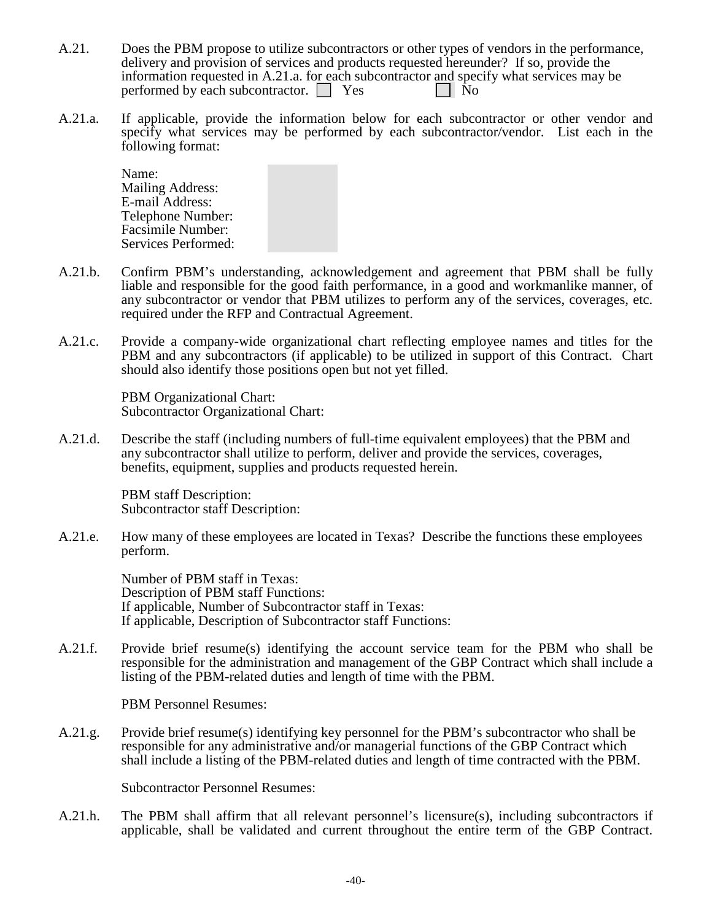- A.21. Does the PBM propose to utilize subcontractors or other types of vendors in the performance, delivery and provision of services and products requested hereunder? If so, provide the information requested in A.21.a. for each subcontractor and specify what services may be performed by each subcontractor.  $\Box$  Yes  $\Box$  No
- A.21.a. If applicable, provide the information below for each subcontractor or other vendor and specify what services may be performed by each subcontractor/vendor. List each in the following format:

Name: Mailing Address: E-mail Address: Telephone Number: Facsimile Number: Services Performed:

- A.21.b. Confirm PBM's understanding, acknowledgement and agreement that PBM shall be fully liable and responsible for the good faith performance, in a good and workmanlike manner, of any subcontractor or vendor that PBM utilizes to perform any of the services, coverages, etc. required under the RFP and Contractual Agreement.
- A.21.c. Provide a company-wide organizational chart reflecting employee names and titles for the PBM and any subcontractors (if applicable) to be utilized in support of this Contract. Chart should also identify those positions open but not yet filled.

PBM Organizational Chart: Subcontractor Organizational Chart:

A.21.d. Describe the staff (including numbers of full-time equivalent employees) that the PBM and any subcontractor shall utilize to perform, deliver and provide the services, coverages, benefits, equipment, supplies and products requested herein.

> PBM staff Description: Subcontractor staff Description:

A.21.e. How many of these employees are located in Texas? Describe the functions these employees perform.

> Number of PBM staff in Texas: Description of PBM staff Functions: If applicable, Number of Subcontractor staff in Texas: If applicable, Description of Subcontractor staff Functions:

A.21.f. Provide brief resume(s) identifying the account service team for the PBM who shall be responsible for the administration and management of the GBP Contract which shall include a listing of the PBM-related duties and length of time with the PBM.

PBM Personnel Resumes:

A.21.g. Provide brief resume(s) identifying key personnel for the PBM's subcontractor who shall be responsible for any administrative and/or managerial functions of the GBP Contract which shall include a listing of the PBM-related duties and length of time contracted with the PBM.

Subcontractor Personnel Resumes:

A.21.h. The PBM shall affirm that all relevant personnel's licensure(s), including subcontractors if applicable, shall be validated and current throughout the entire term of the GBP Contract.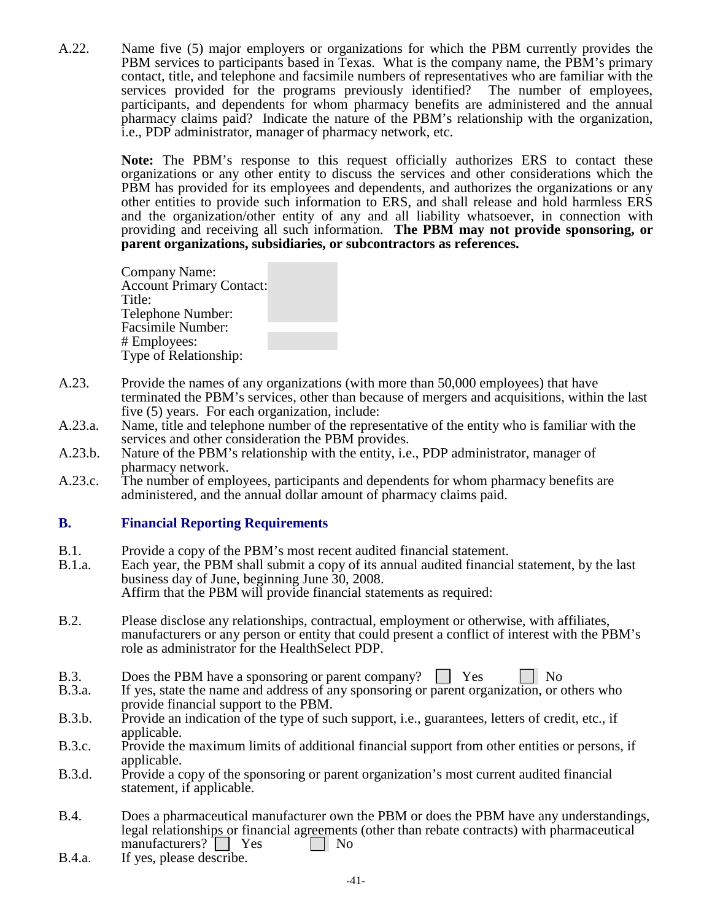A.22. Name five (5) major employers or organizations for which the PBM currently provides the PBM services to participants based in Texas. What is the company name, the PBM's primary contact, title, and telephone and facsimile numbers of representatives who are familiar with the services provided for the programs previously identified? participants, and dependents for whom pharmacy benefits are administered and the annual pharmacy claims paid? Indicate the nature of the PBM's relationship with the organization, i.e., PDP administrator, manager of pharmacy network, etc.

> **Note:** The PBM's response to this request officially authorizes ERS to contact these organizations or any other entity to discuss the services and other considerations which the PBM has provided for its employees and dependents, and authorizes the organizations or any other entities to provide such information to ERS, and shall release and hold harmless ERS and the organization/other entity of any and all liability whatsoever, in connection with providing and receiving all such information. **The PBM may not provide sponsoring, or parent organizations, subsidiaries, or subcontractors as references.**

Company Name: Account Primary Contact: Title: Telephone Number: Facsimile Number: # Employees: Type of Relationship:

- A.23. Provide the names of any organizations (with more than 50,000 employees) that have terminated the PBM's services, other than because of mergers and acquisitions, within the last five (5) years. For each organization, include:
- A.23.a. Name, title and telephone number of the representative of the entity who is familiar with the services and other consideration the PBM provides.
- A.23.b. Nature of the PBM's relationship with the entity, i.e., PDP administrator, manager of pharmacy network.
- A.23.c. The number of employees, participants and dependents for whom pharmacy benefits are administered, and the annual dollar amount of pharmacy claims paid.

#### **B. Financial Reporting Requirements**

- B.1. Provide a copy of the PBM's most recent audited financial statement.
- B.1.a. Each year, the PBM shall submit a copy of its annual audited financial statement, by the last business day of June, beginning June 30, 2008. Affirm that the PBM will provide financial statements as required:
- B.2. Please disclose any relationships, contractual, employment or otherwise, with affiliates, manufacturers or any person or entity that could present a conflict of interest with the PBM's role as administrator for the HealthSelect PDP.
- B.3. Does the PBM have a sponsoring or parent company? The Ves No R.3.a. If yes, state the name and address of any sponsoring or parent organization, or q
- If yes, state the name and address of any sponsoring or parent organization, or others who provide financial support to the PBM.
- B.3.b. Provide an indication of the type of such support, i.e., guarantees, letters of credit, etc., if applicable.
- B.3.c. Provide the maximum limits of additional financial support from other entities or persons, if applicable.
- B.3.d. Provide a copy of the sponsoring or parent organization's most current audited financial statement, if applicable.
- B.4. Does a pharmaceutical manufacturer own the PBM or does the PBM have any understandings, legal relationships or financial agreements (other than rebate contracts) with pharmaceutical manufacturers?  $\Box$  Yes  $\Box$  No
- B.4.a. If yes, please describe.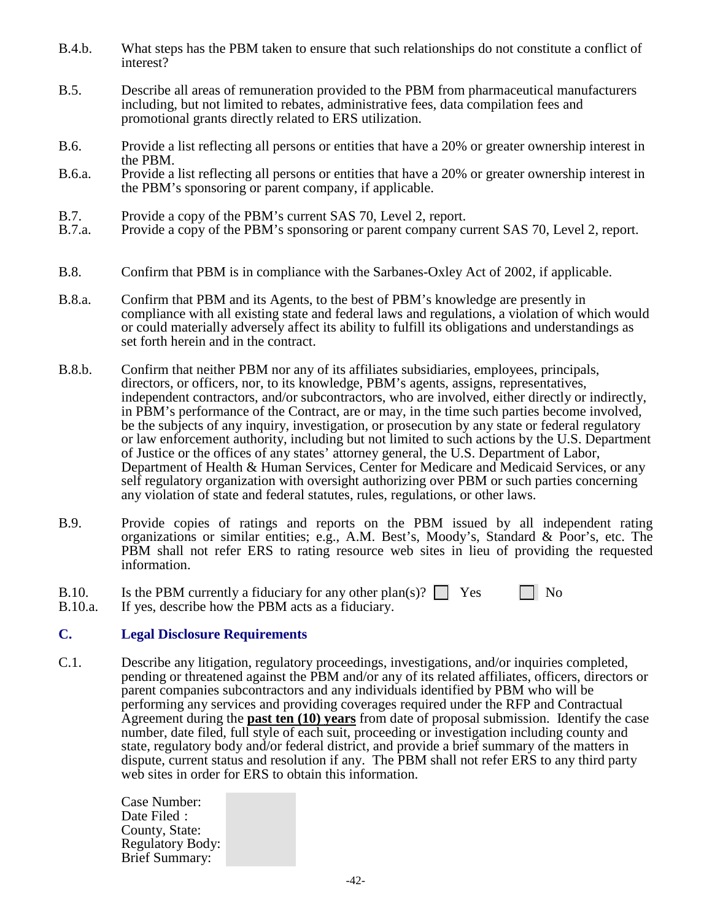- B.4.b. What steps has the PBM taken to ensure that such relationships do not constitute a conflict of interest?
- B.5. Describe all areas of remuneration provided to the PBM from pharmaceutical manufacturers including, but not limited to rebates, administrative fees, data compilation fees and promotional grants directly related to ERS utilization.
- B.6. Provide a list reflecting all persons or entities that have a 20% or greater ownership interest in the PBM.
- B.6.a. Provide a list reflecting all persons or entities that have a 20% or greater ownership interest in the PBM's sponsoring or parent company, if applicable.
- B.7. Provide a copy of the PBM's current SAS 70, Level 2, report.<br>B.7.a. Provide a copy of the PBM's sponsoring or parent company cu
- Provide a copy of the PBM's sponsoring or parent company current SAS 70, Level 2, report.
- B.8. Confirm that PBM is in compliance with the Sarbanes-Oxley Act of 2002, if applicable.
- B.8.a. Confirm that PBM and its Agents, to the best of PBM's knowledge are presently in compliance with all existing state and federal laws and regulations, a violation of which would or could materially adversely affect its ability to fulfill its obligations and understandings as set forth herein and in the contract.
- B.8.b. Confirm that neither PBM nor any of its affiliates subsidiaries, employees, principals, directors, or officers, nor, to its knowledge, PBM's agents, assigns, representatives, independent contractors, and/or subcontractors, who are involved, either directly or indirectly, in PBM's performance of the Contract, are or may, in the time such parties become involved, be the subjects of any inquiry, investigation, or prosecution by any state or federal regulatory or law enforcement authority, including but not limited to such actions by the U.S. Department of Justice or the offices of any states' attorney general, the U.S. Department of Labor, Department of Health & Human Services, Center for Medicare and Medicaid Services, or any self regulatory organization with oversight authorizing over PBM or such parties concerning any violation of state and federal statutes, rules, regulations, or other laws.
- B.9. Provide copies of ratings and reports on the PBM issued by all independent rating organizations or similar entities; e.g., A.M. Best's, Moody's, Standard & Poor's, etc. The PBM shall not refer ERS to rating resource web sites in lieu of providing the requested information.
- B.10. Is the PBM currently a fiduciary for any other plan(s)?  $\Box$  Yes  $\Box$  No B.10.a. If yes, describe how the PBM acts as a fiduciary.
- If yes, describe how the PBM acts as a fiduciary.

#### **C. Legal Disclosure Requirements**

C.1. Describe any litigation, regulatory proceedings, investigations, and/or inquiries completed, pending or threatened against the PBM and/or any of its related affiliates, officers, directors or parent companies subcontractors and any individuals identified by PBM who will be performing any services and providing coverages required under the RFP and Contractual Agreement during the **past ten (10) years** from date of proposal submission. Identify the case number, date filed, full style of each suit, proceeding or investigation including county and state, regulatory body and/or federal district, and provide a brief summary of the matters in dispute, current status and resolution if any. The PBM shall not refer ERS to any third party web sites in order for ERS to obtain this information.

> Case Number: Date Filed : County, State: Regulatory Body: Brief Summary: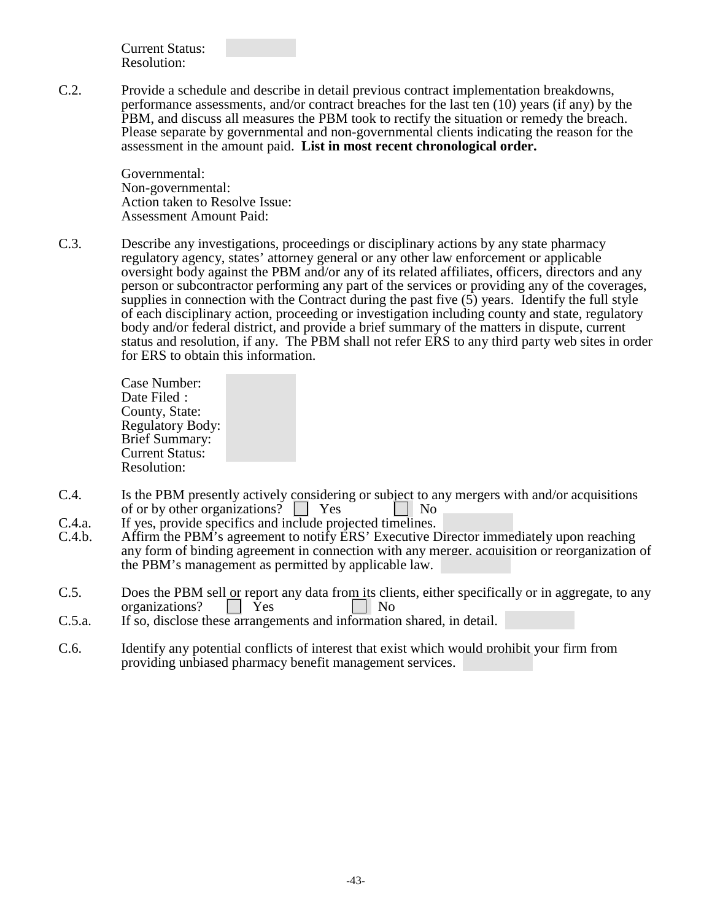Current Status: Resolution:

C.2. Provide a schedule and describe in detail previous contract implementation breakdowns, performance assessments, and/or contract breaches for the last ten (10) years (if any) by the PBM, and discuss all measures the PBM took to rectify the situation or remedy the breach. Please separate by governmental and non-governmental clients indicating the reason for the assessment in the amount paid. **List in most recent chronological order.**

> Governmental: Non-governmental: Action taken to Resolve Issue: Assessment Amount Paid:

C.3. Describe any investigations, proceedings or disciplinary actions by any state pharmacy regulatory agency, states' attorney general or any other law enforcement or applicable oversight body against the PBM and/or any of its related affiliates, officers, directors and any person or subcontractor performing any part of the services or providing any of the coverages, supplies in connection with the Contract during the past five  $(5)$  years. Identify the full style of each disciplinary action, proceeding or investigation including county and state, regulatory body and/or federal district, and provide a brief summary of the matters in dispute, current status and resolution, if any. The PBM shall not refer ERS to any third party web sites in order for ERS to obtain this information.

> Case Number: Date Filed : County, State: Regulatory Body: Brief Summary: Current Status: Resolution:

- C.4. Is the PBM presently actively considering or subject to any mergers with and/or acquisitions of or by other organizations?  $\Box$  Yes  $\Box$  No
- C.4.a. If yes, provide specifics and include projected timelines.<br>C.4.b. Affirm the PBM's agreement to notify ERS' Executive D
- Affirm the PBM's agreement to notify ERS' Executive Director immediately upon reaching any form of binding agreement in connection with any merger, acquisition or reorganization of the PBM's management as permitted by applicable law.
- C.5. Does the PBM sell or report any data from its clients, either specifically or in aggregate, to any organizations? | | Yes | | No
- C.5.a. If so, disclose these arrangements and information shared, in detail.
- C.6. Identify any potential conflicts of interest that exist which would prohibit your firm from providing unbiased pharmacy benefit management services.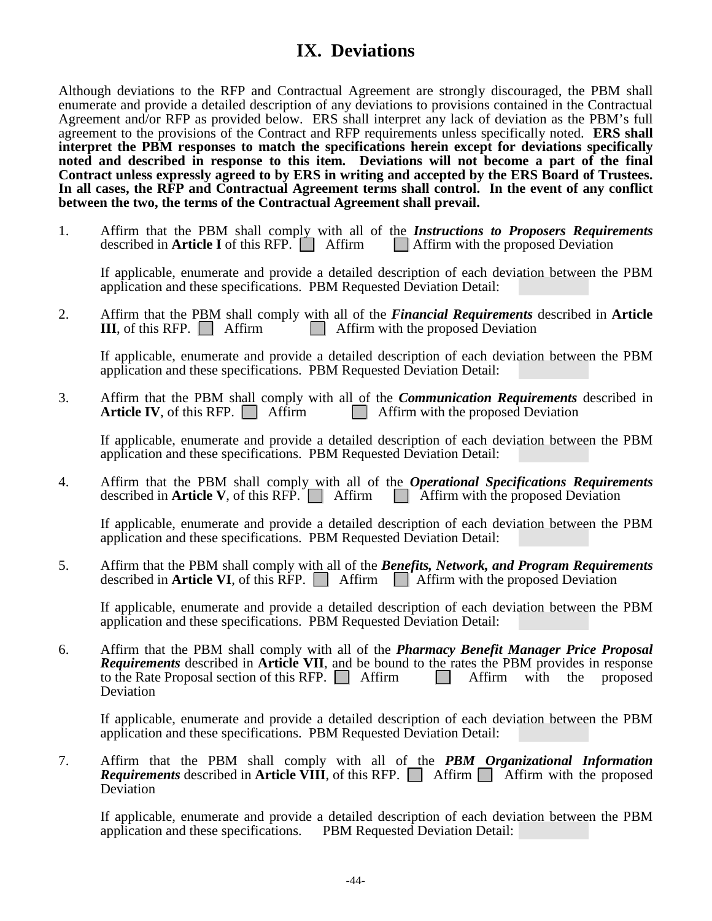# **IX. Deviations**

Although deviations to the RFP and Contractual Agreement are strongly discouraged, the PBM shall enumerate and provide a detailed description of any deviations to provisions contained in the Contractual Agreement and/or RFP as provided below. ERS shall interpret any lack of deviation as the PBM's full agreement to the provisions of the Contract and RFP requirements unless specifically noted. **ERS shall interpret the PBM responses to match the specifications herein except for deviations specifically noted and described in response to this item. Deviations will not become a part of the final Contract unless expressly agreed to by ERS in writing and accepted by the ERS Board of Trustees. In all cases, the RFP and Contractual Agreement terms shall control. In the event of any conflict between the two, the terms of the Contractual Agreement shall prevail.**

1. Affirm that the PBM shall comply with all of the *Instructions to Proposers Requirements* described in **Article I** of this RFP. Affirm  $\Box$  Affirm with the proposed Deviation described in **Article I** of this RFP.  $\Box$  Affirm

If applicable, enumerate and provide a detailed description of each deviation between the PBM application and these specifications. PBM Requested Deviation Detail:

2. Affirm that the PBM shall comply with all of the *Financial Requirements* described in **Article III**, of this RFP. **A** Affirm **a** Affirm with the proposed Deviation **II**, Affirm with the proposed Deviation

If applicable, enumerate and provide a detailed description of each deviation between the PBM application and these specifications. PBM Requested Deviation Detail:

3. Affirm that the PBM shall comply with all of the *Communication Requirements* described in **Article IV**, of this RFP. Affirm  $\Box$  Affirm with the proposed Deviation **Affirm with the proposed Deviation** 

If applicable, enumerate and provide a detailed description of each deviation between the PBM application and these specifications. PBM Requested Deviation Detail:

4. Affirm that the PBM shall comply with all of the *Operational Specifications Requirements* described in **Article V**, of this  $RF\overline{P}$ . Affirm  $\Box$  Affirm with the proposed Deviation

If applicable, enumerate and provide a detailed description of each deviation between the PBM application and these specifications. PBM Requested Deviation Detail:

5. Affirm that the PBM shall comply with all of the *Benefits, Network, and Program Requirements* described in **Article VI**, of this  $\overline{RFP}$ . Affirm  $\overline{\phantom{a}}$  Affirm with the proposed Deviation

If applicable, enumerate and provide a detailed description of each deviation between the PBM application and these specifications. PBM Requested Deviation Detail:

6. Affirm that the PBM shall comply with all of the *Pharmacy Benefit Manager Price Proposal Requirements* described in **Article VII**, and be bound to the rates the PBM provides in response to the Rate Proposal section of this RFP.  $\Box$  Affirm  $\Box$  Affirm with the proposed Deviation

If applicable, enumerate and provide a detailed description of each deviation between the PBM application and these specifications. PBM Requested Deviation Detail:

7. Affirm that the PBM shall comply with all of the PBM Organizational Information *Requirements* described in **Article VIII**, of this RFP.  $\Box$  Affirm  $\Box$  Affirm with the proposed Deviation

If applicable, enumerate and provide a detailed description of each deviation between the PBM application and these specifications. PBM Requested Deviation Detail: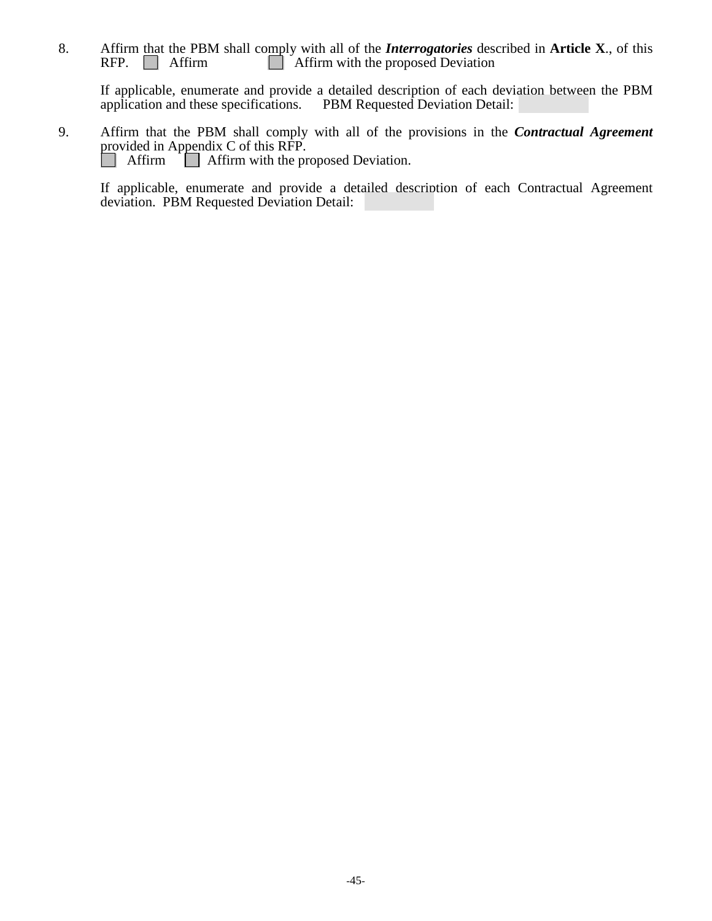8. Affirm that the PBM shall comply with all of the *Interrogatories* described in **Article X**., of this RFP.  $\Box$  Affirm  $\Box$  Affirm with the proposed Deviation  $\Box$  Affirm with the proposed Deviation

If applicable, enumerate and provide a detailed description of each deviation between the PBM application and these specifications. PBM Requested Deviation Detail:

9. Affirm that the PBM shall comply with all of the provisions in the *Contractual Agreement* provided in Appendix C of this RFP.<br>
Affirm Affirm with the proposed Deviation.

If applicable, enumerate and provide a detailed description of each Contractual Agreement deviation. PBM Requested Deviation Detail: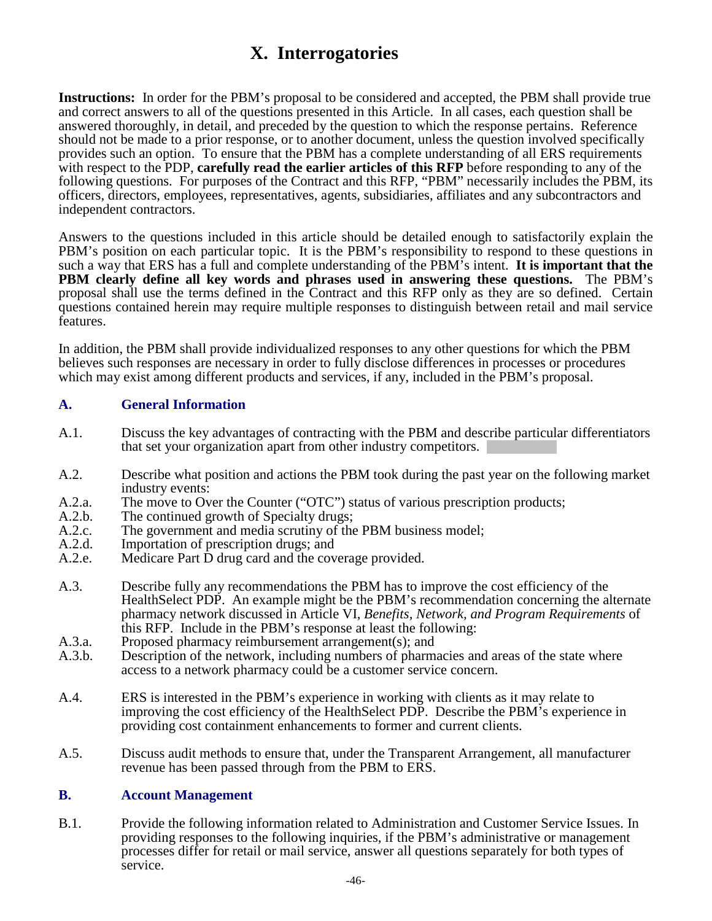# **X. Interrogatories**

**Instructions:** In order for the PBM's proposal to be considered and accepted, the PBM shall provide true and correct answers to all of the questions presented in this Article. In all cases, each question shall be answered thoroughly, in detail, and preceded by the question to which the response pertains. Reference should not be made to a prior response, or to another document, unless the question involved specifically provides such an option. To ensure that the PBM has a complete understanding of all ERS requirements with respect to the PDP, **carefully read the earlier articles of this RFP** before responding to any of the following questions. For purposes of the Contract and this RFP, "PBM" necessarily includes the PBM, its officers, directors, employees, representatives, agents, subsidiaries, affiliates and any subcontractors and independent contractors.

Answers to the questions included in this article should be detailed enough to satisfactorily explain the PBM's position on each particular topic. It is the PBM's responsibility to respond to these questions in such a way that ERS has a full and complete understanding of the PBM's intent. **It is important that the PBM clearly define all key words and phrases used in answering these questions.** The PBM's proposal shall use the terms defined in the Contract and this RFP only as they are so defined. Certain questions contained herein may require multiple responses to distinguish between retail and mail service features.

In addition, the PBM shall provide individualized responses to any other questions for which the PBM believes such responses are necessary in order to fully disclose differences in processes or procedures which may exist among different products and services, if any, included in the PBM's proposal.

### **A. General Information**

- A.1. Discuss the key advantages of contracting with the PBM and describe particular differentiators that set your organization apart from other industry competitors.
- A.2. Describe what position and actions the PBM took during the past year on the following market industry events:
- A.2.a. The move to Over the Counter ("OTC") status of various prescription products;<br>A.2.b. The continued growth of Specialty drugs:
- A.2.b. The continued growth of Specialty drugs;<br>A.2.c. The government and media scrutiny of the
- A.2.c. The government and media scrutiny of the PBM business model;<br>A.2.d. Importation of prescription drugs: and
- A.2.d. Importation of prescription drugs; and<br>A.2.e. Medicare Part D drug card and the cov
- Medicare Part  $\overline{D}$  drug card and the coverage provided.
- A.3. Describe fully any recommendations the PBM has to improve the cost efficiency of the HealthSelect PDP. An example might be the PBM's recommendation concerning the alternate pharmacy network discussed in Article VI, *Benefits, Network, and Program Requirements* of this RFP. Include in the PBM's response at least the following:
- A.3.a. Proposed pharmacy reimbursement arrangement(s); and A.3.b. Description of the network, including numbers of pharma
- Description of the network, including numbers of pharmacies and areas of the state where access to a network pharmacy could be a customer service concern.
- A.4. ERS is interested in the PBM's experience in working with clients as it may relate to improving the cost efficiency of the HealthSelect PDP. Describe the PBM's experience in providing cost containment enhancements to former and current clients.
- A.5. Discuss audit methods to ensure that, under the Transparent Arrangement, all manufacturer revenue has been passed through from the PBM to ERS.

#### **B. Account Management**

B.1. Provide the following information related to Administration and Customer Service Issues. In providing responses to the following inquiries, if the PBM's administrative or management processes differ for retail or mail service, answer all questions separately for both types of service.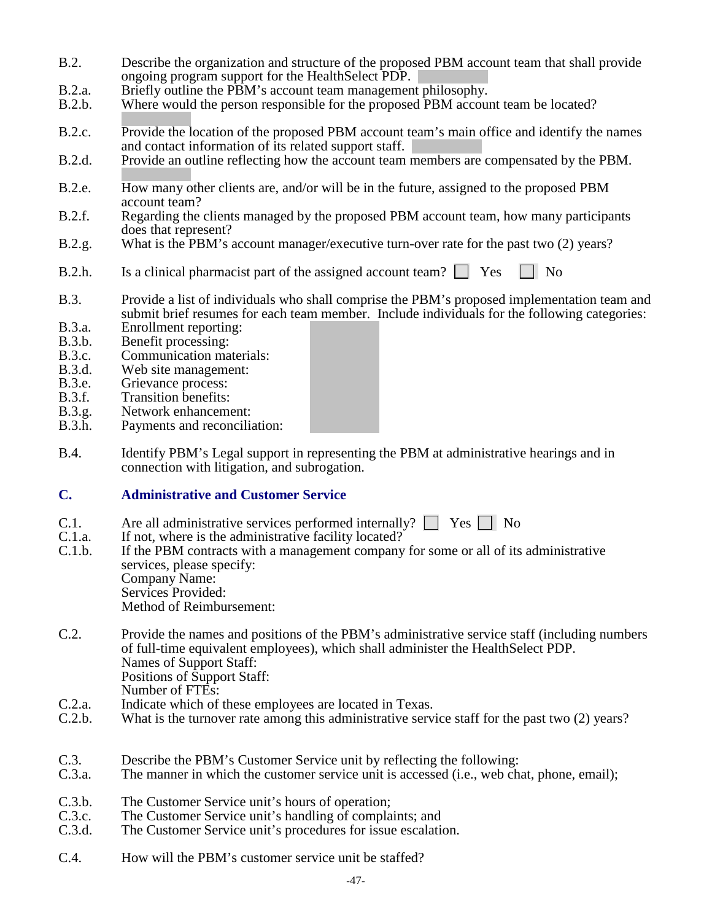- B.2. Describe the organization and structure of the proposed PBM account team that shall provide ongoing program support for the HealthSelect PDP.
- B.2.a. Briefly outline the PBM's account team management philosophy.<br>B.2.b. Where would the person responsible for the proposed PBM account
- Where would the person responsible for the proposed PBM account team be located?
- B.2.c. Provide the location of the proposed PBM account team's main office and identify the names and contact information of its related support staff.
- B.2.d. Provide an outline reflecting how the account team members are compensated by the PBM.
- B.2.e. How many other clients are, and/or will be in the future, assigned to the proposed PBM account team?
- B.2.f. Regarding the clients managed by the proposed PBM account team, how many participants does that represent?
- B.2.g. What is the PBM's account manager/executive turn-over rate for the past two (2) years?
- B.2.h. Is a clinical pharmacist part of the assigned account team?  $\Box$  Yes  $\Box$  No
- B.3. Provide a list of individuals who shall comprise the PBM's proposed implementation team and submit brief resumes for each team member. Include individuals for the following categories:
- B.3.a. Enrollment reporting:<br>B.3.b. Benefit processing:
- B.3.b. Benefit processing:<br>B.3.c. Communication ma
- B.3.c. Communication materials:<br>B.3.d. Web site management:
- B.3.d. Web site management:<br>B.3.e. Grievance process:
- B.3.e. Grievance process:<br>B.3.f. Transition benefits:
- B.3.f. Transition benefits:<br>B.3.g. Network enhancement
- B.3.g. Network enhancement:<br>B.3.h. Payments and reconcilia
- Payments and reconciliation:
- B.4. Identify PBM's Legal support in representing the PBM at administrative hearings and in connection with litigation, and subrogation.

# **C. Administrative and Customer Service**

- C.1. Are all administrative services performed internally?  $\Box$  Yes  $\Box$  No C.1.a. If not, where is the administrative facility located?
- C.1.a. If not, where is the administrative facility located?<br>C.1.b. If the PBM contracts with a management company
- If the PBM contracts with a management company for some or all of its administrative services, please specify: Company Name: Services Provided: Method of Reimbursement:
- C.2. Provide the names and positions of the PBM's administrative service staff (including numbers of full-time equivalent employees), which shall administer the HealthSelect PDP. Names of Support Staff: Positions of Support Staff: Number of FTEs:
- C.2.a. Indicate which of these employees are located in Texas.<br>C.2.b. What is the turnover rate among this administrative server
- What is the turnover rate among this administrative service staff for the past two (2) years?
- C.3. Describe the PBM's Customer Service unit by reflecting the following:<br>C.3.a. The manner in which the customer service unit is accessed (i.e., web ch
- The manner in which the customer service unit is accessed (i.e., web chat, phone, email);
- C.3.b. The Customer Service unit's hours of operation;<br>C.3.c. The Customer Service unit's handling of compla
- The Customer Service unit's handling of complaints; and
- C.3.d. The Customer Service unit's procedures for issue escalation.
- C.4. How will the PBM's customer service unit be staffed?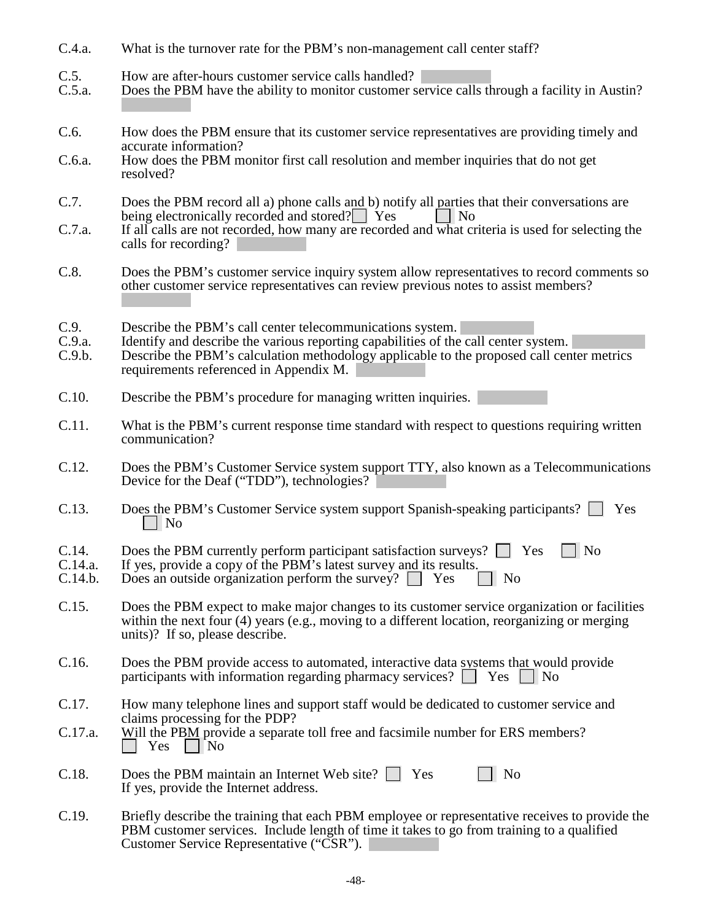- C.4.a. What is the turnover rate for the PBM's non-management call center staff?
- C.5. How are after-hours customer service calls handled?<br>C.5.a. Does the PBM have the ability to monitor customer serv
- Does the PBM have the ability to monitor customer service calls through a facility in Austin?
- C.6. How does the PBM ensure that its customer service representatives are providing timely and accurate information?
- C.6.a. How does the PBM monitor first call resolution and member inquiries that do not get resolved?
- C.7. Does the PBM record all a) phone calls and b) notify all parties that their conversations are being electronically recorded and stored?  $\Box$  Yes being electronically recorded and stored? $\Box$  Yes
- C.7.a. If all calls are not recorded, how many are recorded and what criteria is used for selecting the calls for recording?
- C.8. Does the PBM's customer service inquiry system allow representatives to record comments so other customer service representatives can review previous notes to assist members?
- C.9. Describe the PBM's call center telecommunications system.<br>C.9.a. Identify and describe the various reporting capabilities of the
- C.9.a. Identify and describe the various reporting capabilities of the call center system.
- Describe the PBM's calculation methodology applicable to the proposed call center metrics requirements referenced in Appendix M.
- C.10. Describe the PBM's procedure for managing written inquiries.
- C.11. What is the PBM's current response time standard with respect to questions requiring written communication?
- C.12. Does the PBM's Customer Service system support TTY, also known as a Telecommunications Device for the Deaf ("TDD"), technologies?
- C.13. Does the PBM's Customer Service system support Spanish-speaking participants?  $\Box$  Yes  $\vert$  | No
- C.14. Does the PBM currently perform participant satisfaction surveys?  $\Box$  Yes  $\Box$  No C.14.a. If yes, provide a copy of the PBM's latest survey and its results.
- C.14.a. If yes, provide a copy of the PBM's latest survey and its results.<br>C.14.b. Does an outside organization perform the survey?  $\Box$  Yes
- Does an outside organization perform the survey?  $\Box$  Yes  $\Box$  No
- C.15. Does the PBM expect to make major changes to its customer service organization or facilities within the next four (4) years (e.g., moving to a different location, reorganizing or merging units)? If so, please describe.
- C.16. Does the PBM provide access to automated, interactive data systems that would provide participants with information regarding pharmacy services?  $\Box$  Yes  $\Box$  No
- C.17. How many telephone lines and support staff would be dedicated to customer service and claims processing for the PDP?
- C.17.a. Will the PBM provide a separate toll free and facsimile number for ERS members?  $\vert$  | Yes | | No

| C.18. | Does the PBM maintain an Internet Web site? $\Box$ Yes | $\Box$ No |
|-------|--------------------------------------------------------|-----------|
|       | If yes, provide the Internet address.                  |           |

C.19. Briefly describe the training that each PBM employee or representative receives to provide the PBM customer services. Include length of time it takes to go from training to a qualified Customer Service Representative ("CSR").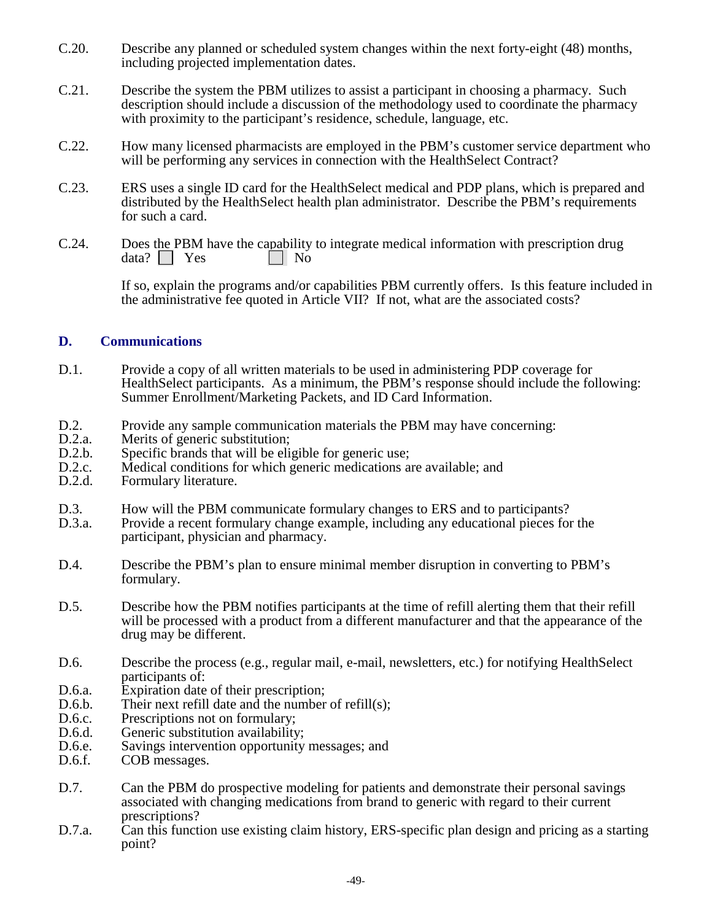- C.20. Describe any planned or scheduled system changes within the next forty-eight (48) months, including projected implementation dates.
- C.21. Describe the system the PBM utilizes to assist a participant in choosing a pharmacy. Such description should include a discussion of the methodology used to coordinate the pharmacy with proximity to the participant's residence, schedule, language, etc.
- C.22. How many licensed pharmacists are employed in the PBM's customer service department who will be performing any services in connection with the HealthSelect Contract?
- C.23. ERS uses a single ID card for the HealthSelect medical and PDP plans, which is prepared and distributed by the HealthSelect health plan administrator. Describe the PBM's requirements for such a card.
- C.24. Does the PBM have the capability to integrate medical information with prescription drug  $data? \Box Yes \Box No$

If so, explain the programs and/or capabilities PBM currently offers. Is this feature included in the administrative fee quoted in Article VII? If not, what are the associated costs?

### **D. Communications**

- D.1. Provide a copy of all written materials to be used in administering PDP coverage for HealthSelect participants. As a minimum, the PBM's response should include the following: Summer Enrollment/Marketing Packets, and ID Card Information.
- D.2. Provide any sample communication materials the PBM may have concerning:
- D.2.a. Merits of generic substitution;<br>D.2.b. Specific brands that will be eli
- D.2.b. Specific brands that will be eligible for generic use;<br>D.2.c. Medical conditions for which generic medications as
- D.2.c. Medical conditions for which generic medications are available; and D.2.d. Formulary literature.
- Formulary literature.
- D.3. How will the PBM communicate formulary changes to ERS and to participants?<br>D.3.a. Provide a recent formulary change example, including any educational pieces for
- Provide a recent formulary change example, including any educational pieces for the participant, physician and pharmacy.
- D.4. Describe the PBM's plan to ensure minimal member disruption in converting to PBM's formulary.
- D.5. Describe how the PBM notifies participants at the time of refill alerting them that their refill will be processed with a product from a different manufacturer and that the appearance of the drug may be different.
- D.6. Describe the process (e.g., regular mail, e-mail, newsletters, etc.) for notifying HealthSelect participants of:
- D.6.a. Expiration date of their prescription;<br>D.6.b. Their next refill date and the number
- Their next refill date and the number of refill(s);
- D.6.c. Prescriptions not on formulary;<br>D.6.d. Generic substitution availability
- Generic substitution availability;
- D.6.e. Savings intervention opportunity messages; and D.6.f. COB messages.
- COB messages.
- D.7. Can the PBM do prospective modeling for patients and demonstrate their personal savings associated with changing medications from brand to generic with regard to their current prescriptions?
- D.7.a. Can this function use existing claim history, ERS-specific plan design and pricing as a starting point?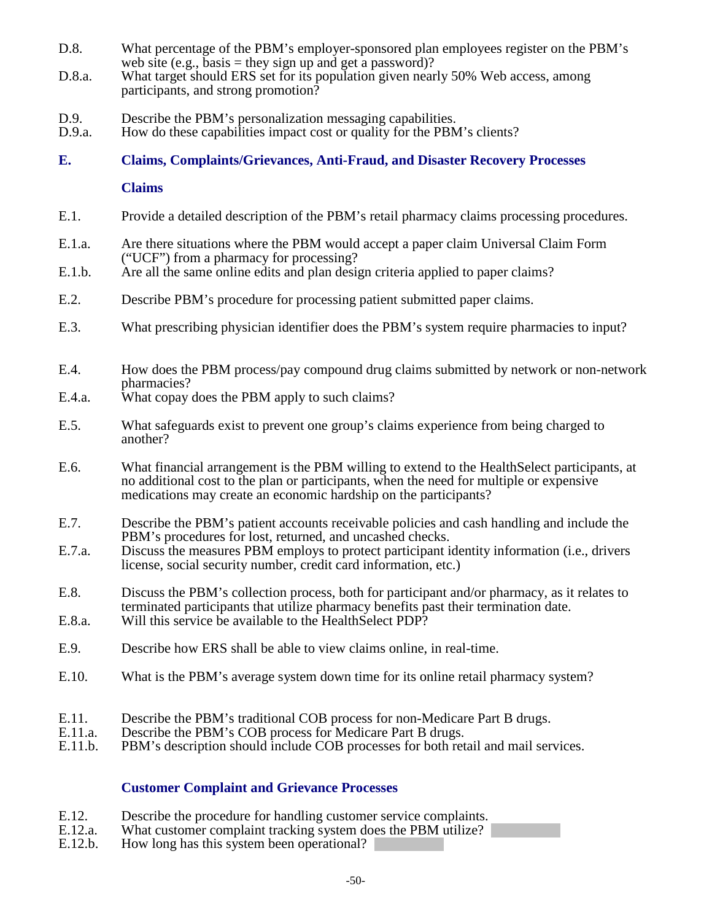- D.8. What percentage of the PBM's employer-sponsored plan employees register on the PBM's web site (e.g., basis = they sign up and get a password)?
- D.8.a. What target should ERS set for its population given nearly 50% Web access, among participants, and strong promotion?
- D.9. Describe the PBM's personalization messaging capabilities.
- D.9.a. How do these capabilities impact cost or quality for the PBM's clients?

# **E. Claims, Complaints/Grievances, Anti-Fraud, and Disaster Recovery Processes**

**Claims**

- E.1. Provide a detailed description of the PBM's retail pharmacy claims processing procedures.
- E.1.a. Are there situations where the PBM would accept a paper claim Universal Claim Form ("UCF") from a pharmacy for processing?
- E.1.b. Are all the same online edits and plan design criteria applied to paper claims?
- E.2. Describe PBM's procedure for processing patient submitted paper claims.
- E.3. What prescribing physician identifier does the PBM's system require pharmacies to input?
- E.4. How does the PBM process/pay compound drug claims submitted by network or non-network pharmacies?
- E.4.a. What copay does the PBM apply to such claims?
- E.5. What safeguards exist to prevent one group's claims experience from being charged to another?
- E.6. What financial arrangement is the PBM willing to extend to the HealthSelect participants, at no additional cost to the plan or participants, when the need for multiple or expensive medications may create an economic hardship on the participants?
- E.7. Describe the PBM's patient accounts receivable policies and cash handling and include the PBM's procedures for lost, returned, and uncashed checks.
- E.7.a. Discuss the measures PBM employs to protect participant identity information (i.e., drivers license, social security number, credit card information, etc.)
- E.8. Discuss the PBM's collection process, both for participant and/or pharmacy, as it relates to terminated participants that utilize pharmacy benefits past their termination date.
- E.8.a. Will this service be available to the HealthSelect PDP?
- E.9. Describe how ERS shall be able to view claims online, in real-time.
- E.10. What is the PBM's average system down time for its online retail pharmacy system?
- E.11. Describe the PBM's traditional COB process for non-Medicare Part B drugs. E.11.a. Describe the PBM's COB process for Medicare Part B drugs.
- 
- E.11.b. PBM's description should include COB processes for both retail and mail services.

# **Customer Complaint and Grievance Processes**

- E.12. Describe the procedure for handling customer service complaints.<br>E.12.a. What customer complaint tracking system does the PBM utilize?
- E.12.a. What customer complaint tracking system does the PBM utilize? <br>E.12.b. How long has this system been operational?
- How long has this system been operational?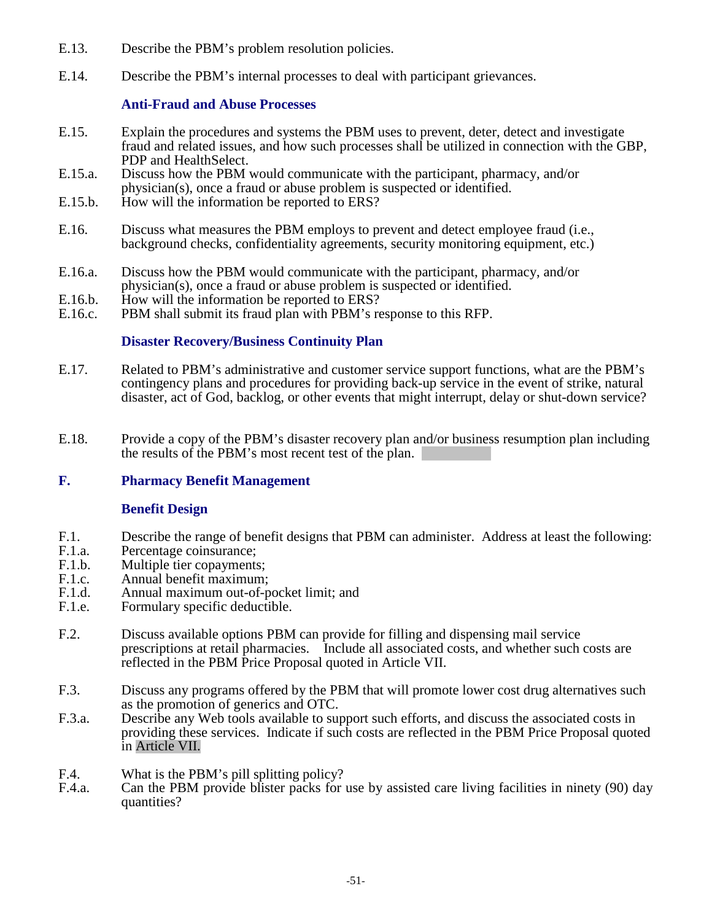- E.13. Describe the PBM's problem resolution policies.
- E.14. Describe the PBM's internal processes to deal with participant grievances.

### **Anti-Fraud and Abuse Processes**

- E.15. Explain the procedures and systems the PBM uses to prevent, deter, detect and investigate fraud and related issues, and how such processes shall be utilized in connection with the GBP,
- E.15.a. Discuss how the PBM would communicate with the participant, pharmacy, and/or physician(s), once a fraud or abuse problem is suspected or identified.
- E.15.b. How will the information be reported to ERS?
- E.16. Discuss what measures the PBM employs to prevent and detect employee fraud (i.e., background checks, confidentiality agreements, security monitoring equipment, etc.)
- E.16.a. Discuss how the PBM would communicate with the participant, pharmacy, and/or physician(s), once a fraud or abuse problem is suspected or identified.
- E.16.b. How will the information be reported to ERS?<br>E.16.c. PBM shall submit its fraud plan with PBM's re
- PBM shall submit its fraud plan with PBM's response to this RFP.

# **Disaster Recovery/Business Continuity Plan**

- E.17. Related to PBM's administrative and customer service support functions, what are the PBM's contingency plans and procedures for providing back-up service in the event of strike, natural disaster, act of God, backlog, or other events that might interrupt, delay or shut-down service?
- E.18. Provide a copy of the PBM's disaster recovery plan and/or business resumption plan including the results of the PBM's most recent test of the plan.

# **F. Pharmacy Benefit Management**

# **Benefit Design**

- F.1. Describe the range of benefit designs that PBM can administer. Address at least the following:<br>F.1.a. Percentage coinsurance:
- F.1.a. Percentage coinsurance;<br>F.1.b. Multiple tier conayments
- F.1.b. Multiple tier copayments;<br>F.1.c. Annual benefit maximum:
- Annual benefit maximum;
- F.1.d. Annual maximum out-of-pocket limit; and<br>F.1.e. Formulary specific deductible.
- Formulary specific deductible.
- F.2. Discuss available options PBM can provide for filling and dispensing mail service prescriptions at retail pharmacies. Include all associated costs, and whether such costs are reflected in the PBM Price Proposal quoted in Article VII.
- F.3. Discuss any programs offered by the PBM that will promote lower cost drug alternatives such as the promotion of generics and OTC.
- F.3.a. Describe any Web tools available to support such efforts, and discuss the associated costs in providing these services. Indicate if such costs are reflected in the PBM Price Proposal quoted in Article VII.
- F.4. What is the PBM's pill splitting policy?<br>F.4.a. Can the PBM provide blister packs for
- Can the PBM provide blister packs for use by assisted care living facilities in ninety (90) day quantities?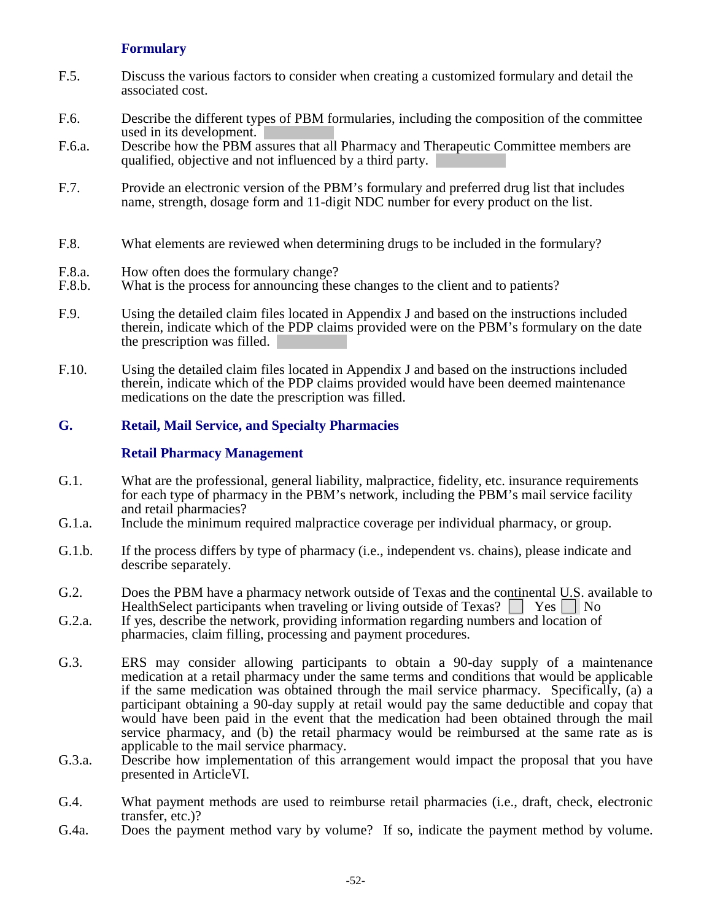### **Formulary**

- F.5. Discuss the various factors to consider when creating a customized formulary and detail the associated cost.
- F.6. Describe the different types of PBM formularies, including the composition of the committee used in its development.
- F.6.a. Describe how the PBM assures that all Pharmacy and Therapeutic Committee members are qualified, objective and not influenced by a third party.
- F.7. Provide an electronic version of the PBM's formulary and preferred drug list that includes name, strength, dosage form and 11-digit NDC number for every product on the list.
- F.8. What elements are reviewed when determining drugs to be included in the formulary?
- F.8.a. How often does the formulary change?
- F.8.b. What is the process for announcing these changes to the client and to patients?
- F.9. Using the detailed claim files located in Appendix J and based on the instructions included therein, indicate which of the PDP claims provided were on the PBM's formulary on the date the prescription was filled.
- F.10. Using the detailed claim files located in Appendix J and based on the instructions included therein, indicate which of the PDP claims provided would have been deemed maintenance medications on the date the prescription was filled.

#### **G. Retail, Mail Service, and Specialty Pharmacies**

#### **Retail Pharmacy Management**

- G.1. What are the professional, general liability, malpractice, fidelity, etc. insurance requirements for each type of pharmacy in the PBM's network, including the PBM's mail service facility and retail pharmacies?
- G.1.a. Include the minimum required malpractice coverage per individual pharmacy, or group.
- G.1.b. If the process differs by type of pharmacy (i.e., independent vs. chains), please indicate and describe separately.
- G.2. Does the PBM have a pharmacy network outside of Texas and the continental U.S. available to HealthSelect participants when traveling or living outside of Texas?  $\Box$  Yes  $\Box$  No
- G.2.a. If yes, describe the network, providing information regarding numbers and location of pharmacies, claim filling, processing and payment procedures.
- G.3. ERS may consider allowing participants to obtain a 90-day supply of a maintenance medication at a retail pharmacy under the same terms and conditions that would be applicable if the same medication was obtained through the mail service pharmacy. Specifically, (a) a participant obtaining a 90-day supply at retail would pay the same deductible and copay that would have been paid in the event that the medication had been obtained through the mail service pharmacy, and (b) the retail pharmacy would be reimbursed at the same rate as is applicable to the mail service pharmacy.
- G.3.a. Describe how implementation of this arrangement would impact the proposal that you have presented in ArticleVI.
- G.4. What payment methods are used to reimburse retail pharmacies (i.e., draft, check, electronic transfer, etc.)?
- G.4a. Does the payment method vary by volume? If so, indicate the payment method by volume.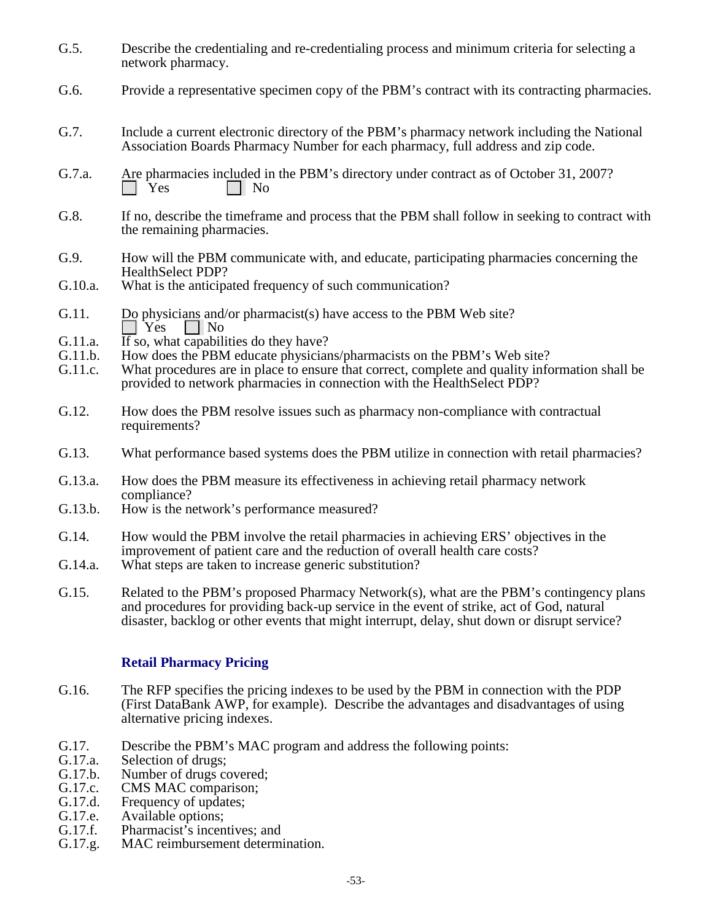- G.5. Describe the credentialing and re-credentialing process and minimum criteria for selecting a network pharmacy.
- G.6. Provide a representative specimen copy of the PBM's contract with its contracting pharmacies.
- G.7. Include a current electronic directory of the PBM's pharmacy network including the National Association Boards Pharmacy Number for each pharmacy, full address and zip code.
- G.7.a. Are pharmacies included in the PBM's directory under contract as of October 31, 2007?<br>  $\Box$  Yes  $\Box$  No
- G.8. If no, describe the timeframe and process that the PBM shall follow in seeking to contract with the remaining pharmacies.
- G.9. How will the PBM communicate with, and educate, participating pharmacies concerning the HealthSelect PDP?
- G.10.a. What is the anticipated frequency of such communication?
- G.11. Do physicians and/or pharmacist(s) have access to the PBM Web site?<br> $\Box$  Yes  $\Box$  No  $\Box$  No
- G.11.a. If so, what capabilities do they have?<br>G.11.b. How does the PBM educate physician
- How does the PBM educate physicians/pharmacists on the PBM's Web site?
- G.11.c. What procedures are in place to ensure that correct, complete and quality information shall be provided to network pharmacies in connection with the HealthSelect PDP?
- G.12. How does the PBM resolve issues such as pharmacy non-compliance with contractual requirements?
- G.13. What performance based systems does the PBM utilize in connection with retail pharmacies?
- G.13.a. How does the PBM measure its effectiveness in achieving retail pharmacy network compliance?
- G.13.b. How is the network's performance measured?
- G.14. How would the PBM involve the retail pharmacies in achieving ERS' objectives in the improvement of patient care and the reduction of overall health care costs?
- G.14.a. What steps are taken to increase generic substitution?
- G.15. Related to the PBM's proposed Pharmacy Network(s), what are the PBM's contingency plans and procedures for providing back-up service in the event of strike, act of God, natural disaster, backlog or other events that might interrupt, delay, shut down or disrupt service?

#### **Retail Pharmacy Pricing**

- G.16. The RFP specifies the pricing indexes to be used by the PBM in connection with the PDP (First DataBank AWP, for example). Describe the advantages and disadvantages of using alternative pricing indexes.
- G.17. Describe the PBM's MAC program and address the following points:<br>G.17.a. Selection of drugs:
- G.17.a. Selection of drugs;<br>G.17.b. Number of drugs co
- G.17.b. Number of drugs covered;<br>G.17.c. CMS MAC comparison:
- G.17.c. CMS MAC comparison;<br>G.17.d. Frequency of updates:
- G.17.d. Frequency of updates;<br>G.17.e. Available options:
- Available options;
- G.17.f. Pharmacist's incentives; and<br>G.17.g. MAC reimbursement determ
- MAC reimbursement determination.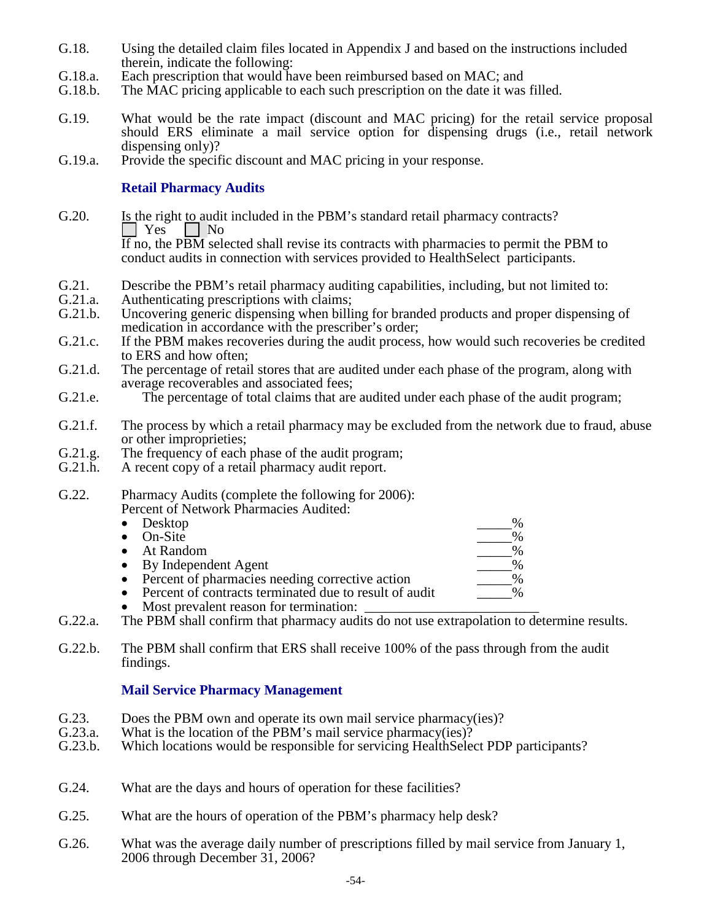- G.18. Using the detailed claim files located in Appendix J and based on the instructions included therein, indicate the following:
- G.18.a. Each prescription that would have been reimbursed based on MAC; and G.18.b. The MAC pricing applicable to each such prescription on the date it was
- The MAC pricing applicable to each such prescription on the date it was filled.
- G.19. What would be the rate impact (discount and MAC pricing) for the retail service proposal should ERS eliminate a mail service option for dispensing drugs (i.e., retail network dispensing only)?
- G.19.a. Provide the specific discount and MAC pricing in your response.

### **Retail Pharmacy Audits**

- G.20. Is the right to audit included in the PBM's standard retail pharmacy contracts?  $\Box$  Yes  $\Box$  No  $\overline{If}$  no, the PBM selected shall revise its contracts with pharmacies to permit the PBM to conduct audits in connection with services provided to HealthSelect participants.
- G.21. Describe the PBM's retail pharmacy auditing capabilities, including, but not limited to:<br>G.21.a. Authenticating prescriptions with claims:
- G.21.a. Authenticating prescriptions with claims;<br>G.21.b. Uncovering generic dispensing when billi
- Uncovering generic dispensing when billing for branded products and proper dispensing of medication in accordance with the prescriber's order;
- G.21.c. If the PBM makes recoveries during the audit process, how would such recoveries be credited to ERS and how often;
- G.21.d. The percentage of retail stores that are audited under each phase of the program, along with average recoverables and associated fees;
- G.21.e. The percentage of total claims that are audited under each phase of the audit program;
- G.21.f. The process by which a retail pharmacy may be excluded from the network due to fraud, abuse or other improprieties;
- G.21.g. The frequency of each phase of the audit program;<br>G.21.h. A recent copy of a retail pharmacy audit report.
- A recent copy of a retail pharmacy audit report.
- G.22. Pharmacy Audits (complete the following for 2006): Percent of Network Pharmacies Audited:

| $\frac{0}{6}$ |
|---------------|
| $\%$          |
| $\%$          |
| $\%$          |
| $\frac{0}{6}$ |
|               |

- Percent of contracts terminated due to result of audit
- Most prevalent reason for termination:
- G.22.a. The PBM shall confirm that pharmacy audits do not use extrapolation to determine results.
- G.22.b. The PBM shall confirm that ERS shall receive 100% of the pass through from the audit findings.

# **Mail Service Pharmacy Management**

- G.23. Does the PBM own and operate its own mail service pharmacy(ies)?<br>G.23.a. What is the location of the PBM's mail service pharmacy(ies)?
- What is the location of the PBM's mail service pharmacy(ies)?
- G.23.b. Which locations would be responsible for servicing HealthSelect PDP participants?
- G.24. What are the days and hours of operation for these facilities?
- G.25. What are the hours of operation of the PBM's pharmacy help desk?
- G.26. What was the average daily number of prescriptions filled by mail service from January 1, 2006 through December 31, 2006?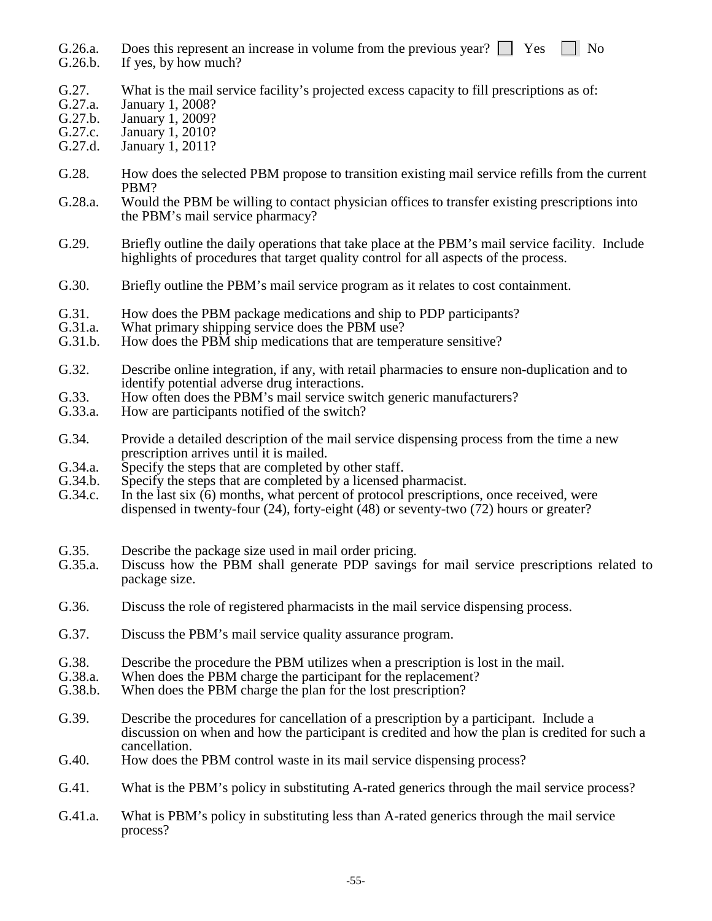G.26.a. Does this represent an increase in volume from the previous year?  $\Box$  Yes  $\Box$  No G.26.b. If yes, by how much?

- If yes, by how much?
- G.27. What is the mail service facility's projected excess capacity to fill prescriptions as of: G.27.a. January 1. 2008?
- G.27.a. January 1, 2008?
- January 1, 2009?
- G.27.c. January 1, 2010?<br>G.27.d. January 1, 2011?
- January 1, 2011?
- G.28. How does the selected PBM propose to transition existing mail service refills from the current PBM?
- G.28.a. Would the PBM be willing to contact physician offices to transfer existing prescriptions into the PBM's mail service pharmacy?
- G.29. Briefly outline the daily operations that take place at the PBM's mail service facility. Include highlights of procedures that target quality control for all aspects of the process.
- G.30. Briefly outline the PBM's mail service program as it relates to cost containment.
- G.31. How does the PBM package medications and ship to PDP participants?<br>G.31.a. What primary shipping service does the PBM use?
- G.31.a. What primary shipping service does the PBM use?<br>G.31.b. How does the PBM ship medications that are tempe
- How does the PBM ship medications that are temperature sensitive?
- G.32. Describe online integration, if any, with retail pharmacies to ensure non-duplication and to identify potential adverse drug interactions.
- G.33. How often does the PBM's mail service switch generic manufacturers?<br>G.33.a. How are participants notified of the switch?
- How are participants notified of the switch?
- G.34. Provide a detailed description of the mail service dispensing process from the time a new prescription arrives until it is mailed.
- G.34.a. Specify the steps that are completed by other staff.<br>G.34.b. Specify the steps that are completed by a licensed p
- G.34.b. Specify the steps that are completed by a licensed pharmacist.<br>G.34.c. In the last six (6) months, what percent of protocol prescription
- In the last six  $(6)$  months, what percent of protocol prescriptions, once received, were dispensed in twenty-four (24), forty-eight  $(48)$  or seventy-two (72) hours or greater?
- G.35. Describe the package size used in mail order pricing.<br>G.35.a. Discuss how the PBM shall generate PDP savings
- Discuss how the PBM shall generate PDP savings for mail service prescriptions related to package size.
- G.36. Discuss the role of registered pharmacists in the mail service dispensing process.
- G.37. Discuss the PBM's mail service quality assurance program.
- G.38. Describe the procedure the PBM utilizes when a prescription is lost in the mail.<br>G.38.a. When does the PBM charge the participant for the replacement?
- G.38.a. When does the PBM charge the participant for the replacement?<br>G.38.b. When does the PBM charge the plan for the lost prescription?
- When does the PBM charge the plan for the lost prescription?
- G.39. Describe the procedures for cancellation of a prescription by a participant. Include a discussion on when and how the participant is credited and how the plan is credited for such a cancellation.
- G.40. How does the PBM control waste in its mail service dispensing process?
- G.41. What is the PBM's policy in substituting A-rated generics through the mail service process?
- G.41.a. What is PBM's policy in substituting less than A-rated generics through the mail service process?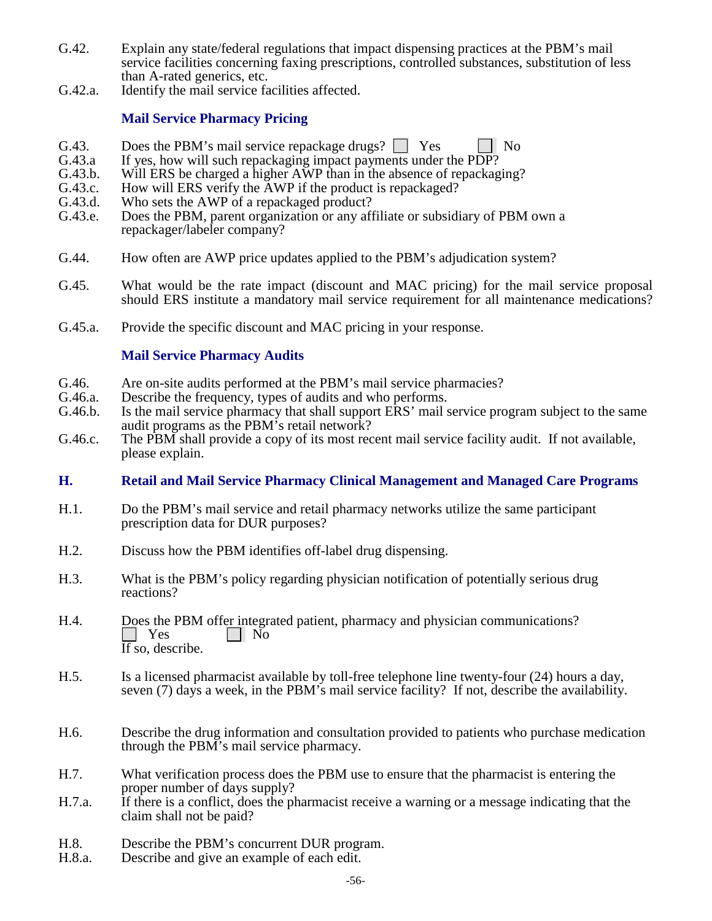- G.42. Explain any state/federal regulations that impact dispensing practices at the PBM's mail service facilities concerning faxing prescriptions, controlled substances, substitution of less than A-rated generics, etc.
- G.42.a. Identify the mail service facilities affected.

### **Mail Service Pharmacy Pricing**

- G.43. Does the PBM's mail service repackage drugs?  $\Box$  Yes  $\Box$  No G.43.a If ves, how will such repackaging impact payments under the PDP?
- G.43.a If yes, how will such repackaging impact payments under the PDP?<br>G.43.b. Will ERS be charged a higher AWP than in the absence of repackage
- G.43.b. Will ERS be charged a higher  $\overline{AWP}$  than in the absence of repackaging?<br>G.43.c. How will ERS verify the  $\overline{AWP}$  if the product is repackaged?
- G.43.c. How will ERS verify the AWP if the product is repackaged?<br>G.43.d. Who sets the AWP of a repackaged product?
- G.43.d. Who sets the AWP of a repackaged product?<br>G.43.e. Does the PBM, parent organization or any aff
- Does the PBM, parent organization or any affiliate or subsidiary of PBM own a repackager/labeler company?
- G.44. How often are AWP price updates applied to the PBM's adjudication system?
- G.45. What would be the rate impact (discount and MAC pricing) for the mail service proposal should ERS institute a mandatory mail service requirement for all maintenance medications?
- G.45.a. Provide the specific discount and MAC pricing in your response.

### **Mail Service Pharmacy Audits**

- G.46. Are on-site audits performed at the PBM's mail service pharmacies?<br>G.46.a. Describe the frequency, types of audits and who performs.
- G.46.a. Describe the frequency, types of audits and who performs.<br>G.46.b. Is the mail service pharmacy that shall support ERS' mail s
- Is the mail service pharmacy that shall support ERS' mail service program subject to the same audit programs as the PBM's retail network?
- G.46.c. The PBM shall provide a copy of its most recent mail service facility audit. If not available, please explain.

#### **H. Retail and Mail Service Pharmacy Clinical Management and Managed Care Programs**

- H.1. Do the PBM's mail service and retail pharmacy networks utilize the same participant prescription data for DUR purposes?
- H.2. Discuss how the PBM identifies off-label drug dispensing.
- H.3. What is the PBM's policy regarding physician notification of potentially serious drug reactions?
- H.4. Does the PBM offer integrated patient, pharmacy and physician communications?<br> $\Box$  Yes  $\vert$  | No If so, describe.
- H.5. Is a licensed pharmacist available by toll-free telephone line twenty-four (24) hours a day, seven (7) days a week, in the PBM's mail service facility? If not, describe the availability.
- H.6. Describe the drug information and consultation provided to patients who purchase medication through the PBM's mail service pharmacy.
- H.7. What verification process does the PBM use to ensure that the pharmacist is entering the proper number of days supply?
- H.7.a. If there is a conflict, does the pharmacist receive a warning or a message indicating that the claim shall not be paid?
- H.8. Describe the PBM's concurrent DUR program.<br>H.8.a. Describe and give an example of each edit.
- Describe and give an example of each edit.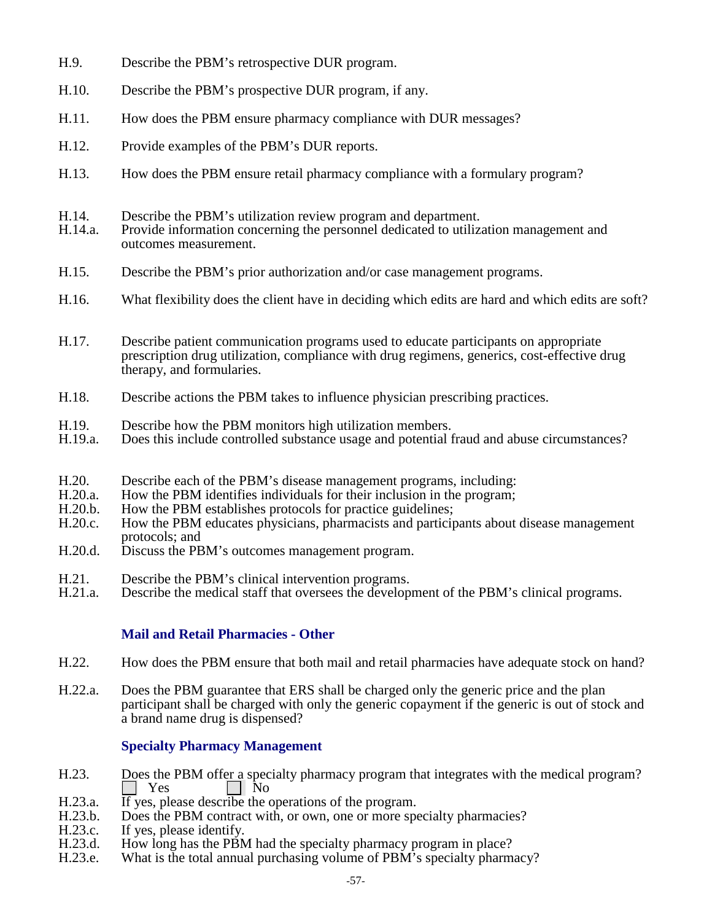- H.9. Describe the PBM's retrospective DUR program.
- H.10. Describe the PBM's prospective DUR program, if any.
- H.11. How does the PBM ensure pharmacy compliance with DUR messages?
- H.12. Provide examples of the PBM's DUR reports.
- H.13. How does the PBM ensure retail pharmacy compliance with a formulary program?
- H.14. Describe the PBM's utilization review program and department.
- Provide information concerning the personnel dedicated to utilization management and outcomes measurement.
- H.15. Describe the PBM's prior authorization and/or case management programs.
- H.16. What flexibility does the client have in deciding which edits are hard and which edits are soft?
- H.17. Describe patient communication programs used to educate participants on appropriate prescription drug utilization, compliance with drug regimens, generics, cost-effective drug therapy, and formularies.
- H.18. Describe actions the PBM takes to influence physician prescribing practices.
- H.19. Describe how the PBM monitors high utilization members.
- H.19.a. Does this include controlled substance usage and potential fraud and abuse circumstances?
- H.20. Describe each of the PBM's disease management programs, including:
- H.20.a. How the PBM identifies individuals for their inclusion in the program;
- H.20.b. How the PBM establishes protocols for practice guidelines;<br>H.20.c. How the PBM educates physicians, pharmacists and particing
- How the PBM educates physicians, pharmacists and participants about disease management protocols; and
- H.20.d. Discuss the PBM's outcomes management program.
- H.21. Describe the PBM's clinical intervention programs.
- H.21.a. Describe the medical staff that oversees the development of the PBM's clinical programs.

# **Mail and Retail Pharmacies - Other**

- H.22. How does the PBM ensure that both mail and retail pharmacies have adequate stock on hand?
- H.22.a. Does the PBM guarantee that ERS shall be charged only the generic price and the plan participant shall be charged with only the generic copayment if the generic is out of stock and a brand name drug is dispensed?

# **Specialty Pharmacy Management**

- H.23. Does the PBM offer a specialty pharmacy program that integrates with the medical program?<br>  $\sqrt{\frac{1}{1 + 1}}$  Yes  $\Box$  No
- H.23.a. If yes, please describe the operations of the program.<br>H.23.b. Does the PBM contract with, or own, one or more spe
- Does the PBM contract with, or own, one or more specialty pharmacies?
- H.23.c. If yes, please identify.<br>H.23.d. How long has the PBM
- H.23.d. How long has the PBM had the specialty pharmacy program in place?<br>H.23.e. What is the total annual purchasing volume of PBM's specialty pharm
- What is the total annual purchasing volume of PBM's specialty pharmacy?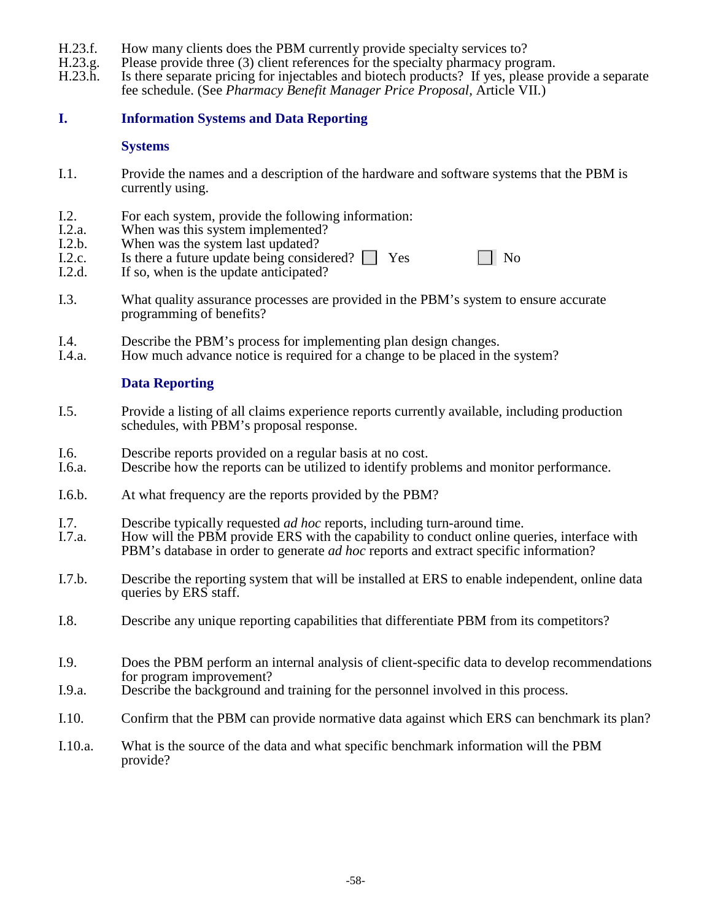- 
- H.23.f. How many clients does the PBM currently provide specialty services to?<br>H.23.g. Please provide three (3) client references for the specialty pharmacy prog H.23.g. Please provide three (3) client references for the specialty pharmacy program.<br>H.23.h. Is there separate pricing for injectables and biotech products? If yes, please pr
- Is there separate pricing for injectables and biotech products? If yes, please provide a separate fee schedule. (See *Pharmacy Benefit Manager Price Proposal,* Article VII.)

# **I. Information Systems and Data Reporting**

#### **Systems**

- I.1. Provide the names and a description of the hardware and software systems that the PBM is currently using.
- I.2. For each system, provide the following information:<br>I.2.a. When was this system implemented?
- I.2.a. When was this system implemented?<br>I.2.b. When was the system last updated?
- I.2.b. When was the system last updated?<br>I.2.c. Is there a future update being consider
- I.2.c. Is there a future update being considered?  $\Box$  Yes  $\Box$  No I.2.d. If so, when is the update anticipated?
- If so, when is the update anticipated?
- I.3. What quality assurance processes are provided in the PBM's system to ensure accurate programming of benefits?
- I.4. Describe the PBM's process for implementing plan design changes.<br>I.4.a. How much advance notice is required for a change to be placed in the
- How much advance notice is required for a change to be placed in the system?

### **Data Reporting**

- I.5. Provide a listing of all claims experience reports currently available, including production schedules, with PBM's proposal response.
- I.6. Describe reports provided on a regular basis at no cost.<br>I.6.a. Describe how the reports can be utilized to identify prob-
- Describe how the reports can be utilized to identify problems and monitor performance.
- I.6.b. At what frequency are the reports provided by the PBM?
- I.7. Describe typically requested *ad hoc* reports, including turn-around time.<br>I.7.a. How will the PBM provide ERS with the capability to conduct online au
- How will the PBM provide ERS with the capability to conduct online queries, interface with PBM's database in order to generate *ad hoc* reports and extract specific information?
- I.7.b. Describe the reporting system that will be installed at ERS to enable independent, online data queries by ERS staff.
- I.8. Describe any unique reporting capabilities that differentiate PBM from its competitors?
- I.9. Does the PBM perform an internal analysis of client-specific data to develop recommendations for program improvement?
- I.9.a. Describe the background and training for the personnel involved in this process.
- I.10. Confirm that the PBM can provide normative data against which ERS can benchmark its plan?
- I.10.a. What is the source of the data and what specific benchmark information will the PBM provide?